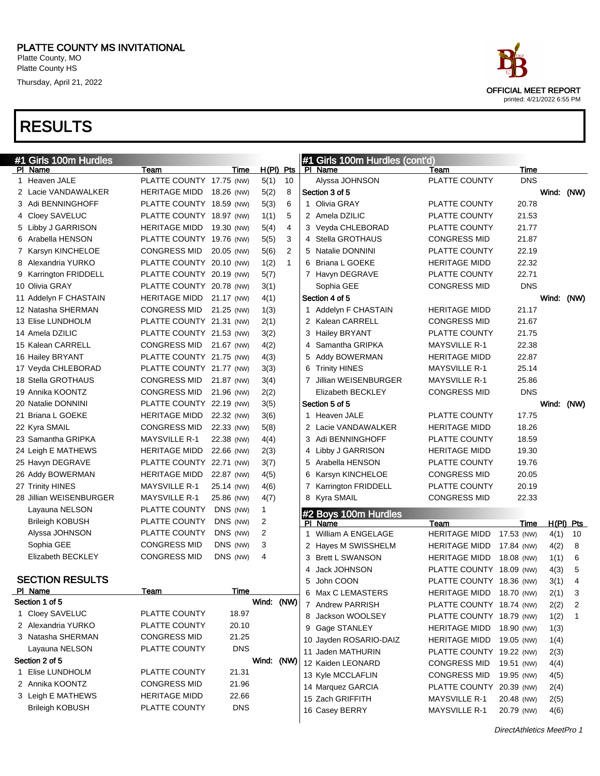| race                                                      |
|-----------------------------------------------------------|
| <b>OFFICIAL MEET REPORT</b><br>printed: 4/21/2022 6:55 PM |

| #1 Girls 100m Hurdles   |                          |            |                |              | #1 Girls 100m Hurdles (cont'd)  |                          |            |              |              |
|-------------------------|--------------------------|------------|----------------|--------------|---------------------------------|--------------------------|------------|--------------|--------------|
| PI Name                 | Team                     | Time       | $H(PI)$ Pts    |              | PI Name                         | Team                     | Time       |              |              |
| 1 Heaven JALE           | PLATTE COUNTY 17.75 (NW) |            | 5(1)           | 10           | Alyssa JOHNSON                  | PLATTE COUNTY            | <b>DNS</b> |              |              |
| 2 Lacie VANDAWALKER     | HERITAGE MIDD 18.26 (NW) |            | 5(2)           | 8            | Section 3 of 5                  |                          |            | Wind: (NW)   |              |
| 3 Adi BENNINGHOFF       | PLATTE COUNTY 18.59 (NW) |            | 5(3)           | 6            | 1 Olivia GRAY                   | <b>PLATTE COUNTY</b>     | 20.78      |              |              |
| 4 Cloey SAVELUC         | PLATTE COUNTY 18.97 (NW) |            | 1(1)           | 5            | 2 Amela DZILIC                  | PLATTE COUNTY            | 21.53      |              |              |
| 5 Libby J GARRISON      | HERITAGE MIDD 19.30 (NW) |            | 5(4)           | 4            | 3 Veyda CHLEBORAD               | PLATTE COUNTY            | 21.77      |              |              |
| 6 Arabella HENSON       | PLATTE COUNTY 19.76 (NW) |            | 5(5)           | 3            | 4 Stella GROTHAUS               | <b>CONGRESS MID</b>      | 21.87      |              |              |
| 7 Karsyn KINCHELOE      | <b>CONGRESS MID</b>      | 20.05 (NW) | 5(6)           | 2            | 5 Natalie DONNINI               | PLATTE COUNTY            | 22.19      |              |              |
| 8 Alexandria YURKO      | PLATTE COUNTY 20.10 (NW) |            | 1(2)           | $\mathbf{1}$ | 6 Briana L GOEKE                | <b>HERITAGE MIDD</b>     | 22.32      |              |              |
| 9 Karrington FRIDDELL   | PLATTE COUNTY 20.19 (NW) |            | 5(7)           |              | 7 Havyn DEGRAVE                 | PLATTE COUNTY            | 22.71      |              |              |
| 10 Olivia GRAY          | PLATTE COUNTY 20.78 (NW) |            | 3(1)           |              | Sophia GEE                      | <b>CONGRESS MID</b>      | <b>DNS</b> |              |              |
| 11 Addelyn F CHASTAIN   | HERITAGE MIDD 21.17 (NW) |            | 4(1)           |              | Section 4 of 5                  |                          |            | Wind: (NW)   |              |
| 12 Natasha SHERMAN      | CONGRESS MID 21.25 (NW)  |            | 1(3)           |              | 1 Addelyn F CHASTAIN            | <b>HERITAGE MIDD</b>     | 21.17      |              |              |
| 13 Elise LUNDHOLM       | PLATTE COUNTY 21.31 (NW) |            | 2(1)           |              | 2 Kalean CARRELL                | <b>CONGRESS MID</b>      | 21.67      |              |              |
| 14 Amela DZILIC         | PLATTE COUNTY 21.53 (NW) |            | 3(2)           |              | 3 Hailey BRYANT                 | PLATTE COUNTY            | 21.75      |              |              |
| 15 Kalean CARRELL       | CONGRESS MID 21.67 (NW)  |            | 4(2)           |              | 4 Samantha GRIPKA               | <b>MAYSVILLE R-1</b>     | 22.38      |              |              |
| 16 Hailey BRYANT        | PLATTE COUNTY 21.75 (NW) |            | 4(3)           |              | 5 Addy BOWERMAN                 | <b>HERITAGE MIDD</b>     | 22.87      |              |              |
| 17 Veyda CHLEBORAD      | PLATTE COUNTY 21.77 (NW) |            | 3(3)           |              | 6 Trinity HINES                 | <b>MAYSVILLE R-1</b>     | 25.14      |              |              |
| 18 Stella GROTHAUS      | <b>CONGRESS MID</b>      | 21.87 (NW) | 3(4)           |              | 7 Jillian WEISENBURGER          | <b>MAYSVILLE R-1</b>     | 25.86      |              |              |
| 19 Annika KOONTZ        | <b>CONGRESS MID</b>      | 21.96 (NW) | 2(2)           |              | Elizabeth BECKLEY               | <b>CONGRESS MID</b>      | <b>DNS</b> |              |              |
| 20 Natalie DONNINI      | PLATTE COUNTY 22.19 (NW) |            | 3(5)           |              | Section 5 of 5                  |                          |            | Wind: (NW)   |              |
| 21 Briana L GOEKE       | <b>HERITAGE MIDD</b>     | 22.32 (NW) | 3(6)           |              | 1 Heaven JALE                   | PLATTE COUNTY            | 17.75      |              |              |
| 22 Kyra SMAIL           | <b>CONGRESS MID</b>      | 22.33 (NW) | 5(8)           |              | 2 Lacie VANDAWALKER             | <b>HERITAGE MIDD</b>     | 18.26      |              |              |
| 23 Samantha GRIPKA      | <b>MAYSVILLE R-1</b>     | 22.38 (NW) | 4(4)           |              | 3 Adi BENNINGHOFF               | PLATTE COUNTY            | 18.59      |              |              |
| 24 Leigh E MATHEWS      | <b>HERITAGE MIDD</b>     | 22.66 (NW) | 2(3)           |              | 4 Libby J GARRISON              | <b>HERITAGE MIDD</b>     | 19.30      |              |              |
| 25 Havyn DEGRAVE        | PLATTE COUNTY 22.71 (NW) |            | 3(7)           |              | 5 Arabella HENSON               | PLATTE COUNTY            | 19.76      |              |              |
| 26 Addy BOWERMAN        | <b>HERITAGE MIDD</b>     | 22.87 (NW) | 4(5)           |              | 6 Karsyn KINCHELOE              | <b>CONGRESS MID</b>      | 20.05      |              |              |
| 27 Trinity HINES        | <b>MAYSVILLE R-1</b>     | 25.14 (NW) | 4(6)           |              | 7 Karrington FRIDDELL           | PLATTE COUNTY            | 20.19      |              |              |
| 28 Jillian WEISENBURGER | <b>MAYSVILLE R-1</b>     | 25.86 (NW) | 4(7)           |              | 8 Kyra SMAIL                    | <b>CONGRESS MID</b>      | 22.33      |              |              |
| Layauna NELSON          | PLATTE COUNTY            | DNS (NW)   | $\mathbf{1}$   |              |                                 |                          |            |              |              |
| <b>Brileigh KOBUSH</b>  | PLATTE COUNTY            | DNS (NW)   | 2              |              | #2 Boys 100m Hurdles<br>PI Name | Team                     | Time       |              | $H(PI)$ Pts  |
| Alyssa JOHNSON          | PLATTE COUNTY            | DNS (NW)   | $\overline{2}$ |              | 1 William A ENGELAGE            | <b>HERITAGE MIDD</b>     | 17.53 (NW) | 4(1)         | 10           |
| Sophia GEE              | <b>CONGRESS MID</b>      | DNS (NW)   | 3              |              | 2 Hayes M SWISSHELM             | <b>HERITAGE MIDD</b>     | 17.84 (NW) | 4(2)         | 8            |
| Elizabeth BECKLEY       | <b>CONGRESS MID</b>      | DNS (NW)   | 4              |              | 3 Brett L SWANSON               | <b>HERITAGE MIDD</b>     | 18.08 (NW) | 1(1)         | 6            |
|                         |                          |            |                |              | 4 Jack JOHNSON                  | PLATTE COUNTY 18.09 (NW) |            | 4(3)         | 5            |
| <b>SECTION RESULTS</b>  |                          |            |                |              | 5 John COON                     | PLATTE COUNTY 18.36 (NW) |            | 3(1)         | 4            |
| <u>PI Name</u>          | <u>Team</u>              | Time       |                |              | 6 Max C LEMASTERS               | HERITAGE MIDD 18.70 (NW) |            | 2(1)         | $\mathbf{3}$ |
| Section 1 of 5          |                          |            | Wind: (NW)     |              | 7 Andrew PARRISH                | PLATTE COUNTY 18.74 (NW) |            | 2(2)         | 2            |
| 1 Cloey SAVELUC         | PLATTE COUNTY            | 18.97      |                |              | 8 Jackson WOOLSEY               | PLATTE COUNTY 18.79 (NW) |            | 1(2)         | $\mathbf 1$  |
| 2 Alexandria YURKO      | PLATTE COUNTY            | 20.10      |                |              | 9 Gage STANLEY                  | <b>HERITAGE MIDD</b>     | 18.90 (NW) | 1(3)         |              |
| 3 Natasha SHERMAN       | <b>CONGRESS MID</b>      | 21.25      |                |              | 10 Jayden ROSARIO-DAIZ          | <b>HERITAGE MIDD</b>     | 19.05 (NW) | 1(4)         |              |
| Layauna NELSON          | PLATTE COUNTY            | <b>DNS</b> |                |              | 11 Jaden MATHURIN               | PLATTE COUNTY 19.22 (NW) |            | 2(3)         |              |
| Section 2 of 5          |                          |            | Wind: (NW)     |              | 12 Kaiden LEONARD               | <b>CONGRESS MID</b>      | 19.51 (NW) | 4(4)         |              |
| 1 Elise LUNDHOLM        | PLATTE COUNTY            | 21.31      |                |              | 13 Kyle MCCLAFLIN               | <b>CONGRESS MID</b>      | 19.95 (NW) | 4(5)         |              |
| 2 Annika KOONTZ         | <b>CONGRESS MID</b>      | 21.96      |                |              | 14 Marquez GARCIA               | PLATTE COUNTY 20.39 (NW) |            |              |              |
| 3 Leigh E MATHEWS       | <b>HERITAGE MIDD</b>     | 22.66      |                |              | 15 Zach GRIFFITH                | <b>MAYSVILLE R-1</b>     | 20.48 (NW) | 2(4)<br>2(5) |              |
| <b>Brileigh KOBUSH</b>  | PLATTE COUNTY            | <b>DNS</b> |                |              | 16 Casey BERRY                  | <b>MAYSVILLE R-1</b>     | 20.79 (NW) | 4(6)         |              |
|                         |                          |            |                |              |                                 |                          |            |              |              |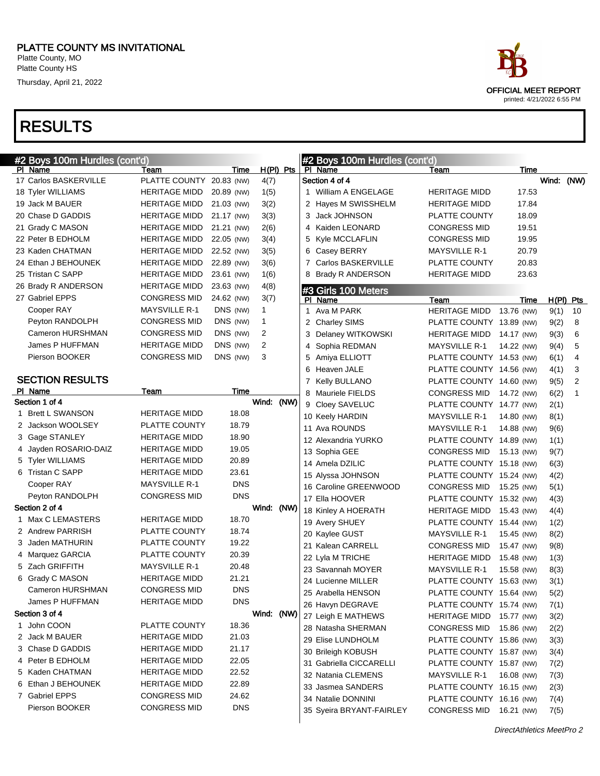|    | #2 Boys 100m Hurdles (cont'd) |                          |            |                |             |              | #2 Boys 100m Hurdles (cont'd) |                          |            |       |             |
|----|-------------------------------|--------------------------|------------|----------------|-------------|--------------|-------------------------------|--------------------------|------------|-------|-------------|
|    | PI Name                       | Team                     | Time       |                | $H(PI)$ Pts |              | PI Name                       | Team                     | Time       |       |             |
|    | 17 Carlos BASKERVILLE         | PLATTE COUNTY 20.83 (NW) |            | 4(7)           |             |              | Section 4 of 4                |                          |            | Wind: | (NW)        |
|    | 18 Tyler WILLIAMS             | HERITAGE MIDD            | 20.89 (NW) | 1(5)           |             |              | 1 William A ENGELAGE          | HERITAGE MIDD            | 17.53      |       |             |
|    | 19 Jack M BAUER               | HERITAGE MIDD            | 21.03 (NW) | 3(2)           |             |              | 2 Hayes M SWISSHELM           | HERITAGE MIDD            | 17.84      |       |             |
|    | 20 Chase D GADDIS             | <b>HERITAGE MIDD</b>     | 21.17 (NW) | 3(3)           |             |              | 3 Jack JOHNSON                | PLATTE COUNTY            | 18.09      |       |             |
|    | 21 Grady C MASON              | <b>HERITAGE MIDD</b>     | 21.21 (NW) | 2(6)           |             |              | 4 Kaiden LEONARD              | <b>CONGRESS MID</b>      | 19.51      |       |             |
|    | 22 Peter B EDHOLM             | <b>HERITAGE MIDD</b>     | 22.05 (NW) | 3(4)           |             |              | 5 Kyle MCCLAFLIN              | <b>CONGRESS MID</b>      | 19.95      |       |             |
|    | 23 Kaden CHATMAN              | <b>HERITAGE MIDD</b>     | 22.52 (NW) | 3(5)           |             |              | 6 Casey BERRY                 | <b>MAYSVILLE R-1</b>     | 20.79      |       |             |
|    | 24 Ethan J BEHOUNEK           | <b>HERITAGE MIDD</b>     | 22.89 (NW) | 3(6)           |             |              | 7 Carlos BASKERVILLE          | PLATTE COUNTY            | 20.83      |       |             |
|    | 25 Tristan C SAPP             | <b>HERITAGE MIDD</b>     | 23.61 (NW) | 1(6)           |             |              | 8 Brady R ANDERSON            | HERITAGE MIDD            | 23.63      |       |             |
|    | 26 Brady R ANDERSON           | <b>HERITAGE MIDD</b>     | 23.63 (NW) | 4(8)           |             |              | #3 Girls 100 Meters           |                          |            |       |             |
|    | 27 Gabriel EPPS               | <b>CONGRESS MID</b>      | 24.62 (NW) | 3(7)           |             |              | PI Name                       | Team                     | Time       |       | $H(PI)$ Pts |
|    | Cooper RAY                    | <b>MAYSVILLE R-1</b>     | DNS (NW)   | 1              |             | $\mathbf{1}$ | Ava M PARK                    | <b>HERITAGE MIDD</b>     | 13.76 (NW) | 9(1)  | 10          |
|    | Peyton RANDOLPH               | <b>CONGRESS MID</b>      | DNS (NW)   | 1              |             |              | 2 Charley SIMS                | PLATTE COUNTY 13.89 (NW) |            | 9(2)  | 8           |
|    | Cameron HURSHMAN              | <b>CONGRESS MID</b>      | DNS (NW)   | $\overline{2}$ |             |              | 3 Delaney WITKOWSKI           | HERITAGE MIDD            | 14.17 (NW) | 9(3)  | 6           |
|    | James P HUFFMAN               | <b>HERITAGE MIDD</b>     | DNS (NW)   | $\overline{2}$ |             |              | 4 Sophia REDMAN               | <b>MAYSVILLE R-1</b>     | 14.22 (NW) | 9(4)  | 5           |
|    | Pierson BOOKER                | <b>CONGRESS MID</b>      | DNS (NW)   | 3              |             |              | 5 Amiya ELLIOTT               | PLATTE COUNTY 14.53 (NW) |            | 6(1)  | 4           |
|    |                               |                          |            |                |             |              | 6 Heaven JALE                 | PLATTE COUNTY 14.56 (NW) |            | 4(1)  | 3           |
|    | <b>SECTION RESULTS</b>        |                          |            |                |             |              | 7 Kelly BULLANO               | PLATTE COUNTY 14.60 (NW) |            | 9(5)  | 2           |
|    | PI Name                       | Team                     | Time       |                |             |              | 8 Mauriele FIELDS             | <b>CONGRESS MID</b>      | 14.72 (NW) | 6(2)  | 1           |
|    | Section 1 of 4                |                          |            | Wind: (NW)     |             |              | 9 Cloey SAVELUC               | PLATTE COUNTY 14.77 (NW) |            | 2(1)  |             |
| 1. | <b>Brett L SWANSON</b>        | <b>HERITAGE MIDD</b>     | 18.08      |                |             |              | 10 Keely HARDIN               | <b>MAYSVILLE R-1</b>     | 14.80 (NW) | 8(1)  |             |
|    | 2 Jackson WOOLSEY             | PLATTE COUNTY            | 18.79      |                |             |              | 11 Ava ROUNDS                 | <b>MAYSVILLE R-1</b>     | 14.88 (NW) | 9(6)  |             |
|    | 3 Gage STANLEY                | <b>HERITAGE MIDD</b>     | 18.90      |                |             |              | 12 Alexandria YURKO           | PLATTE COUNTY 14.89 (NW) |            | 1(1)  |             |
| 4  | Jayden ROSARIO-DAIZ           | <b>HERITAGE MIDD</b>     | 19.05      |                |             |              | 13 Sophia GEE                 | <b>CONGRESS MID</b>      | 15.13 (NW) | 9(7)  |             |
|    | <b>Tyler WILLIAMS</b>         | <b>HERITAGE MIDD</b>     | 20.89      |                |             |              | 14 Amela DZILIC               | PLATTE COUNTY 15.18 (NW) |            | 6(3)  |             |
| 6. | Tristan C SAPP                | <b>HERITAGE MIDD</b>     | 23.61      |                |             |              | 15 Alyssa JOHNSON             | PLATTE COUNTY 15.24 (NW) |            | 4(2)  |             |
|    | Cooper RAY                    | <b>MAYSVILLE R-1</b>     | <b>DNS</b> |                |             |              | 16 Caroline GREENWOOD         | <b>CONGRESS MID</b>      | 15.25 (NW) | 5(1)  |             |
|    | Peyton RANDOLPH               | <b>CONGRESS MID</b>      | <b>DNS</b> |                |             |              | 17 Ella HOOVER                | PLATTE COUNTY 15.32 (NW) |            | 4(3)  |             |
|    | Section 2 of 4                |                          |            | Wind:          | (NW)        |              | 18 Kinley A HOERATH           | <b>HERITAGE MIDD</b>     | 15.43 (NW) | 4(4)  |             |
|    | 1 Max C LEMASTERS             | <b>HERITAGE MIDD</b>     | 18.70      |                |             |              | 19 Avery SHUEY                | PLATTE COUNTY 15.44 (NW) |            | 1(2)  |             |
|    | 2 Andrew PARRISH              | PLATTE COUNTY            | 18.74      |                |             |              | 20 Kaylee GUST                | <b>MAYSVILLE R-1</b>     | 15.45 (NW) | 8(2)  |             |
| 3  | Jaden MATHURIN                | PLATTE COUNTY            | 19.22      |                |             |              | 21 Kalean CARRELL             | <b>CONGRESS MID</b>      | 15.47 (NW) | 9(8)  |             |
| 4  | Marquez GARCIA                | PLATTE COUNTY            | 20.39      |                |             |              | 22 Lyla M TRICHE              | <b>HERITAGE MIDD</b>     | 15.48 (NW) | 1(3)  |             |
|    | 5 Zach GRIFFITH               | <b>MAYSVILLE R-1</b>     | 20.48      |                |             |              | 23 Savannah MOYER             | <b>MAYSVILLE R-1</b>     | 15.58 (NW) | 8(3)  |             |
| 6  | Grady C MASON                 | <b>HERITAGE MIDD</b>     | 21.21      |                |             |              | 24 Lucienne MILLER            | PLATTE COUNTY 15.63 (NW) |            | 3(1)  |             |
|    | Cameron HURSHMAN              | <b>CONGRESS MID</b>      | <b>DNS</b> |                |             |              | 25 Arabella HENSON            | PLATTE COUNTY 15.64 (NW) |            | 5(2)  |             |
|    | James P HUFFMAN               | <b>HERITAGE MIDD</b>     | <b>DNS</b> |                |             |              | 26 Havyn DEGRAVE              | PLATTE COUNTY 15.74 (NW) |            | 7(1)  |             |
|    | Section 3 of 4                |                          |            | Wind: (NW)     |             |              | 27 Leigh E MATHEWS            | HERITAGE MIDD 15.77 (NW) |            | 3(2)  |             |
|    | 1 John COON                   | PLATTE COUNTY            | 18.36      |                |             |              | 28 Natasha SHERMAN            | CONGRESS MID             | 15.86 (NW) | 2(2)  |             |
|    | 2 Jack M BAUER                | <b>HERITAGE MIDD</b>     | 21.03      |                |             |              | 29 Elise LUNDHOLM             | PLATTE COUNTY 15.86 (NW) |            | 3(3)  |             |
|    | 3 Chase D GADDIS              | <b>HERITAGE MIDD</b>     | 21.17      |                |             |              | 30 Brileigh KOBUSH            | PLATTE COUNTY 15.87 (NW) |            | 3(4)  |             |
|    | 4 Peter B EDHOLM              | <b>HERITAGE MIDD</b>     | 22.05      |                |             |              | 31 Gabriella CICCARELLI       | PLATTE COUNTY 15.87 (NW) |            | 7(2)  |             |
|    | 5 Kaden CHATMAN               | <b>HERITAGE MIDD</b>     | 22.52      |                |             |              | 32 Natania CLEMENS            | <b>MAYSVILLE R-1</b>     | 16.08 (NW) | 7(3)  |             |
|    | Ethan J BEHOUNEK              | <b>HERITAGE MIDD</b>     | 22.89      |                |             |              | 33 Jasmea SANDERS             | PLATTE COUNTY 16.15 (NW) |            | 2(3)  |             |
|    | 7 Gabriel EPPS                | <b>CONGRESS MID</b>      | 24.62      |                |             |              | 34 Natalie DONNINI            | PLATTE COUNTY 16.16 (NW) |            | 7(4)  |             |
|    | Pierson BOOKER                | <b>CONGRESS MID</b>      | <b>DNS</b> |                |             |              | 35 Syeira BRYANT-FAIRLEY      | CONGRESS MID 16.21 (NW)  |            | 7(5)  |             |

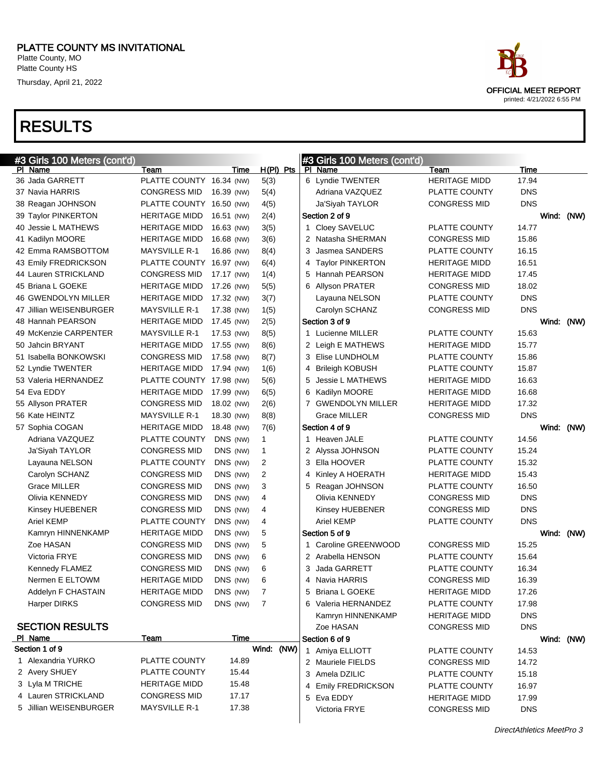| ace                                                       |
|-----------------------------------------------------------|
| <b>OFFICIAL MEET REPORT</b><br>printed: 4/21/2022 6:55 PM |

| #3 Girls 100 Meters (cont'd) |                          |            |              | #3 Girls 100 Meters (cont'd) |                      |            |            |  |
|------------------------------|--------------------------|------------|--------------|------------------------------|----------------------|------------|------------|--|
| PI Name                      | Team                     | Time       | $H(PI)$ Pts  | PI Name                      | Team                 | Time       |            |  |
| 36 Jada GARRETT              | PLATTE COUNTY 16.34 (NW) |            | 5(3)         | 6 Lyndie TWENTER             | <b>HERITAGE MIDD</b> | 17.94      |            |  |
| 37 Navia HARRIS              | CONGRESS MID             | 16.39 (NW) | 5(4)         | Adriana VAZQUEZ              | PLATTE COUNTY        | <b>DNS</b> |            |  |
| 38 Reagan JOHNSON            | PLATTE COUNTY 16.50 (NW) |            | 4(5)         | Ja'Siyah TAYLOR              | <b>CONGRESS MID</b>  | <b>DNS</b> |            |  |
| 39 Taylor PINKERTON          | <b>HERITAGE MIDD</b>     | 16.51 (NW) | 2(4)         | Section 2 of 9               |                      |            | Wind: (NW) |  |
| 40 Jessie L MATHEWS          | <b>HERITAGE MIDD</b>     | 16.63 (NW) | 3(5)         | 1 Cloey SAVELUC              | PLATTE COUNTY        | 14.77      |            |  |
| 41 Kadilyn MOORE             | <b>HERITAGE MIDD</b>     | 16.68 (NW) | 3(6)         | 2 Natasha SHERMAN            | <b>CONGRESS MID</b>  | 15.86      |            |  |
| 42 Emma RAMSBOTTOM           | <b>MAYSVILLE R-1</b>     | 16.86 (NW) | 8(4)         | 3 Jasmea SANDERS             | <b>PLATTE COUNTY</b> | 16.15      |            |  |
| 43 Emily FREDRICKSON         | PLATTE COUNTY 16.97 (NW) |            | 6(4)         | 4 Taylor PINKERTON           | <b>HERITAGE MIDD</b> | 16.51      |            |  |
| 44 Lauren STRICKLAND         | <b>CONGRESS MID</b>      | 17.17 (NW) | 1(4)         | 5 Hannah PEARSON             | <b>HERITAGE MIDD</b> | 17.45      |            |  |
| 45 Briana L GOEKE            | <b>HERITAGE MIDD</b>     | 17.26 (NW) | 5(5)         | 6 Allyson PRATER             | <b>CONGRESS MID</b>  | 18.02      |            |  |
| <b>46 GWENDOLYN MILLER</b>   | <b>HERITAGE MIDD</b>     | 17.32 (NW) | 3(7)         | Layauna NELSON               | PLATTE COUNTY        | <b>DNS</b> |            |  |
| 47 Jillian WEISENBURGER      | <b>MAYSVILLE R-1</b>     | 17.38 (NW) | 1(5)         | Carolyn SCHANZ               | <b>CONGRESS MID</b>  | <b>DNS</b> |            |  |
| 48 Hannah PEARSON            | <b>HERITAGE MIDD</b>     | 17.45 (NW) | 2(5)         | Section 3 of 9               |                      |            | Wind: (NW) |  |
| 49 McKenzie CARPENTER        | <b>MAYSVILLE R-1</b>     | 17.53 (NW) | 8(5)         | 1 Lucienne MILLER            | PLATTE COUNTY        | 15.63      |            |  |
| 50 Jahcin BRYANT             | <b>HERITAGE MIDD</b>     | 17.55 (NW) | 8(6)         | 2 Leigh E MATHEWS            | <b>HERITAGE MIDD</b> | 15.77      |            |  |
| 51 Isabella BONKOWSKI        | <b>CONGRESS MID</b>      | 17.58 (NW) | 8(7)         | 3 Elise LUNDHOLM             | PLATTE COUNTY        | 15.86      |            |  |
| 52 Lyndie TWENTER            | <b>HERITAGE MIDD</b>     | 17.94 (NW) | 1(6)         | 4 Brileigh KOBUSH            | PLATTE COUNTY        | 15.87      |            |  |
| 53 Valeria HERNANDEZ         | PLATTE COUNTY 17.98 (NW) |            | 5(6)         | 5 Jessie L MATHEWS           | <b>HERITAGE MIDD</b> | 16.63      |            |  |
| 54 Eva EDDY                  | <b>HERITAGE MIDD</b>     | 17.99 (NW) | 6(5)         | 6 Kadilyn MOORE              | <b>HERITAGE MIDD</b> | 16.68      |            |  |
| 55 Allyson PRATER            | <b>CONGRESS MID</b>      | 18.02 (NW) | 2(6)         | 7 GWENDOLYN MILLER           | <b>HERITAGE MIDD</b> | 17.32      |            |  |
| 56 Kate HEINTZ               | <b>MAYSVILLE R-1</b>     | 18.30 (NW) | 8(8)         | Grace MILLER                 | <b>CONGRESS MID</b>  | <b>DNS</b> |            |  |
| 57 Sophia COGAN              | <b>HERITAGE MIDD</b>     | 18.48 (NW) | 7(6)         | Section 4 of 9               |                      |            | Wind: (NW) |  |
| Adriana VAZQUEZ              | PLATTE COUNTY            | DNS (NW)   | $\mathbf{1}$ | 1 Heaven JALE                | PLATTE COUNTY        | 14.56      |            |  |
| Ja'Siyah TAYLOR              | <b>CONGRESS MID</b>      | DNS (NW)   | 1            | 2 Alyssa JOHNSON             | PLATTE COUNTY        | 15.24      |            |  |
| Layauna NELSON               | PLATTE COUNTY            | DNS (NW)   | 2            | 3 Ella HOOVER                | PLATTE COUNTY        | 15.32      |            |  |
| Carolyn SCHANZ               | <b>CONGRESS MID</b>      | DNS (NW)   | 2            | 4 Kinley A HOERATH           | <b>HERITAGE MIDD</b> | 15.43      |            |  |
| Grace MILLER                 | <b>CONGRESS MID</b>      | DNS (NW)   | 3            | 5 Reagan JOHNSON             | PLATTE COUNTY        | 16.50      |            |  |
| Olivia KENNEDY               | <b>CONGRESS MID</b>      | DNS (NW)   | 4            | Olivia KENNEDY               | <b>CONGRESS MID</b>  | <b>DNS</b> |            |  |
| Kinsey HUEBENER              | <b>CONGRESS MID</b>      | DNS (NW)   | 4            | Kinsey HUEBENER              | <b>CONGRESS MID</b>  | <b>DNS</b> |            |  |
| <b>Ariel KEMP</b>            | PLATTE COUNTY            | DNS (NW)   | 4            | <b>Ariel KEMP</b>            | PLATTE COUNTY        | <b>DNS</b> |            |  |
| Kamryn HINNENKAMP            | <b>HERITAGE MIDD</b>     | DNS (NW)   | 5            | Section 5 of 9               |                      |            | Wind: (NW) |  |
| Zoe HASAN                    | <b>CONGRESS MID</b>      | DNS (NW)   | 5            | 1 Caroline GREENWOOD         | <b>CONGRESS MID</b>  | 15.25      |            |  |
| Victoria FRYE                | <b>CONGRESS MID</b>      | DNS (NW)   | 6            | 2 Arabella HENSON            | PLATTE COUNTY        | 15.64      |            |  |
| Kennedy FLAMEZ               | <b>CONGRESS MID</b>      | DNS (NW)   | 6            | 3 Jada GARRETT               | PLATTE COUNTY        | 16.34      |            |  |
| Nermen E ELTOWM              | <b>HERITAGE MIDD</b>     | DNS (NW)   | 6            | 4 Navia HARRIS               | <b>CONGRESS MID</b>  | 16.39      |            |  |
| Addelyn F CHASTAIN           | <b>HERITAGE MIDD</b>     | DNS (NW)   | $\prime$     | 5 Briana L GOEKE             | <b>HERITAGE MIDD</b> | 17.26      |            |  |
| Harper DIRKS                 | <b>CONGRESS MID</b>      | DNS (NW)   | 7            | 6 Valeria HERNANDEZ          | PLATTE COUNTY        | 17.98      |            |  |
|                              |                          |            |              | Kamryn HINNENKAMP            | <b>HERITAGE MIDD</b> | <b>DNS</b> |            |  |
| <b>SECTION RESULTS</b>       |                          |            |              | Zoe HASAN                    | <b>CONGRESS MID</b>  | <b>DNS</b> |            |  |
| PI Name                      | Team                     | Time       |              | Section 6 of 9               |                      |            | Wind: (NW) |  |
| Section 1 of 9               |                          |            | Wind: (NW)   | 1 Amiya ELLIOTT              | PLATTE COUNTY        | 14.53      |            |  |
| 1 Alexandria YURKO           | PLATTE COUNTY            | 14.89      |              | 2 Mauriele FIELDS            | <b>CONGRESS MID</b>  | 14.72      |            |  |
| 2 Avery SHUEY                | PLATTE COUNTY            | 15.44      |              | 3 Amela DZILIC               | PLATTE COUNTY        | 15.18      |            |  |
| 3 Lyla M TRICHE              | <b>HERITAGE MIDD</b>     | 15.48      |              | 4 Emily FREDRICKSON          | PLATTE COUNTY        | 16.97      |            |  |
| 4 Lauren STRICKLAND          | <b>CONGRESS MID</b>      | 17.17      |              | 5 Eva EDDY                   | <b>HERITAGE MIDD</b> | 17.99      |            |  |
| 5 Jillian WEISENBURGER       | <b>MAYSVILLE R-1</b>     | 17.38      |              | Victoria FRYE                | <b>CONGRESS MID</b>  | <b>DNS</b> |            |  |
|                              |                          |            |              |                              |                      |            |            |  |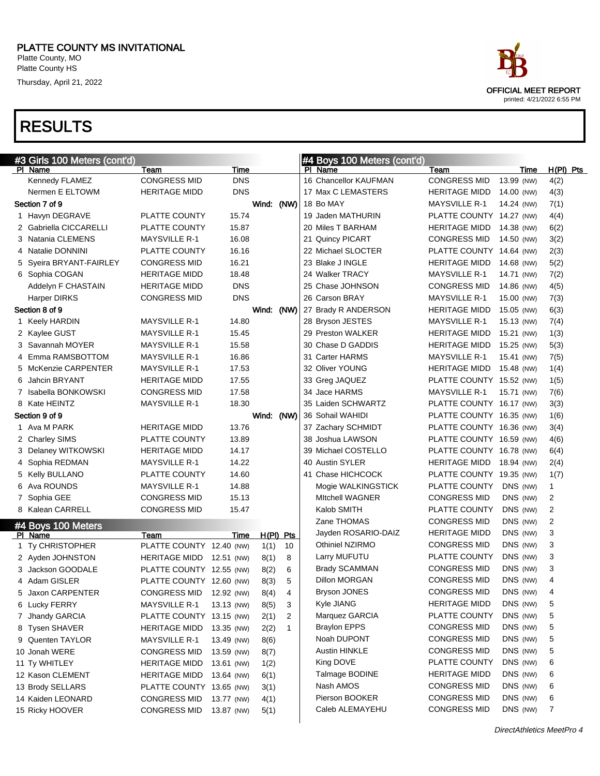Platte County, MO Platte County HS

Thursday, April 21, 2022

| ace |                            |  |
|-----|----------------------------|--|
|     | OFFICIAL MEET REPORT       |  |
|     | printed: 4/21/2022 6:55 PM |  |

| #3 Girls 100 Meters (cont'd) |                          |            |            |                | #4 Boys 100 Meters (cont'd) |                          |            |                |
|------------------------------|--------------------------|------------|------------|----------------|-----------------------------|--------------------------|------------|----------------|
| PI Name                      | Team                     | Time       |            |                | PI Name                     | Team                     | Time       | $H(PI)$ Pts    |
| Kennedy FLAMEZ               | <b>CONGRESS MID</b>      | <b>DNS</b> |            |                | 16 Chancellor KAUFMAN       | <b>CONGRESS MID</b>      | 13.99 (NW) | 4(2)           |
| Nermen E ELTOWM              | <b>HERITAGE MIDD</b>     | <b>DNS</b> |            |                | 17 Max C LEMASTERS          | <b>HERITAGE MIDD</b>     | 14.00 (NW) | 4(3)           |
| Section 7 of 9               |                          |            | Wind: (NW) |                | 18 Bo MAY                   | <b>MAYSVILLE R-1</b>     | 14.24 (NW) | 7(1)           |
| 1 Havyn DEGRAVE              | PLATTE COUNTY            | 15.74      |            |                | 19 Jaden MATHURIN           | PLATTE COUNTY 14.27 (NW) |            | 4(4)           |
| 2 Gabriella CICCARELLI       | PLATTE COUNTY            | 15.87      |            |                | 20 Miles T BARHAM           | <b>HERITAGE MIDD</b>     | 14.38 (NW) | 6(2)           |
| 3 Natania CLEMENS            | <b>MAYSVILLE R-1</b>     | 16.08      |            |                | 21 Quincy PICART            | <b>CONGRESS MID</b>      | 14.50 (NW) | 3(2)           |
| 4 Natalie DONNINI            | <b>PLATTE COUNTY</b>     | 16.16      |            |                | 22 Michael SLOCTER          | PLATTE COUNTY 14.64 (NW) |            | 2(3)           |
| 5 Syeira BRYANT-FAIRLEY      | <b>CONGRESS MID</b>      | 16.21      |            |                | 23 Blake J INGLE            | HERITAGE MIDD            | 14.68 (NW) | 5(2)           |
| 6 Sophia COGAN               | <b>HERITAGE MIDD</b>     | 18.48      |            |                | 24 Walker TRACY             | <b>MAYSVILLE R-1</b>     | 14.71 (NW) | 7(2)           |
| Addelyn F CHASTAIN           | <b>HERITAGE MIDD</b>     | <b>DNS</b> |            |                | 25 Chase JOHNSON            | <b>CONGRESS MID</b>      | 14.86 (NW) | 4(5)           |
| <b>Harper DIRKS</b>          | <b>CONGRESS MID</b>      | <b>DNS</b> |            |                | 26 Carson BRAY              | <b>MAYSVILLE R-1</b>     | 15.00 (NW) | 7(3)           |
| Section 8 of 9               |                          |            | Wind: (NW) |                | 27 Brady R ANDERSON         | <b>HERITAGE MIDD</b>     | 15.05 (NW) | 6(3)           |
| 1 Keely HARDIN               | <b>MAYSVILLE R-1</b>     | 14.80      |            |                | 28 Bryson JESTES            | <b>MAYSVILLE R-1</b>     | 15.13 (NW) | 7(4)           |
| 2 Kaylee GUST                | <b>MAYSVILLE R-1</b>     | 15.45      |            |                | 29 Preston WALKER           | <b>HERITAGE MIDD</b>     | 15.21 (NW) | 1(3)           |
| 3 Savannah MOYER             | <b>MAYSVILLE R-1</b>     | 15.58      |            |                | 30 Chase D GADDIS           | <b>HERITAGE MIDD</b>     | 15.25 (NW) | 5(3)           |
| 4 Emma RAMSBOTTOM            | <b>MAYSVILLE R-1</b>     | 16.86      |            |                | 31 Carter HARMS             | <b>MAYSVILLE R-1</b>     | 15.41 (NW) | 7(5)           |
| 5 McKenzie CARPENTER         | <b>MAYSVILLE R-1</b>     | 17.53      |            |                | 32 Oliver YOUNG             | <b>HERITAGE MIDD</b>     | 15.48 (NW) | 1(4)           |
| 6 Jahcin BRYANT              | <b>HERITAGE MIDD</b>     | 17.55      |            |                | 33 Greg JAQUEZ              | PLATTE COUNTY 15.52 (NW) |            | 1(5)           |
| 7 Isabella BONKOWSKI         | <b>CONGRESS MID</b>      | 17.58      |            |                | 34 Jace HARMS               | <b>MAYSVILLE R-1</b>     | 15.71 (NW) | 7(6)           |
| 8 Kate HEINTZ                | <b>MAYSVILLE R-1</b>     | 18.30      |            |                | 35 Laiden SCHWARTZ          | PLATTE COUNTY 16.17 (NW) |            | 3(3)           |
| Section 9 of 9               |                          |            | Wind: (NW) |                | 36 Sohail WAHIDI            | PLATTE COUNTY 16.35 (NW) |            | 1(6)           |
| 1 Ava M PARK                 | <b>HERITAGE MIDD</b>     | 13.76      |            |                | 37 Zachary SCHMIDT          | PLATTE COUNTY 16.36 (NW) |            | 3(4)           |
| 2 Charley SIMS               | PLATTE COUNTY            | 13.89      |            |                | 38 Joshua LAWSON            | PLATTE COUNTY 16.59 (NW) |            | 4(6)           |
| 3 Delaney WITKOWSKI          | <b>HERITAGE MIDD</b>     | 14.17      |            |                | 39 Michael COSTELLO         | PLATTE COUNTY 16.78 (NW) |            | 6(4)           |
| 4 Sophia REDMAN              | <b>MAYSVILLE R-1</b>     | 14.22      |            |                | 40 Austin SYLER             | HERITAGE MIDD            | 18.94 (NW) | 2(4)           |
| 5 Kelly BULLANO              | PLATTE COUNTY            | 14.60      |            |                | 41 Chase HICHCOCK           | PLATTE COUNTY 19.35 (NW) |            | 1(7)           |
| 6 Ava ROUNDS                 | <b>MAYSVILLE R-1</b>     | 14.88      |            |                | Mogie WALKINGSTICK          | PLATTE COUNTY            | DNS (NW)   | 1              |
| 7 Sophia GEE                 | <b>CONGRESS MID</b>      | 15.13      |            |                | <b>MItchell WAGNER</b>      | <b>CONGRESS MID</b>      | DNS (NW)   | 2              |
| 8 Kalean CARRELL             | <b>CONGRESS MID</b>      | 15.47      |            |                | Kalob SMITH                 | PLATTE COUNTY            | DNS (NW)   | $\overline{c}$ |
| #4 Boys 100 Meters           |                          |            |            |                | Zane THOMAS                 | <b>CONGRESS MID</b>      | DNS (NW)   | $\overline{c}$ |
| PI Name                      | Team                     | Time       |            | $H(PI)$ Pts    | Jayden ROSARIO-DAIZ         | <b>HERITAGE MIDD</b>     | DNS (NW)   | 3              |
| 1 Ty CHRISTOPHER             | PLATTE COUNTY 12.40 (NW) |            | 1(1)       | 10             | Othiniel NZIRMO             | <b>CONGRESS MID</b>      | DNS (NW)   | 3              |
| 2 Ayden JOHNSTON             | HERITAGE MIDD 12.51 (NW) |            | 8(1)       | 8              | Larry MUFUTU                | PLATTE COUNTY            | DNS (NW)   | 3              |
| 3 Jackson GOODALE            | PLATTE COUNTY 12.55 (NW) |            | 8(2)       | 6              | <b>Brady SCAMMAN</b>        | <b>CONGRESS MID</b>      | DNS (NW)   | 3              |
| 4 Adam GISLER                | PLATTE COUNTY 12.60 (NW) |            | 8(3)       | 5              | Dillon MORGAN               | <b>CONGRESS MID</b>      | DNS (NW)   | 4              |
| 5 Jaxon CARPENTER            | CONGRESS MID 12.92 (NW)  |            | 8(4)       | $\overline{4}$ | Bryson JONES                | CONGRESS MID             | DNS (NW)   | 4              |
| 6 Lucky FERRY                | <b>MAYSVILLE R-1</b>     | 13.13 (NW) | 8(5)       | 3              | Kyle JIANG                  | <b>HERITAGE MIDD</b>     | DNS (NW)   | 5              |
| 7 Jhandy GARCIA              | PLATTE COUNTY 13.15 (NW) |            | 2(1)       | $\overline{2}$ | Marquez GARCIA              | PLATTE COUNTY            | DNS (NW)   | 5              |
| 8 Tysen SHAVER               | HERITAGE MIDD            | 13.35 (NW) | 2(2)       | $\mathbf{1}$   | <b>Braylon EPPS</b>         | <b>CONGRESS MID</b>      | DNS (NW)   | 5              |
| 9 Quenten TAYLOR             | <b>MAYSVILLE R-1</b>     | 13.49 (NW) | 8(6)       |                | Noah DUPONT                 | <b>CONGRESS MID</b>      | DNS (NW)   | 5              |
| 10 Jonah WERE                | <b>CONGRESS MID</b>      | 13.59 (NW) | 8(7)       |                | Austin HINKLE               | <b>CONGRESS MID</b>      | DNS (NW)   | 5              |
| 11 Ty WHITLEY                | <b>HERITAGE MIDD</b>     | 13.61 (NW) | 1(2)       |                | King DOVE                   | PLATTE COUNTY            | DNS (NW)   | 6              |
| 12 Kason CLEMENT             | HERITAGE MIDD            | 13.64 (NW) | 6(1)       |                | Talmage BODINE              | <b>HERITAGE MIDD</b>     | DNS (NW)   | 6              |
| 13 Brody SELLARS             | PLATTE COUNTY 13.65 (NW) |            | 3(1)       |                | Nash AMOS                   | <b>CONGRESS MID</b>      | DNS (NW)   | 6              |
| 14 Kaiden LEONARD            | <b>CONGRESS MID</b>      | 13.77 (NW) | 4(1)       |                | Pierson BOOKER              | <b>CONGRESS MID</b>      | DNS (NW)   | 6              |
| 15 Ricky HOOVER              | <b>CONGRESS MID</b>      | 13.87 (NW) | 5(1)       |                | Caleb ALEMAYEHU             | <b>CONGRESS MID</b>      | DNS (NW)   | 7              |
|                              |                          |            |            |                |                             |                          |            |                |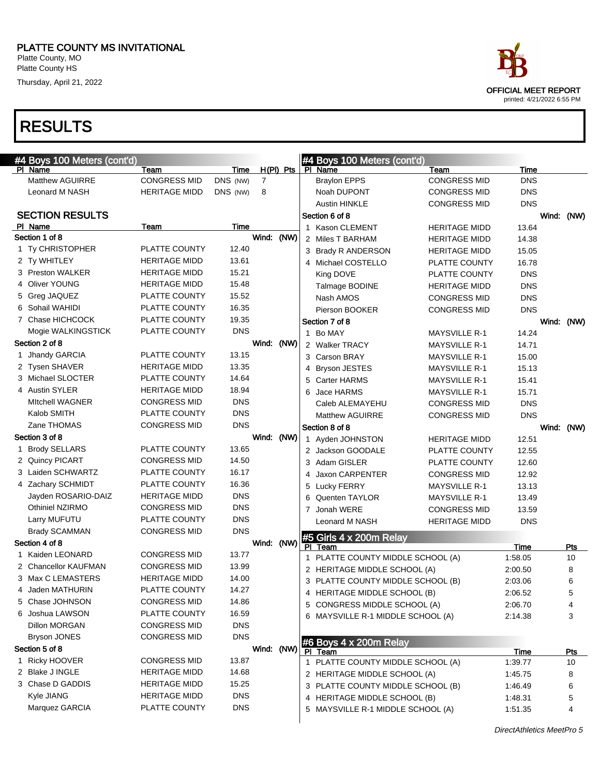Platte County, MO Platte County HS

Thursday, April 21, 2022



#### RESULTS

|   | #4 Boys 100 Meters (cont'd) |                      |            |   |             |   | #4 Boys 100 Meters (cont'd)        |                      |            |            |
|---|-----------------------------|----------------------|------------|---|-------------|---|------------------------------------|----------------------|------------|------------|
|   | PI Name                     | Team                 | Time       |   | $H(PI)$ Pts |   | PI Name                            | Team                 | Time       |            |
|   | <b>Matthew AGUIRRE</b>      | <b>CONGRESS MID</b>  | DNS (NW)   | 7 |             |   | <b>Braylon EPPS</b>                | <b>CONGRESS MID</b>  | <b>DNS</b> |            |
|   | Leonard M NASH              | <b>HERITAGE MIDD</b> | DNS (NW)   | 8 |             |   | Noah DUPONT                        | <b>CONGRESS MID</b>  | <b>DNS</b> |            |
|   |                             |                      |            |   |             |   | <b>Austin HINKLE</b>               | <b>CONGRESS MID</b>  | <b>DNS</b> |            |
|   | <b>SECTION RESULTS</b>      |                      |            |   |             |   | Section 6 of 8                     |                      |            | Wind: (NW) |
|   | PI Name                     | Team                 | Time       |   |             |   | 1 Kason CLEMENT                    | <b>HERITAGE MIDD</b> | 13.64      |            |
|   | Section 1 of 8              |                      |            |   | Wind: (NW)  |   | 2 Miles T BARHAM                   | <b>HERITAGE MIDD</b> | 14.38      |            |
|   | 1 Ty CHRISTOPHER            | PLATTE COUNTY        | 12.40      |   |             |   | 3 Brady R ANDERSON                 | <b>HERITAGE MIDD</b> | 15.05      |            |
|   | 2 Ty WHITLEY                | <b>HERITAGE MIDD</b> | 13.61      |   |             |   | 4 Michael COSTELLO                 | PLATTE COUNTY        | 16.78      |            |
|   | 3 Preston WALKER            | <b>HERITAGE MIDD</b> | 15.21      |   |             |   | King DOVE                          | PLATTE COUNTY        | <b>DNS</b> |            |
|   | 4 Oliver YOUNG              | <b>HERITAGE MIDD</b> | 15.48      |   |             |   | Talmage BODINE                     | <b>HERITAGE MIDD</b> | <b>DNS</b> |            |
|   | 5 Greg JAQUEZ               | PLATTE COUNTY        | 15.52      |   |             |   | Nash AMOS                          | <b>CONGRESS MID</b>  | <b>DNS</b> |            |
|   | 6 Sohail WAHIDI             | PLATTE COUNTY        | 16.35      |   |             |   | Pierson BOOKER                     | <b>CONGRESS MID</b>  | <b>DNS</b> |            |
|   | 7 Chase HICHCOCK            | PLATTE COUNTY        | 19.35      |   |             |   | Section 7 of 8                     |                      |            | Wind: (NW) |
|   | Mogie WALKINGSTICK          | PLATTE COUNTY        | <b>DNS</b> |   |             |   | 1 Bo MAY                           | <b>MAYSVILLE R-1</b> | 14.24      |            |
|   | Section 2 of 8              |                      |            |   | Wind: (NW)  |   | 2 Walker TRACY                     | <b>MAYSVILLE R-1</b> | 14.71      |            |
|   | Jhandy GARCIA               | PLATTE COUNTY        | 13.15      |   |             |   | 3 Carson BRAY                      | <b>MAYSVILLE R-1</b> | 15.00      |            |
|   | 2 Tysen SHAVER              | <b>HERITAGE MIDD</b> | 13.35      |   |             | 4 | <b>Bryson JESTES</b>               | <b>MAYSVILLE R-1</b> | 15.13      |            |
|   | 3 Michael SLOCTER           | PLATTE COUNTY        | 14.64      |   |             |   | 5 Carter HARMS                     | <b>MAYSVILLE R-1</b> | 15.41      |            |
|   | 4 Austin SYLER              | <b>HERITAGE MIDD</b> | 18.94      |   |             | 6 | Jace HARMS                         | <b>MAYSVILLE R-1</b> | 15.71      |            |
|   | <b>MItchell WAGNER</b>      | <b>CONGRESS MID</b>  | <b>DNS</b> |   |             |   | Caleb ALEMAYEHU                    | <b>CONGRESS MID</b>  | <b>DNS</b> |            |
|   | Kalob SMITH                 | PLATTE COUNTY        | <b>DNS</b> |   |             |   | <b>Matthew AGUIRRE</b>             | <b>CONGRESS MID</b>  | <b>DNS</b> |            |
|   | Zane THOMAS                 | <b>CONGRESS MID</b>  | <b>DNS</b> |   |             |   | Section 8 of 8                     |                      |            | Wind: (NW) |
|   | Section 3 of 8              |                      |            |   | Wind: (NW)  |   | 1 Ayden JOHNSTON                   | <b>HERITAGE MIDD</b> | 12.51      |            |
| 1 | <b>Brody SELLARS</b>        | PLATTE COUNTY        | 13.65      |   |             |   | 2 Jackson GOODALE                  | PLATTE COUNTY        | 12.55      |            |
|   | 2 Quincy PICART             | <b>CONGRESS MID</b>  | 14.50      |   |             |   | 3 Adam GISLER                      | PLATTE COUNTY        | 12.60      |            |
|   | 3 Laiden SCHWARTZ           | PLATTE COUNTY        | 16.17      |   |             | 4 | Jaxon CARPENTER                    | <b>CONGRESS MID</b>  | 12.92      |            |
|   | 4 Zachary SCHMIDT           | PLATTE COUNTY        | 16.36      |   |             | 5 | <b>Lucky FERRY</b>                 | <b>MAYSVILLE R-1</b> | 13.13      |            |
|   | Jayden ROSARIO-DAIZ         | <b>HERITAGE MIDD</b> | <b>DNS</b> |   |             | 6 | <b>Quenten TAYLOR</b>              | <b>MAYSVILLE R-1</b> | 13.49      |            |
|   | Othiniel NZIRMO             | <b>CONGRESS MID</b>  | <b>DNS</b> |   |             |   | 7 Jonah WERE                       | <b>CONGRESS MID</b>  | 13.59      |            |
|   | Larry MUFUTU                | PLATTE COUNTY        | <b>DNS</b> |   |             |   | Leonard M NASH                     | <b>HERITAGE MIDD</b> | <b>DNS</b> |            |
|   | <b>Brady SCAMMAN</b>        | <b>CONGRESS MID</b>  | <b>DNS</b> |   |             |   |                                    |                      |            |            |
|   | Section 4 of 8              |                      |            |   | Wind: (NW)  |   | #5 Girls 4 x 200m Relay<br>PI Team |                      | Time       | Pts        |
|   | 1 Kaiden LEONARD            | <b>CONGRESS MID</b>  | 13.77      |   |             |   | 1 PLATTE COUNTY MIDDLE SCHOOL (A)  |                      | 1:58.05    | 10         |
|   | 2 Chancellor KAUFMAN        | <b>CONGRESS MID</b>  | 13.99      |   |             |   | 2 HERITAGE MIDDLE SCHOOL (A)       |                      | 2:00.50    | 8          |
|   | 3 Max C LEMASTERS           | <b>HERITAGE MIDD</b> | 14.00      |   |             |   | 3 PLATTE COUNTY MIDDLE SCHOOL (B)  |                      | 2:03.06    | 6          |
|   | 4 Jaden MATHURIN            | PLATTE COUNTY        | 14.27      |   |             |   | 4 HERITAGE MIDDLE SCHOOL (B)       |                      | 2:06.52    | 5          |
|   | 5 Chase JOHNSON             | <b>CONGRESS MID</b>  | 14.86      |   |             |   | 5 CONGRESS MIDDLE SCHOOL (A)       |                      | 2:06.70    | 4          |
|   | 6 Joshua LAWSON             | PLATTE COUNTY        | 16.59      |   |             |   | 6 MAYSVILLE R-1 MIDDLE SCHOOL (A)  |                      | 2:14.38    | 3          |
|   | Dillon MORGAN               | <b>CONGRESS MID</b>  | <b>DNS</b> |   |             |   |                                    |                      |            |            |
|   | <b>Bryson JONES</b>         | <b>CONGRESS MID</b>  | <b>DNS</b> |   |             |   |                                    |                      |            |            |
|   | Section 5 of 8              |                      |            |   | Wind: (NW)  |   | #6 Boys 4 x 200m Relay<br>PI Team  |                      | Time       | <b>Pts</b> |
|   | 1 Ricky HOOVER              | <b>CONGRESS MID</b>  | 13.87      |   |             |   | 1 PLATTE COUNTY MIDDLE SCHOOL (A)  |                      | 1:39.77    | 10         |
|   | 2 Blake J INGLE             | <b>HERITAGE MIDD</b> | 14.68      |   |             |   | 2 HERITAGE MIDDLE SCHOOL (A)       |                      | 1:45.75    | 8          |
|   | 3 Chase D GADDIS            | <b>HERITAGE MIDD</b> | 15.25      |   |             |   | 3 PLATTE COUNTY MIDDLE SCHOOL (B)  |                      | 1:46.49    | 6          |
|   | Kyle JIANG                  | <b>HERITAGE MIDD</b> | <b>DNS</b> |   |             |   | 4 HERITAGE MIDDLE SCHOOL (B)       |                      | 1:48.31    | 5          |
|   | Marquez GARCIA              | PLATTE COUNTY        | <b>DNS</b> |   |             |   | 5 MAYSVILLE R-1 MIDDLE SCHOOL (A)  |                      | 1:51.35    | 4          |
|   |                             |                      |            |   |             |   |                                    |                      |            |            |

DirectAthletics MeetPro 5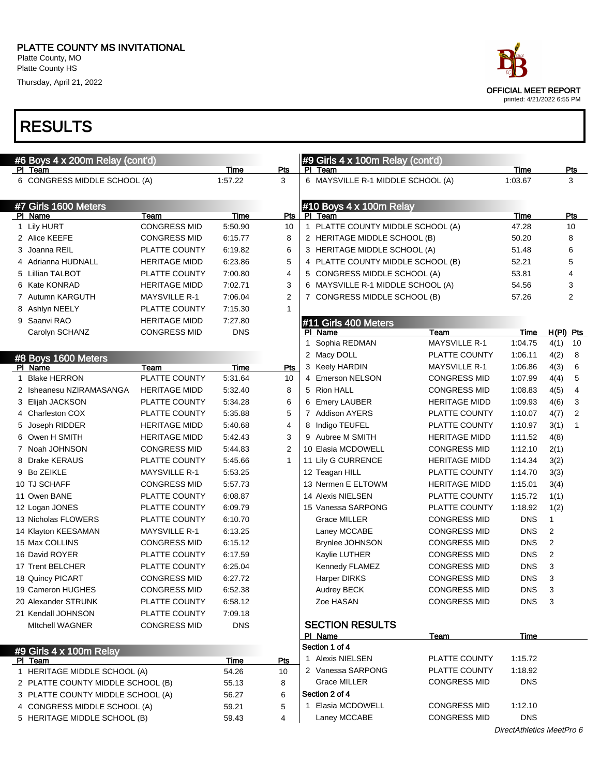#### PLATTE COUNTY MS INVITATIONAL Platte County, MO

Platte County HS

Thursday, April 21, 2022

| #6 Boys 4 x 200m Relay (cont'd)    |                      |             |                |    | #9 Girls 4 x 100m Relay (cont'd)  |                      |                           |                |                |
|------------------------------------|----------------------|-------------|----------------|----|-----------------------------------|----------------------|---------------------------|----------------|----------------|
| PI Team                            |                      | Time        | Pts            | PL | Team                              |                      | Time                      |                | Pts            |
| 6 CONGRESS MIDDLE SCHOOL (A)       |                      | 1:57.22     | 3              |    | 6 MAYSVILLE R-1 MIDDLE SCHOOL (A) |                      | 1:03.67                   |                | 3              |
| #7 Girls 1600 Meters               |                      |             |                |    | #10 Boys 4 x 100m Relay           |                      |                           |                |                |
| PI Name                            | Team                 | Time        | <b>Pts</b>     |    | PI Team                           |                      | Time                      |                | Pts            |
| 1 Lily HURT                        | <b>CONGRESS MID</b>  | 5:50.90     | 10             |    | 1 PLATTE COUNTY MIDDLE SCHOOL (A) |                      | 47.28                     |                | 10             |
| 2 Alice KEEFE                      | <b>CONGRESS MID</b>  | 6:15.77     | 8              |    | 2 HERITAGE MIDDLE SCHOOL (B)      |                      | 50.20                     |                | 8              |
| 3 Joanna REIL                      | PLATTE COUNTY        | 6:19.82     | 6              |    | 3 HERITAGE MIDDLE SCHOOL (A)      |                      | 51.48                     |                | 6              |
| 4 Adrianna HUDNALL                 | <b>HERITAGE MIDD</b> | 6:23.86     | 5              |    | 4 PLATTE COUNTY MIDDLE SCHOOL (B) |                      | 52.21                     |                | 5              |
| 5 Lillian TALBOT                   | PLATTE COUNTY        | 7:00.80     | 4              |    | 5 CONGRESS MIDDLE SCHOOL (A)      |                      | 53.81                     |                | 4              |
| 6 Kate KONRAD                      | <b>HERITAGE MIDD</b> | 7:02.71     | 3              |    | 6 MAYSVILLE R-1 MIDDLE SCHOOL (A) |                      | 54.56                     |                | 3              |
| 7 Autumn KARGUTH                   | <b>MAYSVILLE R-1</b> | 7:06.04     | $\overline{2}$ |    | 7 CONGRESS MIDDLE SCHOOL (B)      |                      | 57.26                     |                | 2              |
| 8 Ashlyn NEELY                     | PLATTE COUNTY        | 7:15.30     | 1              |    |                                   |                      |                           |                |                |
| 9 Saanvi RAO                       | <b>HERITAGE MIDD</b> | 7:27.80     |                |    | #11 Girls 400 Meters              |                      |                           |                |                |
| Carolyn SCHANZ                     | <b>CONGRESS MID</b>  | <b>DNS</b>  |                |    | PI Name                           | Team                 | Time                      | $H(PI)$ Pts    |                |
|                                    |                      |             |                |    | 1 Sophia REDMAN                   | <b>MAYSVILLE R-1</b> | 1:04.75                   | 4(1)           | 10             |
| #8 Boys 1600 Meters                |                      |             |                |    | 2 Macy DOLL                       | PLATTE COUNTY        | 1:06.11                   | 4(2)           | 8              |
| PI Name                            | Team                 | Time        | Pts            |    | 3 Keely HARDIN                    | <b>MAYSVILLE R-1</b> | 1:06.86                   | 4(3)           | 6              |
| <b>Blake HERRON</b>                | PLATTE COUNTY        | 5:31.64     | 10             |    | 4 Emerson NELSON                  | <b>CONGRESS MID</b>  | 1:07.99                   | 4(4)           | 5              |
| 2 Isheanesu NZIRAMASANGA           | <b>HERITAGE MIDD</b> | 5:32.40     | 8              |    | 5 Rion HALL                       | <b>CONGRESS MID</b>  | 1:08.83                   | 4(5)           | $\overline{4}$ |
| 3 Elijah JACKSON                   | PLATTE COUNTY        | 5:34.28     | 6              |    | 6 Emery LAUBER                    | <b>HERITAGE MIDD</b> | 1:09.93                   | 4(6)           | 3              |
| 4 Charleston COX                   | PLATTE COUNTY        | 5:35.88     | 5              |    | 7 Addison AYERS                   | PLATTE COUNTY        | 1:10.07                   | 4(7)           | $\overline{2}$ |
| 5 Joseph RIDDER                    | <b>HERITAGE MIDD</b> | 5:40.68     | 4              |    | 8 Indigo TEUFEL                   | PLATTE COUNTY        | 1:10.97                   | 3(1)           | $\mathbf{1}$   |
| 6 Owen H SMITH                     | <b>HERITAGE MIDD</b> | 5:42.43     | 3              |    | 9 Aubree M SMITH                  | <b>HERITAGE MIDD</b> | 1:11.52                   | 4(8)           |                |
| 7 Noah JOHNSON                     | <b>CONGRESS MID</b>  | 5:44.83     | 2              |    | 10 Elasia MCDOWELL                | <b>CONGRESS MID</b>  | 1:12.10                   | 2(1)           |                |
| 8 Drake KERAUS                     | PLATTE COUNTY        | 5:45.66     | 1              |    | 11 Lily G CURRENCE                | <b>HERITAGE MIDD</b> | 1:14.34                   | 3(2)           |                |
| 9 Bo ZEIKLE                        | <b>MAYSVILLE R-1</b> | 5:53.25     |                |    | 12 Teagan HILL                    | PLATTE COUNTY        | 1:14.70                   | 3(3)           |                |
| 10 TJ SCHAFF                       | <b>CONGRESS MID</b>  | 5:57.73     |                |    | 13 Nermen E ELTOWM                | <b>HERITAGE MIDD</b> | 1:15.01                   | 3(4)           |                |
| 11 Owen BANE                       | PLATTE COUNTY        | 6:08.87     |                |    | 14 Alexis NIELSEN                 | PLATTE COUNTY        | 1:15.72                   | 1(1)           |                |
| 12 Logan JONES                     | PLATTE COUNTY        | 6:09.79     |                |    | 15 Vanessa SARPONG                | PLATTE COUNTY        | 1:18.92                   | 1(2)           |                |
| 13 Nicholas FLOWERS                | PLATTE COUNTY        | 6:10.70     |                |    | <b>Grace MILLER</b>               | <b>CONGRESS MID</b>  | <b>DNS</b>                | 1              |                |
| 14 Klayton KEESAMAN                | <b>MAYSVILLE R-1</b> | 6:13.25     |                |    | Laney MCCABE                      | <b>CONGRESS MID</b>  | <b>DNS</b>                | $\overline{2}$ |                |
| 15 Max COLLINS                     | <b>CONGRESS MID</b>  | 6:15.12     |                |    | <b>Brynlee JOHNSON</b>            | <b>CONGRESS MID</b>  | <b>DNS</b>                | $\overline{2}$ |                |
| 16 David ROYER                     | PLATTE COUNTY        | 6:17.59     |                |    | Kaylie LUTHER                     | <b>CONGRESS MID</b>  | <b>DNS</b>                | $\overline{2}$ |                |
| 17 Trent BELCHER                   | PLATTE COUNTY        | 6:25.04     |                |    | Kennedy FLAMEZ                    | <b>CONGRESS MID</b>  | <b>DNS</b>                | 3              |                |
| 18 Quincy PICART                   | <b>CONGRESS MID</b>  | 6:27.72     |                |    | Harper DIRKS                      | <b>CONGRESS MID</b>  | <b>DNS</b>                | 3              |                |
| 19 Cameron HUGHES                  | <b>CONGRESS MID</b>  | 6:52.38     |                |    | Audrey BECK                       | <b>CONGRESS MID</b>  | <b>DNS</b>                | $\sqrt{3}$     |                |
| 20 Alexander STRUNK                | PLATTE COUNTY        | 6:58.12     |                |    | Zoe HASAN                         | <b>CONGRESS MID</b>  | DNS.                      | 3              |                |
| 21 Kendall JOHNSON                 | PLATTE COUNTY        | 7:09.18     |                |    |                                   |                      |                           |                |                |
| <b>MItchell WAGNER</b>             | <b>CONGRESS MID</b>  | <b>DNS</b>  |                |    | <b>SECTION RESULTS</b>            |                      |                           |                |                |
|                                    |                      |             |                |    | PI Name                           | <b>Team</b>          | Time                      |                |                |
|                                    |                      |             |                |    | Section 1 of 4                    |                      |                           |                |                |
| #9 Girls 4 x 100m Relay<br>PI Team |                      | <b>Time</b> | Pts            |    | 1 Alexis NIELSEN                  | PLATTE COUNTY        | 1:15.72                   |                |                |
| 1 HERITAGE MIDDLE SCHOOL (A)       |                      | 54.26       | 10             |    | 2 Vanessa SARPONG                 | PLATTE COUNTY        | 1:18.92                   |                |                |
| 2 PLATTE COUNTY MIDDLE SCHOOL (B)  |                      | 55.13       | 8              |    | <b>Grace MILLER</b>               | <b>CONGRESS MID</b>  | <b>DNS</b>                |                |                |
| 3 PLATTE COUNTY MIDDLE SCHOOL (A)  |                      | 56.27       | 6              |    | Section 2 of 4                    |                      |                           |                |                |
| 4 CONGRESS MIDDLE SCHOOL (A)       |                      | 59.21       | 5              |    | 1 Elasia MCDOWELL                 | <b>CONGRESS MID</b>  | 1:12.10                   |                |                |
| 5 HERITAGE MIDDLE SCHOOL (B)       |                      | 59.43       | 4              |    | Laney MCCABE                      | <b>CONGRESS MID</b>  | <b>DNS</b>                |                |                |
|                                    |                      |             |                |    |                                   |                      | DirectAthletics MeetPro 6 |                |                |

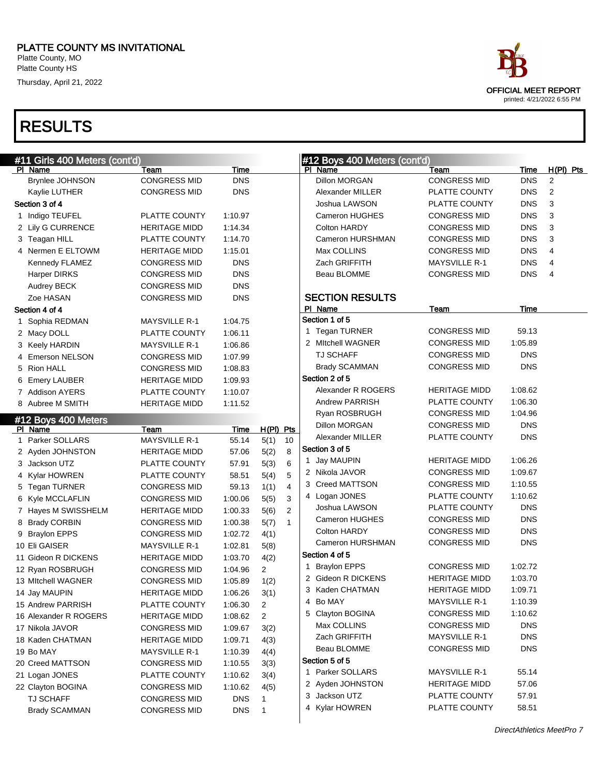Platte County, MO Platte County HS

Thursday, April 21, 2022



| #11 Girls 400 Meters (cont'd) |                      |             |                |                | #12 Boys 400 Meters (cont'd) |                        |                      |            |                |
|-------------------------------|----------------------|-------------|----------------|----------------|------------------------------|------------------------|----------------------|------------|----------------|
| PI Name                       | Team                 | Time        |                |                | PI Name                      |                        | Team                 | Time       | $H(PI)$ Pts    |
| <b>Brynlee JOHNSON</b>        | <b>CONGRESS MID</b>  | <b>DNS</b>  |                |                |                              | <b>Dillon MORGAN</b>   | <b>CONGRESS MID</b>  | <b>DNS</b> | 2              |
| Kaylie LUTHER                 | <b>CONGRESS MID</b>  | <b>DNS</b>  |                |                |                              | Alexander MILLER       | PLATTE COUNTY        | <b>DNS</b> | $\overline{2}$ |
| Section 3 of 4                |                      |             |                |                |                              | Joshua LAWSON          | PLATTE COUNTY        | <b>DNS</b> | 3              |
| 1 Indigo TEUFEL               | PLATTE COUNTY        | 1:10.97     |                |                |                              | Cameron HUGHES         | <b>CONGRESS MID</b>  | <b>DNS</b> | 3              |
| 2 Lily G CURRENCE             | HERITAGE MIDD        | 1:14.34     |                |                |                              | <b>Colton HARDY</b>    | <b>CONGRESS MID</b>  | <b>DNS</b> | 3              |
| 3 Teagan HILL                 | PLATTE COUNTY        | 1:14.70     |                |                |                              | Cameron HURSHMAN       | <b>CONGRESS MID</b>  | <b>DNS</b> | 3              |
| 4 Nermen E ELTOWM             | <b>HERITAGE MIDD</b> | 1:15.01     |                |                |                              | Max COLLINS            | <b>CONGRESS MID</b>  | <b>DNS</b> | 4              |
| Kennedy FLAMEZ                | <b>CONGRESS MID</b>  | <b>DNS</b>  |                |                |                              | Zach GRIFFITH          | <b>MAYSVILLE R-1</b> | <b>DNS</b> | 4              |
| <b>Harper DIRKS</b>           | <b>CONGRESS MID</b>  | <b>DNS</b>  |                |                |                              | Beau BLOMME            | <b>CONGRESS MID</b>  | <b>DNS</b> | 4              |
| <b>Audrey BECK</b>            | <b>CONGRESS MID</b>  | <b>DNS</b>  |                |                |                              |                        |                      |            |                |
| Zoe HASAN                     | <b>CONGRESS MID</b>  | <b>DNS</b>  |                |                |                              | <b>SECTION RESULTS</b> |                      |            |                |
| Section 4 of 4                |                      |             |                |                | PI Name                      |                        | Team                 | Time       |                |
| 1 Sophia REDMAN               | <b>MAYSVILLE R-1</b> | 1:04.75     |                |                |                              | Section 1 of 5         |                      |            |                |
| 2 Macy DOLL                   | PLATTE COUNTY        | 1:06.11     |                |                |                              | 1 Tegan TURNER         | <b>CONGRESS MID</b>  | 59.13      |                |
| 3 Keely HARDIN                | <b>MAYSVILLE R-1</b> | 1:06.86     |                |                |                              | 2 Mitchell WAGNER      | <b>CONGRESS MID</b>  | 1:05.89    |                |
| 4 Emerson NELSON              | <b>CONGRESS MID</b>  | 1:07.99     |                |                |                              | <b>TJ SCHAFF</b>       | <b>CONGRESS MID</b>  | <b>DNS</b> |                |
| 5 Rion HALL                   | <b>CONGRESS MID</b>  | 1:08.83     |                |                |                              | <b>Brady SCAMMAN</b>   | <b>CONGRESS MID</b>  | <b>DNS</b> |                |
| 6 Emery LAUBER                | <b>HERITAGE MIDD</b> | 1:09.93     |                |                |                              | Section 2 of 5         |                      |            |                |
| 7 Addison AYERS               | PLATTE COUNTY        | 1:10.07     |                |                |                              | Alexander R ROGERS     | <b>HERITAGE MIDD</b> | 1:08.62    |                |
| 8 Aubree M SMITH              | <b>HERITAGE MIDD</b> | 1:11.52     |                |                |                              | Andrew PARRISH         | PLATTE COUNTY        | 1:06.30    |                |
| #12 Boys 400 Meters           |                      |             |                |                |                              | Ryan ROSBRUGH          | <b>CONGRESS MID</b>  | 1:04.96    |                |
| PI Name                       | Team                 | <b>Time</b> | $H(PI)$ Pts    |                |                              | <b>Dillon MORGAN</b>   | <b>CONGRESS MID</b>  | <b>DNS</b> |                |
| Parker SOLLARS                | <b>MAYSVILLE R-1</b> | 55.14       | 5(1)           | 10             |                              | Alexander MILLER       | PLATTE COUNTY        | <b>DNS</b> |                |
| 2 Ayden JOHNSTON              | <b>HERITAGE MIDD</b> | 57.06       | 5(2)           | 8              |                              | Section 3 of 5         |                      |            |                |
| 3 Jackson UTZ                 | PLATTE COUNTY        | 57.91       | 5(3)           | 6              |                              | 1 Jay MAUPIN           | <b>HERITAGE MIDD</b> | 1:06.26    |                |
| 4 Kylar HOWREN                | PLATTE COUNTY        | 58.51       | 5(4)           | 5              |                              | 2 Nikola JAVOR         | <b>CONGRESS MID</b>  | 1:09.67    |                |
| 5 Tegan TURNER                | <b>CONGRESS MID</b>  | 59.13       | 1(1)           | $\overline{4}$ |                              | 3 Creed MATTSON        | <b>CONGRESS MID</b>  | 1:10.55    |                |
| 6 Kyle MCCLAFLIN              | <b>CONGRESS MID</b>  | 1:00.06     | 5(5)           | 3              |                              | 4 Logan JONES          | PLATTE COUNTY        | 1:10.62    |                |
| 7 Hayes M SWISSHELM           | <b>HERITAGE MIDD</b> | 1:00.33     | 5(6)           | 2              |                              | Joshua LAWSON          | PLATTE COUNTY        | <b>DNS</b> |                |
| 8 Brady CORBIN                | <b>CONGRESS MID</b>  | 1:00.38     | 5(7)           | $\mathbf{1}$   |                              | Cameron HUGHES         | <b>CONGRESS MID</b>  | <b>DNS</b> |                |
| 9 Braylon EPPS                | <b>CONGRESS MID</b>  | 1:02.72     | 4(1)           |                |                              | Colton HARDY           | <b>CONGRESS MID</b>  | <b>DNS</b> |                |
| 10 Eli GAISER                 | <b>MAYSVILLE R-1</b> | 1:02.81     | 5(8)           |                |                              | Cameron HURSHMAN       | <b>CONGRESS MID</b>  | <b>DNS</b> |                |
| 11 Gideon R DICKENS           | <b>HERITAGE MIDD</b> | 1:03.70     | 4(2)           |                |                              | Section 4 of 5         |                      |            |                |
| 12 Ryan ROSBRUGH              | <b>CONGRESS MID</b>  | 1:04.96     | $\mathbf{2}$   |                |                              | 1 Braylon EPPS         | <b>CONGRESS MID</b>  | 1:02.72    |                |
| 13 Mitchell WAGNER            | <b>CONGRESS MID</b>  | 1:05.89     | 1(2)           |                |                              | 2 Gideon R DICKENS     | <b>HERITAGE MIDD</b> | 1:03.70    |                |
| 14 Jay MAUPIN                 | <b>HERITAGE MIDD</b> | 1:06.26     | 3(1)           |                |                              | 3 Kaden CHATMAN        | <b>HERITAGE MIDD</b> | 1:09.71    |                |
| 15 Andrew PARRISH             | PLATTE COUNTY        | 1:06.30     | 2              |                |                              | 4 Bo MAY               | <b>MAYSVILLE R-1</b> | 1:10.39    |                |
| 16 Alexander R ROGERS         | <b>HERITAGE MIDD</b> | 1:08.62     | $\overline{c}$ |                |                              | 5 Clayton BOGINA       | <b>CONGRESS MID</b>  | 1:10.62    |                |
| 17 Nikola JAVOR               | <b>CONGRESS MID</b>  | 1:09.67     | 3(2)           |                |                              | Max COLLINS            | <b>CONGRESS MID</b>  | <b>DNS</b> |                |
| 18 Kaden CHATMAN              | <b>HERITAGE MIDD</b> | 1:09.71     | 4(3)           |                |                              | Zach GRIFFITH          | MAYSVILLE R-1        | <b>DNS</b> |                |
| 19 Bo MAY                     | <b>MAYSVILLE R-1</b> | 1:10.39     | 4(4)           |                |                              | Beau BLOMME            | <b>CONGRESS MID</b>  | <b>DNS</b> |                |
| 20 Creed MATTSON              | <b>CONGRESS MID</b>  | 1:10.55     | 3(3)           |                |                              | Section 5 of 5         |                      |            |                |
| 21 Logan JONES                | PLATTE COUNTY        | 1:10.62     | 3(4)           |                |                              | 1 Parker SOLLARS       | <b>MAYSVILLE R-1</b> | 55.14      |                |
| 22 Clayton BOGINA             | <b>CONGRESS MID</b>  | 1:10.62     | 4(5)           |                |                              | 2 Ayden JOHNSTON       | <b>HERITAGE MIDD</b> | 57.06      |                |
| <b>TJ SCHAFF</b>              | <b>CONGRESS MID</b>  | <b>DNS</b>  | 1              |                |                              | 3 Jackson UTZ          | PLATTE COUNTY        | 57.91      |                |
| <b>Brady SCAMMAN</b>          | <b>CONGRESS MID</b>  | <b>DNS</b>  | 1              |                |                              | 4 Kylar HOWREN         | PLATTE COUNTY        | 58.51      |                |
|                               |                      |             |                |                |                              |                        |                      |            |                |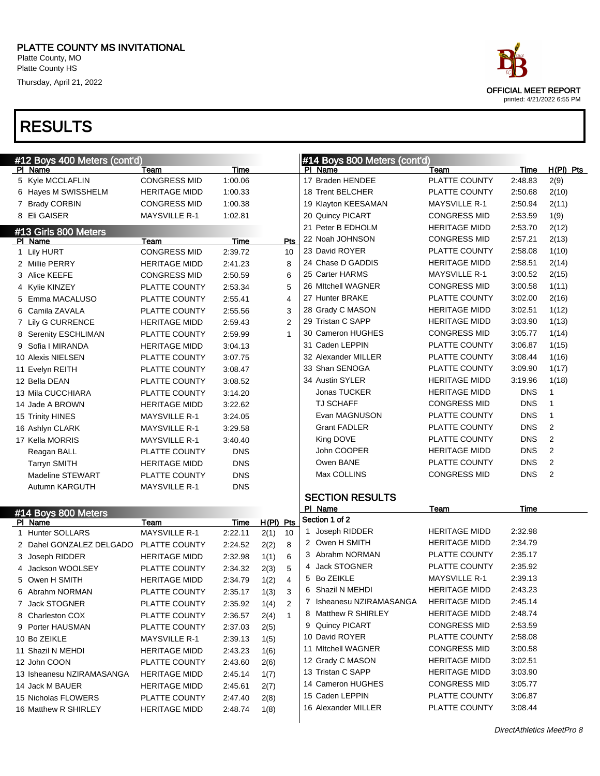Platte County, MO Platte County HS

Thursday, April 21, 2022

| #12 Boys 400 Meters (cont'd) |                      |             |             |                | #14 Boys 800 Meters (cont'd) |                      |            |                |
|------------------------------|----------------------|-------------|-------------|----------------|------------------------------|----------------------|------------|----------------|
| PI Name                      | Team                 | Time        |             |                | PI Name                      | Team                 | Time       | $H(PI)$ Pts    |
| 5 Kyle MCCLAFLIN             | <b>CONGRESS MID</b>  | 1:00.06     |             |                | 17 Braden HENDEE             | PLATTE COUNTY        | 2:48.83    | 2(9)           |
| 6 Hayes M SWISSHELM          | <b>HERITAGE MIDD</b> | 1:00.33     |             |                | 18 Trent BELCHER             | PLATTE COUNTY        | 2:50.68    | 2(10)          |
| 7 Brady CORBIN               | <b>CONGRESS MID</b>  | 1:00.38     |             |                | 19 Klayton KEESAMAN          | <b>MAYSVILLE R-1</b> | 2:50.94    | 2(11)          |
| 8 Eli GAISER                 | <b>MAYSVILLE R-1</b> | 1:02.81     |             |                | 20 Quincy PICART             | <b>CONGRESS MID</b>  | 2:53.59    | 1(9)           |
| #13 Girls 800 Meters         |                      |             |             |                | 21 Peter B EDHOLM            | <b>HERITAGE MIDD</b> | 2:53.70    | 2(12)          |
| PI Name                      | Team                 | <b>Time</b> |             | <b>Pts</b>     | 22 Noah JOHNSON              | <b>CONGRESS MID</b>  | 2:57.21    | 2(13)          |
| 1 Lily HURT                  | <b>CONGRESS MID</b>  | 2:39.72     |             | 10             | 23 David ROYER               | PLATTE COUNTY        | 2:58.08    | 1(10)          |
| 2 Millie PERRY               | <b>HERITAGE MIDD</b> | 2:41.23     |             | 8              | 24 Chase D GADDIS            | <b>HERITAGE MIDD</b> | 2:58.51    | 2(14)          |
| 3 Alice KEEFE                | <b>CONGRESS MID</b>  | 2:50.59     |             | 6              | 25 Carter HARMS              | <b>MAYSVILLE R-1</b> | 3:00.52    | 2(15)          |
| 4 Kylie KINZEY               | PLATTE COUNTY        | 2:53.34     |             | 5              | 26 Mitchell WAGNER           | <b>CONGRESS MID</b>  | 3:00.58    | 1(11)          |
| 5 Emma MACALUSO              | PLATTE COUNTY        | 2:55.41     |             | $\overline{4}$ | 27 Hunter BRAKE              | PLATTE COUNTY        | 3:02.00    | 2(16)          |
| 6 Camila ZAVALA              | PLATTE COUNTY        | 2:55.56     |             | 3              | 28 Grady C MASON             | <b>HERITAGE MIDD</b> | 3:02.51    | 1(12)          |
| 7 Lily G CURRENCE            | <b>HERITAGE MIDD</b> | 2:59.43     |             | 2              | 29 Tristan C SAPP            | <b>HERITAGE MIDD</b> | 3:03.90    | 1(13)          |
| 8 Serenity ESCHLIMAN         | PLATTE COUNTY        | 2:59.99     |             | $\mathbf{1}$   | 30 Cameron HUGHES            | <b>CONGRESS MID</b>  | 3:05.77    | 1(14)          |
| 9 Sofia I MIRANDA            | <b>HERITAGE MIDD</b> | 3:04.13     |             |                | 31 Caden LEPPIN              | <b>PLATTE COUNTY</b> | 3:06.87    | 1(15)          |
| 10 Alexis NIELSEN            | PLATTE COUNTY        | 3:07.75     |             |                | 32 Alexander MILLER          | <b>PLATTE COUNTY</b> | 3:08.44    | 1(16)          |
| 11 Evelyn REITH              | <b>PLATTE COUNTY</b> | 3:08.47     |             |                | 33 Shan SENOGA               | PLATTE COUNTY        | 3:09.90    | 1(17)          |
| 12 Bella DEAN                | PLATTE COUNTY        | 3:08.52     |             |                | 34 Austin SYLER              | <b>HERITAGE MIDD</b> | 3:19.96    | 1(18)          |
| 13 Mila CUCCHIARA            | PLATTE COUNTY        | 3:14.20     |             |                | Jonas TUCKER                 | <b>HERITAGE MIDD</b> | <b>DNS</b> | $\mathbf{1}$   |
| 14 Jade A BROWN              | <b>HERITAGE MIDD</b> | 3:22.62     |             |                | <b>TJ SCHAFF</b>             | <b>CONGRESS MID</b>  | <b>DNS</b> | $\mathbf{1}$   |
| 15 Trinity HINES             | <b>MAYSVILLE R-1</b> | 3:24.05     |             |                | Evan MAGNUSON                | PLATTE COUNTY        | <b>DNS</b> | $\mathbf{1}$   |
| 16 Ashlyn CLARK              | <b>MAYSVILLE R-1</b> | 3:29.58     |             |                | <b>Grant FADLER</b>          | PLATTE COUNTY        | <b>DNS</b> | 2              |
| 17 Kella MORRIS              | <b>MAYSVILLE R-1</b> | 3:40.40     |             |                | King DOVE                    | PLATTE COUNTY        | <b>DNS</b> | 2              |
| Reagan BALL                  | PLATTE COUNTY        | <b>DNS</b>  |             |                | John COOPER                  | <b>HERITAGE MIDD</b> | <b>DNS</b> | 2              |
| <b>Tarryn SMITH</b>          | <b>HERITAGE MIDD</b> | <b>DNS</b>  |             |                | Owen BANE                    | PLATTE COUNTY        | <b>DNS</b> | 2              |
| Madeline STEWART             | PLATTE COUNTY        | <b>DNS</b>  |             |                | Max COLLINS                  | <b>CONGRESS MID</b>  | <b>DNS</b> | $\overline{2}$ |
| Autumn KARGUTH               | <b>MAYSVILLE R-1</b> | <b>DNS</b>  |             |                |                              |                      |            |                |
|                              |                      |             |             |                | <b>SECTION RESULTS</b>       |                      |            |                |
| #14 Boys 800 Meters          |                      |             |             |                | PI Name                      | Team                 | Time       |                |
| PI Name                      | Team                 | Time        | $H(PI)$ Pts |                | Section 1 of 2               |                      |            |                |
| 1 Hunter SOLLARS             | <b>MAYSVILLE R-1</b> | 2:22.11     | 2(1)        | 10             | 1 Joseph RIDDER              | <b>HERITAGE MIDD</b> | 2:32.98    |                |
| 2 Dahel GONZALEZ DELGADO     | PLATTE COUNTY        | 2:24.52     | 2(2)        | 8              | 2 Owen H SMITH               | <b>HERITAGE MIDD</b> | 2:34.79    |                |
| 3 Joseph RIDDER              | <b>HERITAGE MIDD</b> | 2:32.98     | 1(1)        | 6              | 3 Abrahm NORMAN              | PLATTE COUNTY        | 2:35.17    |                |
| 4 Jackson WOOLSEY            | PLATTE COUNTY        | 2:34.32     | 2(3)        | 5              | 4 Jack STOGNER               | PLATTE COUNTY        | 2:35.92    |                |
| 5 Owen H SMITH               | <b>HERITAGE MIDD</b> | 2:34.79     | 1(2)        | $\overline{4}$ | 5 Bo ZEIKLE                  | <b>MAYSVILLE R-1</b> | 2:39.13    |                |
| 6 Abrahm NORMAN              | PLATTE COUNTY        | 2:35.17     | 1(3)        | 3              | 6 Shazil N MEHDI             | <b>HERITAGE MIDD</b> | 2:43.23    |                |
| 7 Jack STOGNER               | PLATTE COUNTY        | 2:35.92     | 1(4)        | 2              | 7 Isheanesu NZIRAMASANGA     | <b>HERITAGE MIDD</b> | 2:45.14    |                |
| 8 Charleston COX             | PLATTE COUNTY        | 2:36.57     | 2(4)        | $\mathbf{1}$   | 8 Matthew R SHIRLEY          | <b>HERITAGE MIDD</b> | 2:48.74    |                |
| 9 Porter HAUSMAN             | PLATTE COUNTY        | 2:37.03     | 2(5)        |                | 9 Quincy PICART              | <b>CONGRESS MID</b>  | 2:53.59    |                |
| 10 Bo ZEIKLE                 | <b>MAYSVILLE R-1</b> | 2:39.13     | 1(5)        |                | 10 David ROYER               | PLATTE COUNTY        | 2:58.08    |                |
| 11 Shazil N MEHDI            | <b>HERITAGE MIDD</b> | 2:43.23     | 1(6)        |                | 11 Mitchell WAGNER           | <b>CONGRESS MID</b>  | 3:00.58    |                |
| 12 John COON                 | PLATTE COUNTY        | 2:43.60     | 2(6)        |                | 12 Grady C MASON             | <b>HERITAGE MIDD</b> | 3:02.51    |                |
| 13 Isheanesu NZIRAMASANGA    | <b>HERITAGE MIDD</b> | 2:45.14     | 1(7)        |                | 13 Tristan C SAPP            | <b>HERITAGE MIDD</b> | 3:03.90    |                |
| 14 Jack M BAUER              | <b>HERITAGE MIDD</b> | 2:45.61     | 2(7)        |                | 14 Cameron HUGHES            | <b>CONGRESS MID</b>  | 3:05.77    |                |
| 15 Nicholas FLOWERS          | PLATTE COUNTY        | 2:47.40     | 2(8)        |                | 15 Caden LEPPIN              | PLATTE COUNTY        | 3:06.87    |                |
| 16 Matthew R SHIRLEY         | <b>HERITAGE MIDD</b> | 2:48.74     | 1(8)        |                | 16 Alexander MILLER          | PLATTE COUNTY        | 3:08.44    |                |
|                              |                      |             |             |                |                              |                      |            |                |

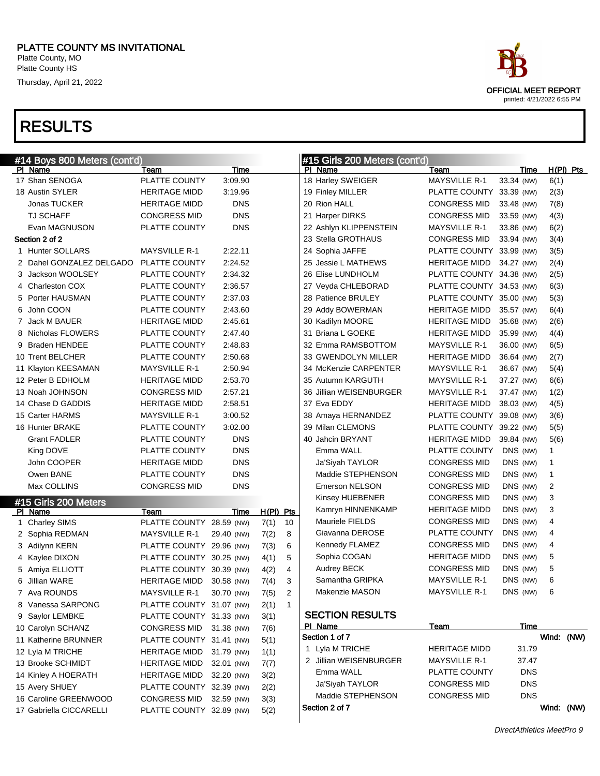#### RESULTS

 Lyla M TRICHE HERITAGE MIDD 31.79 (NW) 1(1) 13 Brooke SCHMIDT HERITAGE MIDD 32.01 (NW) 7(7) 14 Kinley A HOERATH HERITAGE MIDD 32.20 (NW) 3(2) Avery SHUEY PLATTE COUNTY 32.39 (NW) 2(2) Caroline GREENWOOD CONGRESS MID 32.59 (NW) 3(3) Gabriella CICCARELLI PLATTE COUNTY 32.89 (NW) 5(2)

| <b>RESULTS</b>                          |                          |            |             |    |                                          |                              |            |             |
|-----------------------------------------|--------------------------|------------|-------------|----|------------------------------------------|------------------------------|------------|-------------|
| #14 Boys 800 Meters (cont'd)<br>PI Name | Team                     | Time       |             |    | #15 Girls 200 Meters (cont'd)<br>PI Name |                              | Time       | $H(PI)$ Pts |
| 17 Shan SENOGA                          | PLATTE COUNTY            | 3:09.90    |             |    | 18 Harley SWEIGER                        | Team<br><b>MAYSVILLE R-1</b> | 33.34 (NW) | 6(1)        |
| 18 Austin SYLER                         | <b>HERITAGE MIDD</b>     | 3:19.96    |             |    | 19 Finley MILLER                         | PLATTE COUNTY 33.39 (NW)     |            | 2(3)        |
| Jonas TUCKER                            | <b>HERITAGE MIDD</b>     | <b>DNS</b> |             |    | 20 Rion HALL                             | <b>CONGRESS MID</b>          | 33.48 (NW) | 7(8)        |
| <b>TJ SCHAFF</b>                        | <b>CONGRESS MID</b>      | <b>DNS</b> |             |    | 21 Harper DIRKS                          | <b>CONGRESS MID</b>          | 33.59 (NW) | 4(3)        |
| Evan MAGNUSON                           | PLATTE COUNTY            | <b>DNS</b> |             |    | 22 Ashlyn KLIPPENSTEIN                   | <b>MAYSVILLE R-1</b>         | 33.86 (NW) | 6(2)        |
| Section 2 of 2                          |                          |            |             |    | 23 Stella GROTHAUS                       | CONGRESS MID                 | 33.94 (NW) | 3(4)        |
| 1 Hunter SOLLARS                        | <b>MAYSVILLE R-1</b>     | 2:22.11    |             |    | 24 Sophia JAFFE                          | PLATTE COUNTY 33.99 (NW)     |            | 3(5)        |
| 2 Dahel GONZALEZ DELGADO                | PLATTE COUNTY            | 2:24.52    |             |    | 25 Jessie L MATHEWS                      | HERITAGE MIDD                | 34.27 (NW) | 2(4)        |
| 3 Jackson WOOLSEY                       | PLATTE COUNTY            | 2:34.32    |             |    | 26 Elise LUNDHOLM                        | PLATTE COUNTY 34.38 (NW)     |            | 2(5)        |
| 4 Charleston COX                        | PLATTE COUNTY            | 2:36.57    |             |    | 27 Veyda CHLEBORAD                       | PLATTE COUNTY 34.53 (NW)     |            | 6(3)        |
| 5 Porter HAUSMAN                        | PLATTE COUNTY            | 2:37.03    |             |    | 28 Patience BRULEY                       | PLATTE COUNTY 35.00 (NW)     |            | 5(3)        |
| 6 John COON                             | PLATTE COUNTY            | 2:43.60    |             |    | 29 Addy BOWERMAN                         | <b>HERITAGE MIDD</b>         | 35.57 (NW) | 6(4)        |
| 7 Jack M BAUER                          | <b>HERITAGE MIDD</b>     | 2:45.61    |             |    | 30 Kadilyn MOORE                         | <b>HERITAGE MIDD</b>         | 35.68 (NW) | 2(6)        |
| 8 Nicholas FLOWERS                      | PLATTE COUNTY            | 2:47.40    |             |    | 31 Briana L GOEKE                        | <b>HERITAGE MIDD</b>         | 35.99 (NW) | 4(4)        |
| 9 Braden HENDEE                         | PLATTE COUNTY            | 2:48.83    |             |    | 32 Emma RAMSBOTTOM                       | MAYSVILLE R-1                | 36.00 (NW) | 6(5)        |
| 10 Trent BELCHER                        | PLATTE COUNTY            | 2:50.68    |             |    | 33 GWENDOLYN MILLER                      | <b>HERITAGE MIDD</b>         | 36.64 (NW) | 2(7)        |
| 11 Klayton KEESAMAN                     | <b>MAYSVILLE R-1</b>     | 2:50.94    |             |    | 34 McKenzie CARPENTER                    | <b>MAYSVILLE R-1</b>         | 36.67 (NW) | 5(4)        |
| 12 Peter B EDHOLM                       | <b>HERITAGE MIDD</b>     | 2:53.70    |             |    | 35 Autumn KARGUTH                        | <b>MAYSVILLE R-1</b>         | 37.27 (NW) | 6(6)        |
| 13 Noah JOHNSON                         | CONGRESS MID             | 2:57.21    |             |    | 36 Jillian WEISENBURGER                  | <b>MAYSVILLE R-1</b>         | 37.47 (NW) | 1(2)        |
| 14 Chase D GADDIS                       | <b>HERITAGE MIDD</b>     | 2:58.51    |             |    | 37 Eva EDDY                              | <b>HERITAGE MIDD</b>         | 38.03 (NW) | 4(5)        |
| 15 Carter HARMS                         | <b>MAYSVILLE R-1</b>     | 3:00.52    |             |    | 38 Amaya HERNANDEZ                       | PLATTE COUNTY 39.08 (NW)     |            | 3(6)        |
| 16 Hunter BRAKE                         | PLATTE COUNTY            | 3:02.00    |             |    | 39 Milan CLEMONS                         | PLATTE COUNTY 39.22 (NW)     |            | 5(5)        |
| <b>Grant FADLER</b>                     | PLATTE COUNTY            | <b>DNS</b> |             |    | 40 Jahcin BRYANT                         | <b>HERITAGE MIDD</b>         | 39.84 (NW) | 5(6)        |
|                                         | PLATTE COUNTY            | <b>DNS</b> |             |    | Emma WALL                                | PLATTE COUNTY                | DNS (NW)   | 1           |
| King DOVE<br>John COOPER                | <b>HERITAGE MIDD</b>     | <b>DNS</b> |             |    | Ja'Siyah TAYLOR                          | <b>CONGRESS MID</b>          | DNS (NW)   | 1           |
| Owen BANE                               | PLATTE COUNTY            | <b>DNS</b> |             |    | Maddie STEPHENSON                        | <b>CONGRESS MID</b>          | DNS (NW)   |             |
|                                         |                          |            |             |    |                                          | <b>CONGRESS MID</b>          |            | 1           |
| Max COLLINS                             | <b>CONGRESS MID</b>      | <b>DNS</b> |             |    | Emerson NELSON                           | <b>CONGRESS MID</b>          | DNS (NW)   | 2           |
| #15 Girls 200 Meters                    |                          |            |             |    | Kinsey HUEBENER                          |                              | DNS (NW)   | 3           |
| PI Name                                 | Team                     | Time       | $H(PI)$ Pts |    | Kamryn HINNENKAMP                        | <b>HERITAGE MIDD</b>         | DNS (NW)   | 3           |
| 1 Charley SIMS                          | PLATTE COUNTY 28.59 (NW) |            | 7(1)        | 10 | Mauriele FIELDS<br>Giavanna DEROSE       | <b>CONGRESS MID</b>          | DNS (NW)   | 4           |
| 2 Sophia REDMAN                         | <b>MAYSVILLE R-1</b>     | 29.40 (NW) | 7(2)        | 8  |                                          | PLATTE COUNTY                | DNS (NW)   | 4           |
| 3 Adilynn KERN                          | PLATTE COUNTY 29.96 (NW) |            | 7(3)        | 6  | Kennedy FLAMEZ                           | <b>CONGRESS MID</b>          | DNS (NW)   | 4           |
| 4 Kaylee DIXON                          | PLATTE COUNTY 30.25 (NW) |            | 4(1)        | 5  | Sophia COGAN                             | <b>HERITAGE MIDD</b>         | DNS (NW)   | 5           |
| 5 Amiya ELLIOTT                         | PLATTE COUNTY 30.39 (NW) |            | 4(2)        | 4  | Audrey BECK                              | <b>CONGRESS MID</b>          | DNS (NW)   | 5           |
| 6 Jillian WARE                          | <b>HERITAGE MIDD</b>     | 30.58 (NW) | 7(4)        | 3  | Samantha GRIPKA                          | <b>MAYSVILLE R-1</b>         | DNS (NW)   | 6           |
| 7 Ava ROUNDS                            | <b>MAYSVILLE R-1</b>     | 30.70 (NW) | 7(5)        | 2  | Makenzie MASON                           | <b>MAYSVILLE R-1</b>         | DNS (NW)   | 6           |
| 8 Vanessa SARPONG                       | PLATTE COUNTY 31.07 (NW) |            | 2(1)        | 1  |                                          |                              |            |             |
| 9 Saylor LEMBKE                         | PLATTE COUNTY 31.33 (NW) |            | 3(1)        |    | <b>SECTION RESULTS</b>                   |                              |            |             |
| 10 Carolyn SCHANZ                       | <b>CONGRESS MID</b>      | 31.38 (NW) | 7(6)        |    | PI Name                                  | Team                         | Time       |             |
| 11 Katherine BRUNNER                    | PLATTE COUNTY 31.41 (NW) |            | 5(1)        |    | Section 1 of 7                           |                              |            | Wind: (NW)  |

|  | Section 1 or 7         |                      |            | vvina: (NVV) |  |
|--|------------------------|----------------------|------------|--------------|--|
|  | Lyla M TRICHE          | <b>HERITAGE MIDD</b> | 31.79      |              |  |
|  | 2 Jillian WEISENBURGER | <b>MAYSVILLE R-1</b> | 37.47      |              |  |
|  | Emma WALL              | <b>PLATTE COUNTY</b> | <b>DNS</b> |              |  |
|  | Ja'Siyah TAYLOR        | <b>CONGRESS MID</b>  | <b>DNS</b> |              |  |
|  | Maddie STEPHENSON      | <b>CONGRESS MID</b>  | <b>DNS</b> |              |  |
|  | Section 2 of 7         |                      |            | Wind: (NW)   |  |
|  |                        |                      |            |              |  |

DirectAthletics MeetPro 9

OFFICIAL MEET REPORT printed: 4/21/2022 6:55 PM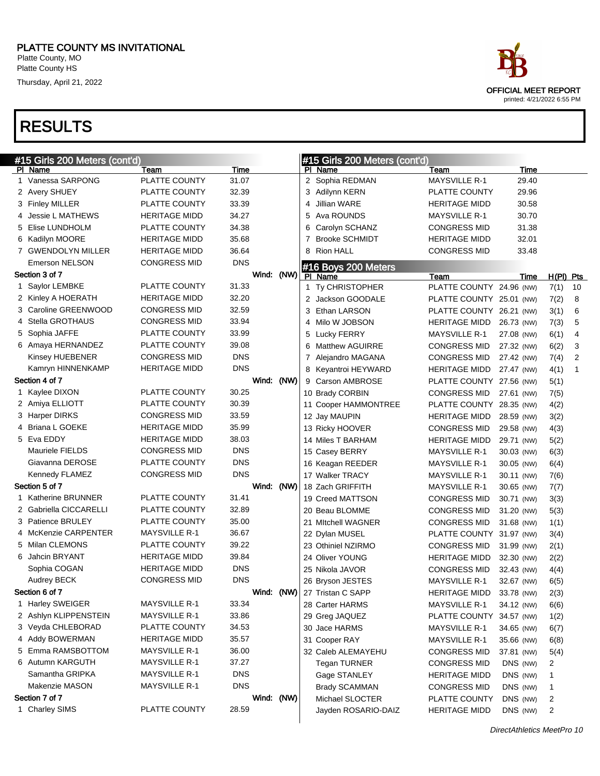Platte County, MO Platte County HS

Thursday, April 21, 2022

# OFFICIAL MEET REPORT printed: 4/21/2022 6:55 PM

| PI Name<br>Time<br>PI Name<br>Team<br>Team<br>1 Vanessa SARPONG<br>PLATTE COUNTY<br>31.07<br>2 Sophia REDMAN<br><b>MAYSVILLE R-1</b><br>29.40<br>2 Avery SHUEY<br>32.39<br>PLATTE COUNTY<br>29.96<br>PLATTE COUNTY<br>3<br>Adilynn KERN<br>PLATTE COUNTY<br>33.39<br><b>Jillian WARE</b><br>30.58<br>3 Finley MILLER<br>HERITAGE MIDD<br>4<br>34.27<br>Ava ROUNDS<br>30.70<br>4 Jessie L MATHEWS<br><b>HERITAGE MIDD</b><br>5<br><b>MAYSVILLE R-1</b><br>5 Elise LUNDHOLM<br>PLATTE COUNTY<br>34.38<br>Carolyn SCHANZ<br><b>CONGRESS MID</b><br>31.38<br>6<br>35.68<br><b>Brooke SCHMIDT</b><br>32.01<br>6 Kadilyn MOORE<br><b>HERITAGE MIDD</b><br>7<br>HERITAGE MIDD<br>36.64<br>8 Rion HALL<br><b>CONGRESS MID</b><br>33.48<br>7 GWENDOLYN MILLER<br><b>HERITAGE MIDD</b><br><b>DNS</b><br><b>Emerson NELSON</b><br><b>CONGRESS MID</b><br>#16 Boys 200 Meters<br>Section 3 of 7<br>Wind:<br>(NW)<br>PI Name<br>Team<br>Time<br>PLATTE COUNTY<br>31.33<br>1 Saylor LEMBKE<br>1 Ty CHRISTOPHER<br>PLATTE COUNTY 24.96 (NW)<br>32.20<br>2 Kinley A HOERATH<br><b>HERITAGE MIDD</b><br>2 Jackson GOODALE<br>PLATTE COUNTY 25.01 (NW)<br>3 Caroline GREENWOOD<br>32.59<br><b>CONGRESS MID</b><br>3 Ethan LARSON<br>PLATTE COUNTY 26.21 (NW)<br>4 Stella GROTHAUS<br>33.94<br><b>CONGRESS MID</b><br>4 Milo W JOBSON<br><b>HERITAGE MIDD</b><br>26.73 (NW)<br>PLATTE COUNTY<br>33.99<br>5 Sophia JAFFE<br><b>MAYSVILLE R-1</b><br>27.08 (NW)<br>5 Lucky FERRY<br>PLATTE COUNTY<br>39.08<br>6 Amaya HERNANDEZ<br><b>CONGRESS MID</b><br>27.32 (NW)<br>6<br>Matthew AGUIRRE<br><b>CONGRESS MID</b><br><b>DNS</b><br>Kinsey HUEBENER<br><b>CONGRESS MID</b><br>7 Alejandro MAGANA<br>27.42 (NW)<br><b>DNS</b><br>Kamryn HINNENKAMP<br><b>HERITAGE MIDD</b><br><b>HERITAGE MIDD</b><br>8 Keyantroi HEYWARD<br>27.47 (NW)<br>Wind:<br>(NW)<br>Section 4 of 7<br>9 Carson AMBROSE<br>PLATTE COUNTY 27.56 (NW)<br>PLATTE COUNTY<br>30.25<br>1 Kaylee DIXON<br>10 Brady CORBIN<br><b>CONGRESS MID</b><br>27.61 (NW)<br>PLATTE COUNTY<br>30.39<br>2 Amiya ELLIOTT<br>PLATTE COUNTY 28.35 (NW)<br>11 Cooper HAMMONTREE<br><b>CONGRESS MID</b><br>33.59<br>3 Harper DIRKS<br><b>HERITAGE MIDD</b><br>28.59 (NW)<br>12 Jay MAUPIN<br>4 Briana L GOEKE<br>35.99<br><b>HERITAGE MIDD</b><br><b>CONGRESS MID</b><br>29.58 (NW)<br>13 Ricky HOOVER<br>5 Eva EDDY<br>38.03<br><b>HERITAGE MIDD</b><br><b>HERITAGE MIDD</b><br>29.71 (NW)<br>14 Miles T BARHAM<br>Mauriele FIELDS<br><b>DNS</b><br><b>CONGRESS MID</b><br><b>MAYSVILLE R-1</b><br>15 Casey BERRY<br>30.03 (NW)<br>Giavanna DEROSE<br>PLATTE COUNTY<br><b>DNS</b><br><b>MAYSVILLE R-1</b><br>16 Keagan REEDER<br>30.05 (NW)<br><b>CONGRESS MID</b><br><b>DNS</b><br>Kennedy FLAMEZ<br>17 Walker TRACY<br><b>MAYSVILLE R-1</b><br>30.11 (NW)<br>Section 5 of 7<br>Wind:<br>(NW)<br>18 Zach GRIFFITH<br><b>MAYSVILLE R-1</b><br>30.65 (NW)<br>1 Katherine BRUNNER<br>PLATTE COUNTY<br>31.41<br>19 Creed MATTSON<br><b>CONGRESS MID</b><br>30.71 (NW)<br>2 Gabriella CICCARELLI<br>PLATTE COUNTY<br>32.89<br>20 Beau BLOMME<br><b>CONGRESS MID</b><br>31.20 (NW)<br>3 Patience BRULEY<br>PLATTE COUNTY<br>35.00<br>21 Mitchell WAGNER<br><b>CONGRESS MID</b><br>31.68 (NW)<br>4 McKenzie CARPENTER<br><b>MAYSVILLE R-1</b><br>36.67<br>PLATTE COUNTY 31.97 (NW)<br>22 Dylan MUSEL<br>5 Milan CLEMONS<br>39.22<br>PLATTE COUNTY<br><b>CONGRESS MID</b><br>23 Othiniel NZIRMO<br>31.99 (NW)<br>6 Jahcin BRYANT<br>39.84<br><b>HERITAGE MIDD</b><br>24 Oliver YOUNG<br><b>HERITAGE MIDD</b><br>32.30 (NW)<br><b>DNS</b><br>Sophia COGAN<br><b>HERITAGE MIDD</b><br>25 Nikola JAVOR<br><b>CONGRESS MID</b><br>32.43 (NW)<br><b>CONGRESS MID</b><br><b>DNS</b><br><b>Audrey BECK</b><br><b>MAYSVILLE R-1</b><br>26 Bryson JESTES<br>32.67 (NW)<br>(NW) 27 Tristan C SAPP<br>Section 6 of 7<br>Wind:<br>HERITAGE MIDD<br>33.78 (NW)<br>1 Harley SWEIGER<br><b>MAYSVILLE R-1</b><br>33.34<br>28 Carter HARMS<br><b>MAYSVILLE R-1</b><br>34.12 (NW)<br>2 Ashlyn KLIPPENSTEIN<br><b>MAYSVILLE R-1</b><br>33.86<br>29 Greg JAQUEZ<br>PLATTE COUNTY<br>34.57 (NW)<br>3 Veyda CHLEBORAD<br>PLATTE COUNTY<br>34.53<br>30 Jace HARMS<br><b>MAYSVILLE R-1</b><br>34.65 (NW)<br>4 Addy BOWERMAN<br><b>HERITAGE MIDD</b><br>35.57<br>31 Cooper RAY<br>MAYSVILLE R-1<br>35.66 (NW)<br>5 Emma RAMSBOTTOM<br><b>MAYSVILLE R-1</b><br>36.00<br>32 Caleb ALEMAYEHU<br><b>CONGRESS MID</b><br>37.81 (NW)<br>6 Autumn KARGUTH<br><b>MAYSVILLE R-1</b><br>37.27<br><b>Tegan TURNER</b><br>DNS (NW)<br><b>CONGRESS MID</b><br>Samantha GRIPKA<br><b>MAYSVILLE R-1</b><br><b>DNS</b><br>DNS (NW)<br>Gage STANLEY<br><b>HERITAGE MIDD</b><br><b>DNS</b><br>Makenzie MASON<br><b>MAYSVILLE R-1</b><br>DNS (NW)<br><b>Brady SCAMMAN</b><br><b>CONGRESS MID</b><br>Section 7 of 7<br>Wind: (NW)<br>DNS (NW)<br>Michael SLOCTER<br>PLATTE COUNTY<br>PLATTE COUNTY<br>1 Charley SIMS<br>28.59<br>DNS (NW)<br>Jayden ROSARIO-DAIZ<br><b>HERITAGE MIDD</b> | #15 Girls 200 Meters (cont'd) |  |  | #15 Girls 200 Meters (cont'd) |             |           |                |
|-----------------------------------------------------------------------------------------------------------------------------------------------------------------------------------------------------------------------------------------------------------------------------------------------------------------------------------------------------------------------------------------------------------------------------------------------------------------------------------------------------------------------------------------------------------------------------------------------------------------------------------------------------------------------------------------------------------------------------------------------------------------------------------------------------------------------------------------------------------------------------------------------------------------------------------------------------------------------------------------------------------------------------------------------------------------------------------------------------------------------------------------------------------------------------------------------------------------------------------------------------------------------------------------------------------------------------------------------------------------------------------------------------------------------------------------------------------------------------------------------------------------------------------------------------------------------------------------------------------------------------------------------------------------------------------------------------------------------------------------------------------------------------------------------------------------------------------------------------------------------------------------------------------------------------------------------------------------------------------------------------------------------------------------------------------------------------------------------------------------------------------------------------------------------------------------------------------------------------------------------------------------------------------------------------------------------------------------------------------------------------------------------------------------------------------------------------------------------------------------------------------------------------------------------------------------------------------------------------------------------------------------------------------------------------------------------------------------------------------------------------------------------------------------------------------------------------------------------------------------------------------------------------------------------------------------------------------------------------------------------------------------------------------------------------------------------------------------------------------------------------------------------------------------------------------------------------------------------------------------------------------------------------------------------------------------------------------------------------------------------------------------------------------------------------------------------------------------------------------------------------------------------------------------------------------------------------------------------------------------------------------------------------------------------------------------------------------------------------------------------------------------------------------------------------------------------------------------------------------------------------------------------------------------------------------------------------------------------------------------------------------------------------------------------------------------------------------------------------------------------------------------------------------------------------------------------------------------------------------------------------------------------------------------------------------------------------------------------------------------------------------------------------------------------------------------------------------------------------------------------------------------------------------------------------------------------------------------------------------------------------------------------------------------------------------------------------------------------------------------------------------------------------------------------------------------------------------------------------------------------------------------------------------------------------------------------------------------|-------------------------------|--|--|-------------------------------|-------------|-----------|----------------|
|                                                                                                                                                                                                                                                                                                                                                                                                                                                                                                                                                                                                                                                                                                                                                                                                                                                                                                                                                                                                                                                                                                                                                                                                                                                                                                                                                                                                                                                                                                                                                                                                                                                                                                                                                                                                                                                                                                                                                                                                                                                                                                                                                                                                                                                                                                                                                                                                                                                                                                                                                                                                                                                                                                                                                                                                                                                                                                                                                                                                                                                                                                                                                                                                                                                                                                                                                                                                                                                                                                                                                                                                                                                                                                                                                                                                                                                                                                                                                                                                                                                                                                                                                                                                                                                                                                                                                                                                                                                                                                                                                                                                                                                                                                                                                                                                                                                                                                                                                                 |                               |  |  |                               | <b>Time</b> |           |                |
|                                                                                                                                                                                                                                                                                                                                                                                                                                                                                                                                                                                                                                                                                                                                                                                                                                                                                                                                                                                                                                                                                                                                                                                                                                                                                                                                                                                                                                                                                                                                                                                                                                                                                                                                                                                                                                                                                                                                                                                                                                                                                                                                                                                                                                                                                                                                                                                                                                                                                                                                                                                                                                                                                                                                                                                                                                                                                                                                                                                                                                                                                                                                                                                                                                                                                                                                                                                                                                                                                                                                                                                                                                                                                                                                                                                                                                                                                                                                                                                                                                                                                                                                                                                                                                                                                                                                                                                                                                                                                                                                                                                                                                                                                                                                                                                                                                                                                                                                                                 |                               |  |  |                               |             |           |                |
|                                                                                                                                                                                                                                                                                                                                                                                                                                                                                                                                                                                                                                                                                                                                                                                                                                                                                                                                                                                                                                                                                                                                                                                                                                                                                                                                                                                                                                                                                                                                                                                                                                                                                                                                                                                                                                                                                                                                                                                                                                                                                                                                                                                                                                                                                                                                                                                                                                                                                                                                                                                                                                                                                                                                                                                                                                                                                                                                                                                                                                                                                                                                                                                                                                                                                                                                                                                                                                                                                                                                                                                                                                                                                                                                                                                                                                                                                                                                                                                                                                                                                                                                                                                                                                                                                                                                                                                                                                                                                                                                                                                                                                                                                                                                                                                                                                                                                                                                                                 |                               |  |  |                               |             |           |                |
|                                                                                                                                                                                                                                                                                                                                                                                                                                                                                                                                                                                                                                                                                                                                                                                                                                                                                                                                                                                                                                                                                                                                                                                                                                                                                                                                                                                                                                                                                                                                                                                                                                                                                                                                                                                                                                                                                                                                                                                                                                                                                                                                                                                                                                                                                                                                                                                                                                                                                                                                                                                                                                                                                                                                                                                                                                                                                                                                                                                                                                                                                                                                                                                                                                                                                                                                                                                                                                                                                                                                                                                                                                                                                                                                                                                                                                                                                                                                                                                                                                                                                                                                                                                                                                                                                                                                                                                                                                                                                                                                                                                                                                                                                                                                                                                                                                                                                                                                                                 |                               |  |  |                               |             |           |                |
|                                                                                                                                                                                                                                                                                                                                                                                                                                                                                                                                                                                                                                                                                                                                                                                                                                                                                                                                                                                                                                                                                                                                                                                                                                                                                                                                                                                                                                                                                                                                                                                                                                                                                                                                                                                                                                                                                                                                                                                                                                                                                                                                                                                                                                                                                                                                                                                                                                                                                                                                                                                                                                                                                                                                                                                                                                                                                                                                                                                                                                                                                                                                                                                                                                                                                                                                                                                                                                                                                                                                                                                                                                                                                                                                                                                                                                                                                                                                                                                                                                                                                                                                                                                                                                                                                                                                                                                                                                                                                                                                                                                                                                                                                                                                                                                                                                                                                                                                                                 |                               |  |  |                               |             |           |                |
|                                                                                                                                                                                                                                                                                                                                                                                                                                                                                                                                                                                                                                                                                                                                                                                                                                                                                                                                                                                                                                                                                                                                                                                                                                                                                                                                                                                                                                                                                                                                                                                                                                                                                                                                                                                                                                                                                                                                                                                                                                                                                                                                                                                                                                                                                                                                                                                                                                                                                                                                                                                                                                                                                                                                                                                                                                                                                                                                                                                                                                                                                                                                                                                                                                                                                                                                                                                                                                                                                                                                                                                                                                                                                                                                                                                                                                                                                                                                                                                                                                                                                                                                                                                                                                                                                                                                                                                                                                                                                                                                                                                                                                                                                                                                                                                                                                                                                                                                                                 |                               |  |  |                               |             |           |                |
|                                                                                                                                                                                                                                                                                                                                                                                                                                                                                                                                                                                                                                                                                                                                                                                                                                                                                                                                                                                                                                                                                                                                                                                                                                                                                                                                                                                                                                                                                                                                                                                                                                                                                                                                                                                                                                                                                                                                                                                                                                                                                                                                                                                                                                                                                                                                                                                                                                                                                                                                                                                                                                                                                                                                                                                                                                                                                                                                                                                                                                                                                                                                                                                                                                                                                                                                                                                                                                                                                                                                                                                                                                                                                                                                                                                                                                                                                                                                                                                                                                                                                                                                                                                                                                                                                                                                                                                                                                                                                                                                                                                                                                                                                                                                                                                                                                                                                                                                                                 |                               |  |  |                               |             |           |                |
|                                                                                                                                                                                                                                                                                                                                                                                                                                                                                                                                                                                                                                                                                                                                                                                                                                                                                                                                                                                                                                                                                                                                                                                                                                                                                                                                                                                                                                                                                                                                                                                                                                                                                                                                                                                                                                                                                                                                                                                                                                                                                                                                                                                                                                                                                                                                                                                                                                                                                                                                                                                                                                                                                                                                                                                                                                                                                                                                                                                                                                                                                                                                                                                                                                                                                                                                                                                                                                                                                                                                                                                                                                                                                                                                                                                                                                                                                                                                                                                                                                                                                                                                                                                                                                                                                                                                                                                                                                                                                                                                                                                                                                                                                                                                                                                                                                                                                                                                                                 |                               |  |  |                               |             |           |                |
|                                                                                                                                                                                                                                                                                                                                                                                                                                                                                                                                                                                                                                                                                                                                                                                                                                                                                                                                                                                                                                                                                                                                                                                                                                                                                                                                                                                                                                                                                                                                                                                                                                                                                                                                                                                                                                                                                                                                                                                                                                                                                                                                                                                                                                                                                                                                                                                                                                                                                                                                                                                                                                                                                                                                                                                                                                                                                                                                                                                                                                                                                                                                                                                                                                                                                                                                                                                                                                                                                                                                                                                                                                                                                                                                                                                                                                                                                                                                                                                                                                                                                                                                                                                                                                                                                                                                                                                                                                                                                                                                                                                                                                                                                                                                                                                                                                                                                                                                                                 |                               |  |  |                               |             |           |                |
|                                                                                                                                                                                                                                                                                                                                                                                                                                                                                                                                                                                                                                                                                                                                                                                                                                                                                                                                                                                                                                                                                                                                                                                                                                                                                                                                                                                                                                                                                                                                                                                                                                                                                                                                                                                                                                                                                                                                                                                                                                                                                                                                                                                                                                                                                                                                                                                                                                                                                                                                                                                                                                                                                                                                                                                                                                                                                                                                                                                                                                                                                                                                                                                                                                                                                                                                                                                                                                                                                                                                                                                                                                                                                                                                                                                                                                                                                                                                                                                                                                                                                                                                                                                                                                                                                                                                                                                                                                                                                                                                                                                                                                                                                                                                                                                                                                                                                                                                                                 |                               |  |  |                               |             | H(PI) Pts |                |
|                                                                                                                                                                                                                                                                                                                                                                                                                                                                                                                                                                                                                                                                                                                                                                                                                                                                                                                                                                                                                                                                                                                                                                                                                                                                                                                                                                                                                                                                                                                                                                                                                                                                                                                                                                                                                                                                                                                                                                                                                                                                                                                                                                                                                                                                                                                                                                                                                                                                                                                                                                                                                                                                                                                                                                                                                                                                                                                                                                                                                                                                                                                                                                                                                                                                                                                                                                                                                                                                                                                                                                                                                                                                                                                                                                                                                                                                                                                                                                                                                                                                                                                                                                                                                                                                                                                                                                                                                                                                                                                                                                                                                                                                                                                                                                                                                                                                                                                                                                 |                               |  |  |                               |             | 7(1)      | 10             |
|                                                                                                                                                                                                                                                                                                                                                                                                                                                                                                                                                                                                                                                                                                                                                                                                                                                                                                                                                                                                                                                                                                                                                                                                                                                                                                                                                                                                                                                                                                                                                                                                                                                                                                                                                                                                                                                                                                                                                                                                                                                                                                                                                                                                                                                                                                                                                                                                                                                                                                                                                                                                                                                                                                                                                                                                                                                                                                                                                                                                                                                                                                                                                                                                                                                                                                                                                                                                                                                                                                                                                                                                                                                                                                                                                                                                                                                                                                                                                                                                                                                                                                                                                                                                                                                                                                                                                                                                                                                                                                                                                                                                                                                                                                                                                                                                                                                                                                                                                                 |                               |  |  |                               |             | 7(2)      | 8              |
|                                                                                                                                                                                                                                                                                                                                                                                                                                                                                                                                                                                                                                                                                                                                                                                                                                                                                                                                                                                                                                                                                                                                                                                                                                                                                                                                                                                                                                                                                                                                                                                                                                                                                                                                                                                                                                                                                                                                                                                                                                                                                                                                                                                                                                                                                                                                                                                                                                                                                                                                                                                                                                                                                                                                                                                                                                                                                                                                                                                                                                                                                                                                                                                                                                                                                                                                                                                                                                                                                                                                                                                                                                                                                                                                                                                                                                                                                                                                                                                                                                                                                                                                                                                                                                                                                                                                                                                                                                                                                                                                                                                                                                                                                                                                                                                                                                                                                                                                                                 |                               |  |  |                               |             | 3(1)      | 6              |
|                                                                                                                                                                                                                                                                                                                                                                                                                                                                                                                                                                                                                                                                                                                                                                                                                                                                                                                                                                                                                                                                                                                                                                                                                                                                                                                                                                                                                                                                                                                                                                                                                                                                                                                                                                                                                                                                                                                                                                                                                                                                                                                                                                                                                                                                                                                                                                                                                                                                                                                                                                                                                                                                                                                                                                                                                                                                                                                                                                                                                                                                                                                                                                                                                                                                                                                                                                                                                                                                                                                                                                                                                                                                                                                                                                                                                                                                                                                                                                                                                                                                                                                                                                                                                                                                                                                                                                                                                                                                                                                                                                                                                                                                                                                                                                                                                                                                                                                                                                 |                               |  |  |                               |             | 7(3)      | 5              |
|                                                                                                                                                                                                                                                                                                                                                                                                                                                                                                                                                                                                                                                                                                                                                                                                                                                                                                                                                                                                                                                                                                                                                                                                                                                                                                                                                                                                                                                                                                                                                                                                                                                                                                                                                                                                                                                                                                                                                                                                                                                                                                                                                                                                                                                                                                                                                                                                                                                                                                                                                                                                                                                                                                                                                                                                                                                                                                                                                                                                                                                                                                                                                                                                                                                                                                                                                                                                                                                                                                                                                                                                                                                                                                                                                                                                                                                                                                                                                                                                                                                                                                                                                                                                                                                                                                                                                                                                                                                                                                                                                                                                                                                                                                                                                                                                                                                                                                                                                                 |                               |  |  |                               |             | 6(1)      | $\overline{4}$ |
|                                                                                                                                                                                                                                                                                                                                                                                                                                                                                                                                                                                                                                                                                                                                                                                                                                                                                                                                                                                                                                                                                                                                                                                                                                                                                                                                                                                                                                                                                                                                                                                                                                                                                                                                                                                                                                                                                                                                                                                                                                                                                                                                                                                                                                                                                                                                                                                                                                                                                                                                                                                                                                                                                                                                                                                                                                                                                                                                                                                                                                                                                                                                                                                                                                                                                                                                                                                                                                                                                                                                                                                                                                                                                                                                                                                                                                                                                                                                                                                                                                                                                                                                                                                                                                                                                                                                                                                                                                                                                                                                                                                                                                                                                                                                                                                                                                                                                                                                                                 |                               |  |  |                               |             | 6(2)      | 3              |
|                                                                                                                                                                                                                                                                                                                                                                                                                                                                                                                                                                                                                                                                                                                                                                                                                                                                                                                                                                                                                                                                                                                                                                                                                                                                                                                                                                                                                                                                                                                                                                                                                                                                                                                                                                                                                                                                                                                                                                                                                                                                                                                                                                                                                                                                                                                                                                                                                                                                                                                                                                                                                                                                                                                                                                                                                                                                                                                                                                                                                                                                                                                                                                                                                                                                                                                                                                                                                                                                                                                                                                                                                                                                                                                                                                                                                                                                                                                                                                                                                                                                                                                                                                                                                                                                                                                                                                                                                                                                                                                                                                                                                                                                                                                                                                                                                                                                                                                                                                 |                               |  |  |                               |             | 7(4)      | $\overline{c}$ |
|                                                                                                                                                                                                                                                                                                                                                                                                                                                                                                                                                                                                                                                                                                                                                                                                                                                                                                                                                                                                                                                                                                                                                                                                                                                                                                                                                                                                                                                                                                                                                                                                                                                                                                                                                                                                                                                                                                                                                                                                                                                                                                                                                                                                                                                                                                                                                                                                                                                                                                                                                                                                                                                                                                                                                                                                                                                                                                                                                                                                                                                                                                                                                                                                                                                                                                                                                                                                                                                                                                                                                                                                                                                                                                                                                                                                                                                                                                                                                                                                                                                                                                                                                                                                                                                                                                                                                                                                                                                                                                                                                                                                                                                                                                                                                                                                                                                                                                                                                                 |                               |  |  |                               |             | 4(1)      | 1              |
|                                                                                                                                                                                                                                                                                                                                                                                                                                                                                                                                                                                                                                                                                                                                                                                                                                                                                                                                                                                                                                                                                                                                                                                                                                                                                                                                                                                                                                                                                                                                                                                                                                                                                                                                                                                                                                                                                                                                                                                                                                                                                                                                                                                                                                                                                                                                                                                                                                                                                                                                                                                                                                                                                                                                                                                                                                                                                                                                                                                                                                                                                                                                                                                                                                                                                                                                                                                                                                                                                                                                                                                                                                                                                                                                                                                                                                                                                                                                                                                                                                                                                                                                                                                                                                                                                                                                                                                                                                                                                                                                                                                                                                                                                                                                                                                                                                                                                                                                                                 |                               |  |  |                               |             | 5(1)      |                |
|                                                                                                                                                                                                                                                                                                                                                                                                                                                                                                                                                                                                                                                                                                                                                                                                                                                                                                                                                                                                                                                                                                                                                                                                                                                                                                                                                                                                                                                                                                                                                                                                                                                                                                                                                                                                                                                                                                                                                                                                                                                                                                                                                                                                                                                                                                                                                                                                                                                                                                                                                                                                                                                                                                                                                                                                                                                                                                                                                                                                                                                                                                                                                                                                                                                                                                                                                                                                                                                                                                                                                                                                                                                                                                                                                                                                                                                                                                                                                                                                                                                                                                                                                                                                                                                                                                                                                                                                                                                                                                                                                                                                                                                                                                                                                                                                                                                                                                                                                                 |                               |  |  |                               |             | 7(5)      |                |
|                                                                                                                                                                                                                                                                                                                                                                                                                                                                                                                                                                                                                                                                                                                                                                                                                                                                                                                                                                                                                                                                                                                                                                                                                                                                                                                                                                                                                                                                                                                                                                                                                                                                                                                                                                                                                                                                                                                                                                                                                                                                                                                                                                                                                                                                                                                                                                                                                                                                                                                                                                                                                                                                                                                                                                                                                                                                                                                                                                                                                                                                                                                                                                                                                                                                                                                                                                                                                                                                                                                                                                                                                                                                                                                                                                                                                                                                                                                                                                                                                                                                                                                                                                                                                                                                                                                                                                                                                                                                                                                                                                                                                                                                                                                                                                                                                                                                                                                                                                 |                               |  |  |                               |             | 4(2)      |                |
|                                                                                                                                                                                                                                                                                                                                                                                                                                                                                                                                                                                                                                                                                                                                                                                                                                                                                                                                                                                                                                                                                                                                                                                                                                                                                                                                                                                                                                                                                                                                                                                                                                                                                                                                                                                                                                                                                                                                                                                                                                                                                                                                                                                                                                                                                                                                                                                                                                                                                                                                                                                                                                                                                                                                                                                                                                                                                                                                                                                                                                                                                                                                                                                                                                                                                                                                                                                                                                                                                                                                                                                                                                                                                                                                                                                                                                                                                                                                                                                                                                                                                                                                                                                                                                                                                                                                                                                                                                                                                                                                                                                                                                                                                                                                                                                                                                                                                                                                                                 |                               |  |  |                               |             | 3(2)      |                |
|                                                                                                                                                                                                                                                                                                                                                                                                                                                                                                                                                                                                                                                                                                                                                                                                                                                                                                                                                                                                                                                                                                                                                                                                                                                                                                                                                                                                                                                                                                                                                                                                                                                                                                                                                                                                                                                                                                                                                                                                                                                                                                                                                                                                                                                                                                                                                                                                                                                                                                                                                                                                                                                                                                                                                                                                                                                                                                                                                                                                                                                                                                                                                                                                                                                                                                                                                                                                                                                                                                                                                                                                                                                                                                                                                                                                                                                                                                                                                                                                                                                                                                                                                                                                                                                                                                                                                                                                                                                                                                                                                                                                                                                                                                                                                                                                                                                                                                                                                                 |                               |  |  |                               |             | 4(3)      |                |
|                                                                                                                                                                                                                                                                                                                                                                                                                                                                                                                                                                                                                                                                                                                                                                                                                                                                                                                                                                                                                                                                                                                                                                                                                                                                                                                                                                                                                                                                                                                                                                                                                                                                                                                                                                                                                                                                                                                                                                                                                                                                                                                                                                                                                                                                                                                                                                                                                                                                                                                                                                                                                                                                                                                                                                                                                                                                                                                                                                                                                                                                                                                                                                                                                                                                                                                                                                                                                                                                                                                                                                                                                                                                                                                                                                                                                                                                                                                                                                                                                                                                                                                                                                                                                                                                                                                                                                                                                                                                                                                                                                                                                                                                                                                                                                                                                                                                                                                                                                 |                               |  |  |                               |             | 5(2)      |                |
|                                                                                                                                                                                                                                                                                                                                                                                                                                                                                                                                                                                                                                                                                                                                                                                                                                                                                                                                                                                                                                                                                                                                                                                                                                                                                                                                                                                                                                                                                                                                                                                                                                                                                                                                                                                                                                                                                                                                                                                                                                                                                                                                                                                                                                                                                                                                                                                                                                                                                                                                                                                                                                                                                                                                                                                                                                                                                                                                                                                                                                                                                                                                                                                                                                                                                                                                                                                                                                                                                                                                                                                                                                                                                                                                                                                                                                                                                                                                                                                                                                                                                                                                                                                                                                                                                                                                                                                                                                                                                                                                                                                                                                                                                                                                                                                                                                                                                                                                                                 |                               |  |  |                               |             | 6(3)      |                |
|                                                                                                                                                                                                                                                                                                                                                                                                                                                                                                                                                                                                                                                                                                                                                                                                                                                                                                                                                                                                                                                                                                                                                                                                                                                                                                                                                                                                                                                                                                                                                                                                                                                                                                                                                                                                                                                                                                                                                                                                                                                                                                                                                                                                                                                                                                                                                                                                                                                                                                                                                                                                                                                                                                                                                                                                                                                                                                                                                                                                                                                                                                                                                                                                                                                                                                                                                                                                                                                                                                                                                                                                                                                                                                                                                                                                                                                                                                                                                                                                                                                                                                                                                                                                                                                                                                                                                                                                                                                                                                                                                                                                                                                                                                                                                                                                                                                                                                                                                                 |                               |  |  |                               |             | 6(4)      |                |
|                                                                                                                                                                                                                                                                                                                                                                                                                                                                                                                                                                                                                                                                                                                                                                                                                                                                                                                                                                                                                                                                                                                                                                                                                                                                                                                                                                                                                                                                                                                                                                                                                                                                                                                                                                                                                                                                                                                                                                                                                                                                                                                                                                                                                                                                                                                                                                                                                                                                                                                                                                                                                                                                                                                                                                                                                                                                                                                                                                                                                                                                                                                                                                                                                                                                                                                                                                                                                                                                                                                                                                                                                                                                                                                                                                                                                                                                                                                                                                                                                                                                                                                                                                                                                                                                                                                                                                                                                                                                                                                                                                                                                                                                                                                                                                                                                                                                                                                                                                 |                               |  |  |                               |             | 7(6)      |                |
|                                                                                                                                                                                                                                                                                                                                                                                                                                                                                                                                                                                                                                                                                                                                                                                                                                                                                                                                                                                                                                                                                                                                                                                                                                                                                                                                                                                                                                                                                                                                                                                                                                                                                                                                                                                                                                                                                                                                                                                                                                                                                                                                                                                                                                                                                                                                                                                                                                                                                                                                                                                                                                                                                                                                                                                                                                                                                                                                                                                                                                                                                                                                                                                                                                                                                                                                                                                                                                                                                                                                                                                                                                                                                                                                                                                                                                                                                                                                                                                                                                                                                                                                                                                                                                                                                                                                                                                                                                                                                                                                                                                                                                                                                                                                                                                                                                                                                                                                                                 |                               |  |  |                               |             | 7(7)      |                |
|                                                                                                                                                                                                                                                                                                                                                                                                                                                                                                                                                                                                                                                                                                                                                                                                                                                                                                                                                                                                                                                                                                                                                                                                                                                                                                                                                                                                                                                                                                                                                                                                                                                                                                                                                                                                                                                                                                                                                                                                                                                                                                                                                                                                                                                                                                                                                                                                                                                                                                                                                                                                                                                                                                                                                                                                                                                                                                                                                                                                                                                                                                                                                                                                                                                                                                                                                                                                                                                                                                                                                                                                                                                                                                                                                                                                                                                                                                                                                                                                                                                                                                                                                                                                                                                                                                                                                                                                                                                                                                                                                                                                                                                                                                                                                                                                                                                                                                                                                                 |                               |  |  |                               |             | 3(3)      |                |
|                                                                                                                                                                                                                                                                                                                                                                                                                                                                                                                                                                                                                                                                                                                                                                                                                                                                                                                                                                                                                                                                                                                                                                                                                                                                                                                                                                                                                                                                                                                                                                                                                                                                                                                                                                                                                                                                                                                                                                                                                                                                                                                                                                                                                                                                                                                                                                                                                                                                                                                                                                                                                                                                                                                                                                                                                                                                                                                                                                                                                                                                                                                                                                                                                                                                                                                                                                                                                                                                                                                                                                                                                                                                                                                                                                                                                                                                                                                                                                                                                                                                                                                                                                                                                                                                                                                                                                                                                                                                                                                                                                                                                                                                                                                                                                                                                                                                                                                                                                 |                               |  |  |                               |             | 5(3)      |                |
|                                                                                                                                                                                                                                                                                                                                                                                                                                                                                                                                                                                                                                                                                                                                                                                                                                                                                                                                                                                                                                                                                                                                                                                                                                                                                                                                                                                                                                                                                                                                                                                                                                                                                                                                                                                                                                                                                                                                                                                                                                                                                                                                                                                                                                                                                                                                                                                                                                                                                                                                                                                                                                                                                                                                                                                                                                                                                                                                                                                                                                                                                                                                                                                                                                                                                                                                                                                                                                                                                                                                                                                                                                                                                                                                                                                                                                                                                                                                                                                                                                                                                                                                                                                                                                                                                                                                                                                                                                                                                                                                                                                                                                                                                                                                                                                                                                                                                                                                                                 |                               |  |  |                               |             | 1(1)      |                |
|                                                                                                                                                                                                                                                                                                                                                                                                                                                                                                                                                                                                                                                                                                                                                                                                                                                                                                                                                                                                                                                                                                                                                                                                                                                                                                                                                                                                                                                                                                                                                                                                                                                                                                                                                                                                                                                                                                                                                                                                                                                                                                                                                                                                                                                                                                                                                                                                                                                                                                                                                                                                                                                                                                                                                                                                                                                                                                                                                                                                                                                                                                                                                                                                                                                                                                                                                                                                                                                                                                                                                                                                                                                                                                                                                                                                                                                                                                                                                                                                                                                                                                                                                                                                                                                                                                                                                                                                                                                                                                                                                                                                                                                                                                                                                                                                                                                                                                                                                                 |                               |  |  |                               |             | 3(4)      |                |
|                                                                                                                                                                                                                                                                                                                                                                                                                                                                                                                                                                                                                                                                                                                                                                                                                                                                                                                                                                                                                                                                                                                                                                                                                                                                                                                                                                                                                                                                                                                                                                                                                                                                                                                                                                                                                                                                                                                                                                                                                                                                                                                                                                                                                                                                                                                                                                                                                                                                                                                                                                                                                                                                                                                                                                                                                                                                                                                                                                                                                                                                                                                                                                                                                                                                                                                                                                                                                                                                                                                                                                                                                                                                                                                                                                                                                                                                                                                                                                                                                                                                                                                                                                                                                                                                                                                                                                                                                                                                                                                                                                                                                                                                                                                                                                                                                                                                                                                                                                 |                               |  |  |                               |             | 2(1)      |                |
|                                                                                                                                                                                                                                                                                                                                                                                                                                                                                                                                                                                                                                                                                                                                                                                                                                                                                                                                                                                                                                                                                                                                                                                                                                                                                                                                                                                                                                                                                                                                                                                                                                                                                                                                                                                                                                                                                                                                                                                                                                                                                                                                                                                                                                                                                                                                                                                                                                                                                                                                                                                                                                                                                                                                                                                                                                                                                                                                                                                                                                                                                                                                                                                                                                                                                                                                                                                                                                                                                                                                                                                                                                                                                                                                                                                                                                                                                                                                                                                                                                                                                                                                                                                                                                                                                                                                                                                                                                                                                                                                                                                                                                                                                                                                                                                                                                                                                                                                                                 |                               |  |  |                               |             | 2(2)      |                |
|                                                                                                                                                                                                                                                                                                                                                                                                                                                                                                                                                                                                                                                                                                                                                                                                                                                                                                                                                                                                                                                                                                                                                                                                                                                                                                                                                                                                                                                                                                                                                                                                                                                                                                                                                                                                                                                                                                                                                                                                                                                                                                                                                                                                                                                                                                                                                                                                                                                                                                                                                                                                                                                                                                                                                                                                                                                                                                                                                                                                                                                                                                                                                                                                                                                                                                                                                                                                                                                                                                                                                                                                                                                                                                                                                                                                                                                                                                                                                                                                                                                                                                                                                                                                                                                                                                                                                                                                                                                                                                                                                                                                                                                                                                                                                                                                                                                                                                                                                                 |                               |  |  |                               |             | 4(4)      |                |
|                                                                                                                                                                                                                                                                                                                                                                                                                                                                                                                                                                                                                                                                                                                                                                                                                                                                                                                                                                                                                                                                                                                                                                                                                                                                                                                                                                                                                                                                                                                                                                                                                                                                                                                                                                                                                                                                                                                                                                                                                                                                                                                                                                                                                                                                                                                                                                                                                                                                                                                                                                                                                                                                                                                                                                                                                                                                                                                                                                                                                                                                                                                                                                                                                                                                                                                                                                                                                                                                                                                                                                                                                                                                                                                                                                                                                                                                                                                                                                                                                                                                                                                                                                                                                                                                                                                                                                                                                                                                                                                                                                                                                                                                                                                                                                                                                                                                                                                                                                 |                               |  |  |                               |             | 6(5)      |                |
|                                                                                                                                                                                                                                                                                                                                                                                                                                                                                                                                                                                                                                                                                                                                                                                                                                                                                                                                                                                                                                                                                                                                                                                                                                                                                                                                                                                                                                                                                                                                                                                                                                                                                                                                                                                                                                                                                                                                                                                                                                                                                                                                                                                                                                                                                                                                                                                                                                                                                                                                                                                                                                                                                                                                                                                                                                                                                                                                                                                                                                                                                                                                                                                                                                                                                                                                                                                                                                                                                                                                                                                                                                                                                                                                                                                                                                                                                                                                                                                                                                                                                                                                                                                                                                                                                                                                                                                                                                                                                                                                                                                                                                                                                                                                                                                                                                                                                                                                                                 |                               |  |  |                               |             | 2(3)      |                |
|                                                                                                                                                                                                                                                                                                                                                                                                                                                                                                                                                                                                                                                                                                                                                                                                                                                                                                                                                                                                                                                                                                                                                                                                                                                                                                                                                                                                                                                                                                                                                                                                                                                                                                                                                                                                                                                                                                                                                                                                                                                                                                                                                                                                                                                                                                                                                                                                                                                                                                                                                                                                                                                                                                                                                                                                                                                                                                                                                                                                                                                                                                                                                                                                                                                                                                                                                                                                                                                                                                                                                                                                                                                                                                                                                                                                                                                                                                                                                                                                                                                                                                                                                                                                                                                                                                                                                                                                                                                                                                                                                                                                                                                                                                                                                                                                                                                                                                                                                                 |                               |  |  |                               |             | 6(6)      |                |
|                                                                                                                                                                                                                                                                                                                                                                                                                                                                                                                                                                                                                                                                                                                                                                                                                                                                                                                                                                                                                                                                                                                                                                                                                                                                                                                                                                                                                                                                                                                                                                                                                                                                                                                                                                                                                                                                                                                                                                                                                                                                                                                                                                                                                                                                                                                                                                                                                                                                                                                                                                                                                                                                                                                                                                                                                                                                                                                                                                                                                                                                                                                                                                                                                                                                                                                                                                                                                                                                                                                                                                                                                                                                                                                                                                                                                                                                                                                                                                                                                                                                                                                                                                                                                                                                                                                                                                                                                                                                                                                                                                                                                                                                                                                                                                                                                                                                                                                                                                 |                               |  |  |                               |             | 1(2)      |                |
|                                                                                                                                                                                                                                                                                                                                                                                                                                                                                                                                                                                                                                                                                                                                                                                                                                                                                                                                                                                                                                                                                                                                                                                                                                                                                                                                                                                                                                                                                                                                                                                                                                                                                                                                                                                                                                                                                                                                                                                                                                                                                                                                                                                                                                                                                                                                                                                                                                                                                                                                                                                                                                                                                                                                                                                                                                                                                                                                                                                                                                                                                                                                                                                                                                                                                                                                                                                                                                                                                                                                                                                                                                                                                                                                                                                                                                                                                                                                                                                                                                                                                                                                                                                                                                                                                                                                                                                                                                                                                                                                                                                                                                                                                                                                                                                                                                                                                                                                                                 |                               |  |  |                               |             | 6(7)      |                |
|                                                                                                                                                                                                                                                                                                                                                                                                                                                                                                                                                                                                                                                                                                                                                                                                                                                                                                                                                                                                                                                                                                                                                                                                                                                                                                                                                                                                                                                                                                                                                                                                                                                                                                                                                                                                                                                                                                                                                                                                                                                                                                                                                                                                                                                                                                                                                                                                                                                                                                                                                                                                                                                                                                                                                                                                                                                                                                                                                                                                                                                                                                                                                                                                                                                                                                                                                                                                                                                                                                                                                                                                                                                                                                                                                                                                                                                                                                                                                                                                                                                                                                                                                                                                                                                                                                                                                                                                                                                                                                                                                                                                                                                                                                                                                                                                                                                                                                                                                                 |                               |  |  |                               |             | 6(8)      |                |
|                                                                                                                                                                                                                                                                                                                                                                                                                                                                                                                                                                                                                                                                                                                                                                                                                                                                                                                                                                                                                                                                                                                                                                                                                                                                                                                                                                                                                                                                                                                                                                                                                                                                                                                                                                                                                                                                                                                                                                                                                                                                                                                                                                                                                                                                                                                                                                                                                                                                                                                                                                                                                                                                                                                                                                                                                                                                                                                                                                                                                                                                                                                                                                                                                                                                                                                                                                                                                                                                                                                                                                                                                                                                                                                                                                                                                                                                                                                                                                                                                                                                                                                                                                                                                                                                                                                                                                                                                                                                                                                                                                                                                                                                                                                                                                                                                                                                                                                                                                 |                               |  |  |                               |             | 5(4)      |                |
|                                                                                                                                                                                                                                                                                                                                                                                                                                                                                                                                                                                                                                                                                                                                                                                                                                                                                                                                                                                                                                                                                                                                                                                                                                                                                                                                                                                                                                                                                                                                                                                                                                                                                                                                                                                                                                                                                                                                                                                                                                                                                                                                                                                                                                                                                                                                                                                                                                                                                                                                                                                                                                                                                                                                                                                                                                                                                                                                                                                                                                                                                                                                                                                                                                                                                                                                                                                                                                                                                                                                                                                                                                                                                                                                                                                                                                                                                                                                                                                                                                                                                                                                                                                                                                                                                                                                                                                                                                                                                                                                                                                                                                                                                                                                                                                                                                                                                                                                                                 |                               |  |  |                               |             | 2         |                |
|                                                                                                                                                                                                                                                                                                                                                                                                                                                                                                                                                                                                                                                                                                                                                                                                                                                                                                                                                                                                                                                                                                                                                                                                                                                                                                                                                                                                                                                                                                                                                                                                                                                                                                                                                                                                                                                                                                                                                                                                                                                                                                                                                                                                                                                                                                                                                                                                                                                                                                                                                                                                                                                                                                                                                                                                                                                                                                                                                                                                                                                                                                                                                                                                                                                                                                                                                                                                                                                                                                                                                                                                                                                                                                                                                                                                                                                                                                                                                                                                                                                                                                                                                                                                                                                                                                                                                                                                                                                                                                                                                                                                                                                                                                                                                                                                                                                                                                                                                                 |                               |  |  |                               |             | 1         |                |
|                                                                                                                                                                                                                                                                                                                                                                                                                                                                                                                                                                                                                                                                                                                                                                                                                                                                                                                                                                                                                                                                                                                                                                                                                                                                                                                                                                                                                                                                                                                                                                                                                                                                                                                                                                                                                                                                                                                                                                                                                                                                                                                                                                                                                                                                                                                                                                                                                                                                                                                                                                                                                                                                                                                                                                                                                                                                                                                                                                                                                                                                                                                                                                                                                                                                                                                                                                                                                                                                                                                                                                                                                                                                                                                                                                                                                                                                                                                                                                                                                                                                                                                                                                                                                                                                                                                                                                                                                                                                                                                                                                                                                                                                                                                                                                                                                                                                                                                                                                 |                               |  |  |                               |             | 1         |                |
|                                                                                                                                                                                                                                                                                                                                                                                                                                                                                                                                                                                                                                                                                                                                                                                                                                                                                                                                                                                                                                                                                                                                                                                                                                                                                                                                                                                                                                                                                                                                                                                                                                                                                                                                                                                                                                                                                                                                                                                                                                                                                                                                                                                                                                                                                                                                                                                                                                                                                                                                                                                                                                                                                                                                                                                                                                                                                                                                                                                                                                                                                                                                                                                                                                                                                                                                                                                                                                                                                                                                                                                                                                                                                                                                                                                                                                                                                                                                                                                                                                                                                                                                                                                                                                                                                                                                                                                                                                                                                                                                                                                                                                                                                                                                                                                                                                                                                                                                                                 |                               |  |  |                               |             | 2         |                |
|                                                                                                                                                                                                                                                                                                                                                                                                                                                                                                                                                                                                                                                                                                                                                                                                                                                                                                                                                                                                                                                                                                                                                                                                                                                                                                                                                                                                                                                                                                                                                                                                                                                                                                                                                                                                                                                                                                                                                                                                                                                                                                                                                                                                                                                                                                                                                                                                                                                                                                                                                                                                                                                                                                                                                                                                                                                                                                                                                                                                                                                                                                                                                                                                                                                                                                                                                                                                                                                                                                                                                                                                                                                                                                                                                                                                                                                                                                                                                                                                                                                                                                                                                                                                                                                                                                                                                                                                                                                                                                                                                                                                                                                                                                                                                                                                                                                                                                                                                                 |                               |  |  |                               |             | 2         |                |
|                                                                                                                                                                                                                                                                                                                                                                                                                                                                                                                                                                                                                                                                                                                                                                                                                                                                                                                                                                                                                                                                                                                                                                                                                                                                                                                                                                                                                                                                                                                                                                                                                                                                                                                                                                                                                                                                                                                                                                                                                                                                                                                                                                                                                                                                                                                                                                                                                                                                                                                                                                                                                                                                                                                                                                                                                                                                                                                                                                                                                                                                                                                                                                                                                                                                                                                                                                                                                                                                                                                                                                                                                                                                                                                                                                                                                                                                                                                                                                                                                                                                                                                                                                                                                                                                                                                                                                                                                                                                                                                                                                                                                                                                                                                                                                                                                                                                                                                                                                 |                               |  |  |                               |             |           |                |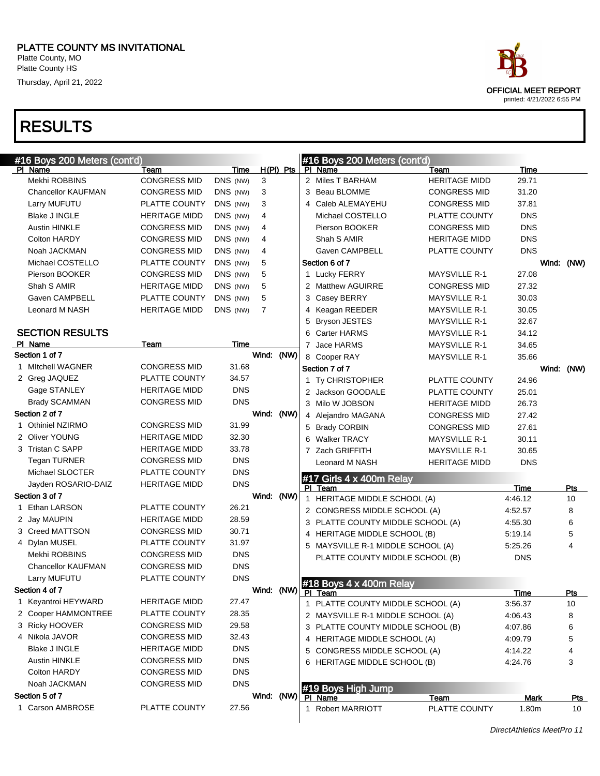Platte County, MO Platte County HS Thursday, April 21, 2022

#### RESULTS

| #16 Boys 200 Meters (cont'd) |                      |            |                |             |                | #16 Boys 200 Meters (cont'd)                      |                      |             |                   |
|------------------------------|----------------------|------------|----------------|-------------|----------------|---------------------------------------------------|----------------------|-------------|-------------------|
| PI Name                      | Team                 | Time       |                | $H(PI)$ Pts |                | PI Name                                           | Team                 | <b>Time</b> |                   |
| Mekhi ROBBINS                | <b>CONGRESS MID</b>  | DNS (NW)   | 3              |             |                | 2 Miles T BARHAM                                  | <b>HERITAGE MIDD</b> | 29.71       |                   |
| <b>Chancellor KAUFMAN</b>    | <b>CONGRESS MID</b>  | DNS (NW)   | 3              |             |                | 3 Beau BLOMME                                     | <b>CONGRESS MID</b>  | 31.20       |                   |
| Larry MUFUTU                 | PLATTE COUNTY        | DNS (NW)   | 3              |             |                | 4 Caleb ALEMAYEHU                                 | <b>CONGRESS MID</b>  | 37.81       |                   |
| Blake J INGLE                | <b>HERITAGE MIDD</b> | DNS (NW)   | 4              |             |                | Michael COSTELLO                                  | PLATTE COUNTY        | <b>DNS</b>  |                   |
| <b>Austin HINKLE</b>         | <b>CONGRESS MID</b>  | DNS (NW)   | 4              |             |                | Pierson BOOKER                                    | <b>CONGRESS MID</b>  | <b>DNS</b>  |                   |
| Colton HARDY                 | <b>CONGRESS MID</b>  | DNS (NW)   | 4              |             |                | Shah S AMIR                                       | <b>HERITAGE MIDD</b> | <b>DNS</b>  |                   |
| Noah JACKMAN                 | <b>CONGRESS MID</b>  | DNS (NW)   | 4              |             |                | Gaven CAMPBELL                                    | PLATTE COUNTY        | <b>DNS</b>  |                   |
| Michael COSTELLO             | PLATTE COUNTY        | DNS (NW)   | 5              |             |                | Section 6 of 7                                    |                      |             | Wind: (NW)        |
| Pierson BOOKER               | <b>CONGRESS MID</b>  | DNS (NW)   | 5              |             |                | 1 Lucky FERRY                                     | <b>MAYSVILLE R-1</b> | 27.08       |                   |
| Shah S AMIR                  | <b>HERITAGE MIDD</b> | DNS (NW)   | 5              |             |                | 2 Matthew AGUIRRE                                 | <b>CONGRESS MID</b>  | 27.32       |                   |
| Gaven CAMPBELL               | PLATTE COUNTY        | DNS (NW)   | 5              |             |                | 3 Casey BERRY                                     | <b>MAYSVILLE R-1</b> | 30.03       |                   |
| Leonard M NASH               | <b>HERITAGE MIDD</b> | DNS (NW)   | $\overline{7}$ |             | 4              | Keagan REEDER                                     | <b>MAYSVILLE R-1</b> | 30.05       |                   |
|                              |                      |            |                |             | 5              | <b>Bryson JESTES</b>                              | <b>MAYSVILLE R-1</b> | 32.67       |                   |
| <b>SECTION RESULTS</b>       |                      |            |                |             |                | 6 Carter HARMS                                    | <b>MAYSVILLE R-1</b> | 34.12       |                   |
| PI Name                      | Team                 | Time       |                |             |                | 7 Jace HARMS                                      | <b>MAYSVILLE R-1</b> | 34.65       |                   |
| Section 1 of 7               |                      |            | Wind:          | (NW)        |                | 8 Cooper RAY                                      | <b>MAYSVILLE R-1</b> | 35.66       |                   |
| 1 Mitchell WAGNER            | <b>CONGRESS MID</b>  | 31.68      |                |             |                | Section 7 of 7                                    |                      |             | Wind: (NW)        |
| 2 Greg JAQUEZ                | PLATTE COUNTY        | 34.57      |                |             |                | 1 Ty CHRISTOPHER                                  | PLATTE COUNTY        | 24.96       |                   |
| Gage STANLEY                 | <b>HERITAGE MIDD</b> | <b>DNS</b> |                |             |                | 2 Jackson GOODALE                                 | PLATTE COUNTY        | 25.01       |                   |
| <b>Brady SCAMMAN</b>         | <b>CONGRESS MID</b>  | <b>DNS</b> |                |             |                | 3 Milo W JOBSON                                   | <b>HERITAGE MIDD</b> | 26.73       |                   |
| Section 2 of 7               |                      |            | Wind: (NW)     |             |                | 4 Alejandro MAGANA                                | <b>CONGRESS MID</b>  | 27.42       |                   |
| 1 Othiniel NZIRMO            | <b>CONGRESS MID</b>  | 31.99      |                |             |                | 5 Brady CORBIN                                    | <b>CONGRESS MID</b>  | 27.61       |                   |
| 2 Oliver YOUNG               | <b>HERITAGE MIDD</b> | 32.30      |                |             | 6              | <b>Walker TRACY</b>                               | <b>MAYSVILLE R-1</b> | 30.11       |                   |
| 3 Tristan C SAPP             | <b>HERITAGE MIDD</b> | 33.78      |                |             | $\overline{7}$ | Zach GRIFFITH                                     | <b>MAYSVILLE R-1</b> | 30.65       |                   |
| <b>Tegan TURNER</b>          | <b>CONGRESS MID</b>  | <b>DNS</b> |                |             |                | Leonard M NASH                                    | <b>HERITAGE MIDD</b> | <b>DNS</b>  |                   |
| Michael SLOCTER              | PLATTE COUNTY        | <b>DNS</b> |                |             |                |                                                   |                      |             |                   |
| Jayden ROSARIO-DAIZ          | <b>HERITAGE MIDD</b> | <b>DNS</b> |                |             |                | #17 Girls 4 x 400m Relay<br>PI Team               |                      | Time        | Pts               |
| Section 3 of 7               |                      |            | Wind: (NW)     |             |                | 1 HERITAGE MIDDLE SCHOOL (A)                      |                      | 4:46.12     | 10                |
| 1 Ethan LARSON               | PLATTE COUNTY        | 26.21      |                |             |                | 2 CONGRESS MIDDLE SCHOOL (A)                      |                      | 4:52.57     | 8                 |
| 2 Jay MAUPIN                 | <b>HERITAGE MIDD</b> | 28.59      |                |             |                | 3 PLATTE COUNTY MIDDLE SCHOOL (A)                 |                      | 4:55.30     | 6                 |
| 3 Creed MATTSON              | <b>CONGRESS MID</b>  | 30.71      |                |             |                | 4 HERITAGE MIDDLE SCHOOL (B)                      |                      | 5:19.14     | 5                 |
| 4 Dylan MUSEL                | PLATTE COUNTY        | 31.97      |                |             |                | 5 MAYSVILLE R-1 MIDDLE SCHOOL (A)                 |                      | 5:25.26     | 4                 |
| Mekhi ROBBINS                | <b>CONGRESS MID</b>  | <b>DNS</b> |                |             |                | PLATTE COUNTY MIDDLE SCHOOL (B)                   |                      | <b>DNS</b>  |                   |
| <b>Chancellor KAUFMAN</b>    | <b>CONGRESS MID</b>  | <b>DNS</b> |                |             |                |                                                   |                      |             |                   |
| Larry MUFUTU                 | PLATTE COUNTY        | <b>DNS</b> |                |             |                |                                                   |                      |             |                   |
| Section 4 of 7               |                      |            | Wind: (NW)     |             |                | #18 Boys $4 \times 400$ m Relay<br><u>PI leam</u> |                      | <u>Time</u> |                   |
| 1 Keyantroi HEYWARD          | <b>HERITAGE MIDD</b> | 27.47      |                |             |                | 1 PLATTE COUNTY MIDDLE SCHOOL (A)                 |                      | 3:56.37     | <u> Pts</u><br>10 |
| 2 Cooper HAMMONTREE          | PLATTE COUNTY        | 28.35      |                |             |                | 2 MAYSVILLE R-1 MIDDLE SCHOOL (A)                 |                      | 4:06.43     | 8                 |
| 3 Ricky HOOVER               | <b>CONGRESS MID</b>  | 29.58      |                |             |                | 3 PLATTE COUNTY MIDDLE SCHOOL (B)                 |                      | 4:07.86     | 6                 |
| 4 Nikola JAVOR               | <b>CONGRESS MID</b>  | 32.43      |                |             |                | 4 HERITAGE MIDDLE SCHOOL (A)                      |                      | 4:09.79     | 5                 |
| Blake J INGLE                | <b>HERITAGE MIDD</b> | <b>DNS</b> |                |             |                | 5 CONGRESS MIDDLE SCHOOL (A)                      |                      | 4:14.22     |                   |
| <b>Austin HINKLE</b>         | <b>CONGRESS MID</b>  | <b>DNS</b> |                |             |                | 6 HERITAGE MIDDLE SCHOOL (B)                      |                      | 4:24.76     | 3                 |
| Colton HARDY                 | <b>CONGRESS MID</b>  | <b>DNS</b> |                |             |                |                                                   |                      |             |                   |
| Noah JACKMAN                 | <b>CONGRESS MID</b>  | <b>DNS</b> |                |             |                |                                                   |                      |             |                   |
| Section 5 of 7               |                      |            | Wind:          | (NW)        |                | #19 Boys High Jump<br>PI Name                     | <b>Team</b>          | <b>Mark</b> | <u>Pts</u>        |
| 1 Carson AMBROSE             | PLATTE COUNTY        | 27.56      |                |             |                | 1 Robert MARRIOTT                                 | PLATTE COUNTY        | 1.80m       | 10                |
|                              |                      |            |                |             |                |                                                   |                      |             |                   |



DirectAthletics MeetPro 11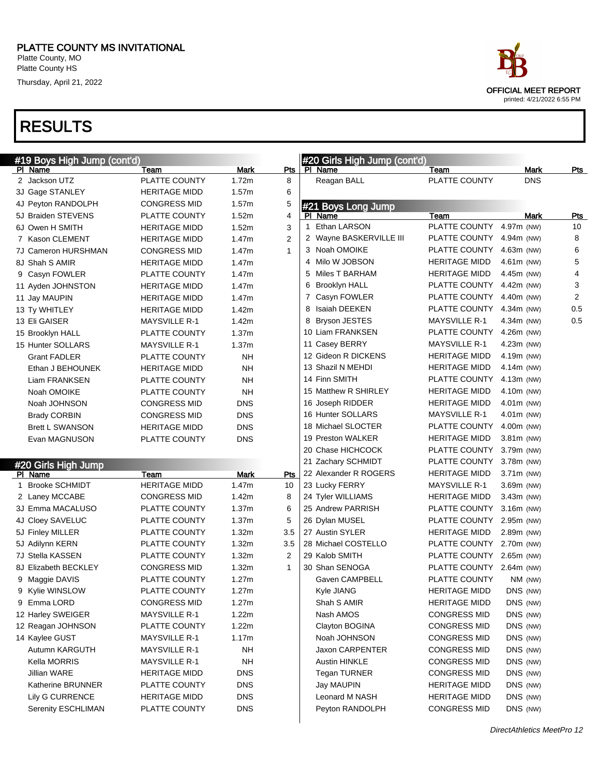Platte County HS Thursday, April 21, 2022

| #19 Boys High Jump (cont'd) |                      |                   |                | #20 Girls High Jump (cont'd) |                          |               |                |
|-----------------------------|----------------------|-------------------|----------------|------------------------------|--------------------------|---------------|----------------|
| PI Name                     | Team                 | Mark              | <u>Pts</u>     | PI Name                      | Team                     | Mark          | <u>Pts</u>     |
| 2 Jackson UTZ               | PLATTE COUNTY        | 1.72m             | 8              | Reagan BALL                  | PLATTE COUNTY            | <b>DNS</b>    |                |
| 3J Gage STANLEY             | <b>HERITAGE MIDD</b> | 1.57m             | 6              |                              |                          |               |                |
| 4J Peyton RANDOLPH          | <b>CONGRESS MID</b>  | 1.57m             | 5              | #21 Boys Long Jump           |                          |               |                |
| 5J Braiden STEVENS          | PLATTE COUNTY        | 1.52m             | 4              | PI Name                      | Team                     | Mark          | Pts            |
| 6J Owen H SMITH             | <b>HERITAGE MIDD</b> | 1.52m             | 3              | Ethan LARSON<br>$\mathbf 1$  | PLATTE COUNTY            | 4.97m (NW)    | 10             |
| 7 Kason CLEMENT             | <b>HERITAGE MIDD</b> | 1.47m             | $\overline{2}$ | 2 Wayne BASKERVILLE III      | PLATTE COUNTY            | 4.94m (NW)    | 8              |
| 7J Cameron HURSHMAN         | <b>CONGRESS MID</b>  | 1.47m             | $\mathbf{1}$   | 3 Noah OMOIKE                | PLATTE COUNTY            | 4.63m (NW)    | 6              |
| 8J Shah S AMIR              | <b>HERITAGE MIDD</b> | 1.47m             |                | Milo W JOBSON<br>4           | <b>HERITAGE MIDD</b>     | $4.61m$ (NW)  | 5              |
| 9 Casyn FOWLER              | PLATTE COUNTY        | 1.47m             |                | Miles T BARHAM<br>5          | <b>HERITAGE MIDD</b>     | 4.45m (NW)    | $\overline{4}$ |
| 11 Ayden JOHNSTON           | <b>HERITAGE MIDD</b> | 1.47m             |                | 6 Brooklyn HALL              | PLATTE COUNTY            | 4.42m (NW)    | 3              |
| 11 Jay MAUPIN               | <b>HERITAGE MIDD</b> | 1.47m             |                | 7<br>Casyn FOWLER            | PLATTE COUNTY            | 4.40m (NW)    | 2              |
| 13 Ty WHITLEY               | <b>HERITAGE MIDD</b> | 1.42m             |                | Isaiah DEEKEN<br>8           | PLATTE COUNTY            | 4.34m (NW)    | 0.5            |
| 13 Eli GAISER               | <b>MAYSVILLE R-1</b> | 1.42m             |                | 8 Bryson JESTES              | <b>MAYSVILLE R-1</b>     | 4.34m (NW)    | 0.5            |
| 15 Brooklyn HALL            | PLATTE COUNTY        | 1.37m             |                | 10 Liam FRANKSEN             | PLATTE COUNTY            | 4.26m (NW)    |                |
| 15 Hunter SOLLARS           | <b>MAYSVILLE R-1</b> | 1.37m             |                | 11 Casey BERRY               | <b>MAYSVILLE R-1</b>     | 4.23m (NW)    |                |
| <b>Grant FADLER</b>         | PLATTE COUNTY        | <b>NH</b>         |                | 12 Gideon R DICKENS          | <b>HERITAGE MIDD</b>     | 4.19m (NW)    |                |
| Ethan J BEHOUNEK            | <b>HERITAGE MIDD</b> | <b>NH</b>         |                | 13 Shazil N MEHDI            | <b>HERITAGE MIDD</b>     | 4.14 $m$ (NW) |                |
| Liam FRANKSEN               | PLATTE COUNTY        | <b>NH</b>         |                | 14 Finn SMITH                | PLATTE COUNTY            | 4.13m (NW)    |                |
| Noah OMOIKE                 | PLATTE COUNTY        | <b>NH</b>         |                | 15 Matthew R SHIRLEY         | <b>HERITAGE MIDD</b>     | 4.10m (NW)    |                |
| Noah JOHNSON                | <b>CONGRESS MID</b>  | <b>DNS</b>        |                | 16 Joseph RIDDER             | <b>HERITAGE MIDD</b>     | $4.01m$ (NW)  |                |
| <b>Brady CORBIN</b>         | <b>CONGRESS MID</b>  | <b>DNS</b>        |                | 16 Hunter SOLLARS            | <b>MAYSVILLE R-1</b>     | $4.01m$ (NW)  |                |
| <b>Brett L SWANSON</b>      | <b>HERITAGE MIDD</b> | <b>DNS</b>        |                | 18 Michael SLOCTER           | PLATTE COUNTY            | 4.00m (NW)    |                |
| Evan MAGNUSON               | PLATTE COUNTY        | <b>DNS</b>        |                | 19 Preston WALKER            | <b>HERITAGE MIDD</b>     | 3.81m (NW)    |                |
|                             |                      |                   |                | 20 Chase HICHCOCK            | PLATTE COUNTY            | 3.79m (NW)    |                |
| #20 Girls High Jump         |                      |                   |                | 21 Zachary SCHMIDT           | PLATTE COUNTY            | 3.78m (NW)    |                |
| PI Name                     | Team                 | Mark              | Pts            | 22 Alexander R ROGERS        | <b>HERITAGE MIDD</b>     | 3.71m (NW)    |                |
| 1 Brooke SCHMIDT            | <b>HERITAGE MIDD</b> | 1.47m             | 10             | 23 Lucky FERRY               | <b>MAYSVILLE R-1</b>     | 3.69m (NW)    |                |
| 2 Laney MCCABE              | <b>CONGRESS MID</b>  | 1.42m             | 8              | 24 Tyler WILLIAMS            | <b>HERITAGE MIDD</b>     | 3.43m (NW)    |                |
| 3J Emma MACALUSO            | PLATTE COUNTY        | 1.37 <sub>m</sub> | 6              | 25 Andrew PARRISH            | PLATTE COUNTY            | 3.16m (NW)    |                |
| 4J Cloey SAVELUC            | PLATTE COUNTY        | 1.37 <sub>m</sub> | 5              | 26 Dylan MUSEL               | PLATTE COUNTY            | 2.95m (NW)    |                |
| 5J Finley MILLER            | PLATTE COUNTY        | 1.32m             | 3.5            | 27 Austin SYLER              | <b>HERITAGE MIDD</b>     | 2.89m (NW)    |                |
| 5J Adilynn KERN             | PLATTE COUNTY        | 1.32m             | 3.5            | 28 Michael COSTELLO          | PLATTE COUNTY            | 2.70m (NW)    |                |
| 7J Stella KASSEN            | PLATTE COUNTY        | 1.32m             | 2              | 29 Kalob SMITH               | PLATTE COUNTY 2.65m (NW) |               |                |
| 8J Elizabeth BECKLEY        | <b>CONGRESS MID</b>  | 1.32m             | $\mathbf{1}$   | 30 Shan SENOGA               | PLATTE COUNTY 2.64m (NW) |               |                |
| 9 Maggie DAVIS              | PLATTE COUNTY        | 1.27m             |                | Gaven CAMPBELL               | PLATTE COUNTY            | NM (NW)       |                |
| 9 Kylie WINSLOW             | PLATTE COUNTY        | 1.27m             |                | Kyle JIANG                   | HERITAGE MIDD            | DNS (NW)      |                |
| 9 Emma LORD                 | <b>CONGRESS MID</b>  | 1.27m             |                | Shah S AMIR                  | <b>HERITAGE MIDD</b>     | DNS (NW)      |                |
| 12 Harley SWEIGER           | <b>MAYSVILLE R-1</b> | 1.22m             |                | Nash AMOS                    | <b>CONGRESS MID</b>      | DNS (NW)      |                |
| 12 Reagan JOHNSON           | PLATTE COUNTY        | 1.22m             |                | Clayton BOGINA               | <b>CONGRESS MID</b>      | DNS (NW)      |                |
| 14 Kaylee GUST              | <b>MAYSVILLE R-1</b> | 1.17m             |                | Noah JOHNSON                 | <b>CONGRESS MID</b>      | DNS (NW)      |                |
| Autumn KARGUTH              | <b>MAYSVILLE R-1</b> | <b>NH</b>         |                | Jaxon CARPENTER              | <b>CONGRESS MID</b>      | DNS (NW)      |                |
| Kella MORRIS                | <b>MAYSVILLE R-1</b> | NΗ                |                | <b>Austin HINKLE</b>         | <b>CONGRESS MID</b>      | DNS (NW)      |                |
| Jillian WARE                | <b>HERITAGE MIDD</b> | <b>DNS</b>        |                | <b>Tegan TURNER</b>          | <b>CONGRESS MID</b>      | DNS (NW)      |                |
| Katherine BRUNNER           | PLATTE COUNTY        | <b>DNS</b>        |                | Jay MAUPIN                   | <b>HERITAGE MIDD</b>     | DNS (NW)      |                |
| Lily G CURRENCE             | <b>HERITAGE MIDD</b> | <b>DNS</b>        |                | Leonard M NASH               | <b>HERITAGE MIDD</b>     | DNS (NW)      |                |
| Serenity ESCHLIMAN          | PLATTE COUNTY        | <b>DNS</b>        |                | Peyton RANDOLPH              | <b>CONGRESS MID</b>      | DNS (NW)      |                |

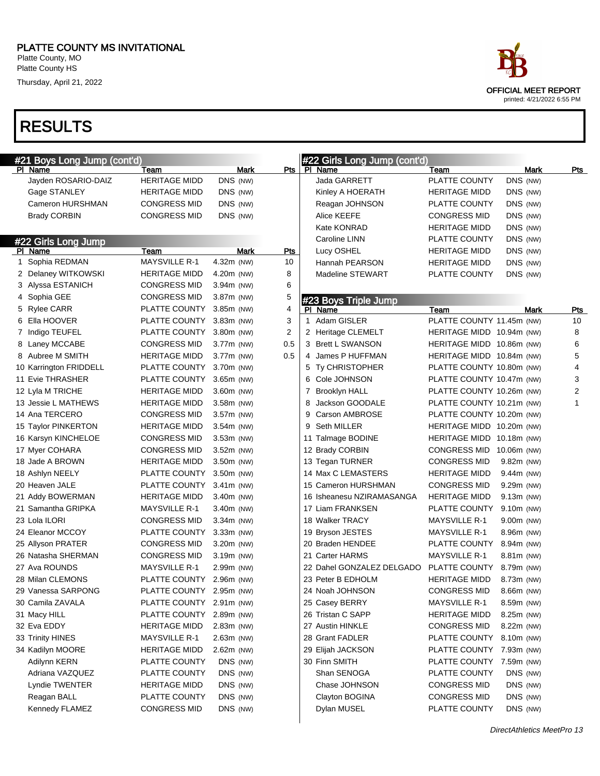Platte County, MO Platte County HS

Thursday, April 21, 2022



| #21 Boys Long Jump (cont'd) |                          |              |                    |   | #22 Girls Long Jump (cont'd) |                           |                |      |                |
|-----------------------------|--------------------------|--------------|--------------------|---|------------------------------|---------------------------|----------------|------|----------------|
| PI Name                     | Team                     |              | <b>Mark</b><br>Pts |   | PI Name                      | Team                      |                | Mark | <u>Pts</u>     |
| Jayden ROSARIO-DAIZ         | <b>HERITAGE MIDD</b>     | DNS (NW)     |                    |   | Jada GARRETT                 | PLATTE COUNTY             | DNS (NW)       |      |                |
| Gage STANLEY                | <b>HERITAGE MIDD</b>     | DNS (NW)     |                    |   | Kinley A HOERATH             | <b>HERITAGE MIDD</b>      | DNS (NW)       |      |                |
| Cameron HURSHMAN            | <b>CONGRESS MID</b>      | DNS (NW)     |                    |   | Reagan JOHNSON               | PLATTE COUNTY             | DNS (NW)       |      |                |
| <b>Brady CORBIN</b>         | <b>CONGRESS MID</b>      | DNS (NW)     |                    |   | <b>Alice KEEFE</b>           | <b>CONGRESS MID</b>       | DNS (NW)       |      |                |
|                             |                          |              |                    |   | Kate KONRAD                  | <b>HERITAGE MIDD</b>      | DNS (NW)       |      |                |
| #22 Girls Long Jump         |                          |              |                    |   | Caroline LINN                | PLATTE COUNTY             | DNS (NW)       |      |                |
| PI Name                     | Team                     |              | <b>Pts</b><br>Mark |   | Lucy OSHEL                   | <b>HERITAGE MIDD</b>      | DNS (NW)       |      |                |
| 1 Sophia REDMAN             | <b>MAYSVILLE R-1</b>     | 4.32m (NW)   | 10                 |   | Hannah PEARSON               | <b>HERITAGE MIDD</b>      | DNS (NW)       |      |                |
| 2 Delaney WITKOWSKI         | <b>HERITAGE MIDD</b>     | 4.20m (NW)   | 8                  |   | Madeline STEWART             | PLATTE COUNTY             | DNS (NW)       |      |                |
| 3 Alyssa ESTANICH           | <b>CONGRESS MID</b>      | 3.94m (NW)   | 6                  |   |                              |                           |                |      |                |
| 4 Sophia GEE                | <b>CONGRESS MID</b>      | 3.87m (NW)   | 5                  |   | #23 Boys Triple Jump         |                           |                |      |                |
| 5 Rylee CARR                | PLATTE COUNTY            | $3.85m$ (NW) | 4                  |   | PI Name                      | Team                      |                | Mark | <b>Pts</b>     |
| 6 Ella HOOVER               | PLATTE COUNTY            | $3.83m$ (NW) | 3                  |   | 1 Adam GISLER                | PLATTE COUNTY 11.45m (NW) |                |      | 10             |
| 7 Indigo TEUFEL             | PLATTE COUNTY            | 3.80m (NW)   | $\overline{2}$     |   | 2 Heritage CLEMELT           | HERITAGE MIDD 10.94m (NW) |                |      | 8              |
| 8 Laney MCCABE              | <b>CONGRESS MID</b>      | 3.77m (NW)   | 0.5                |   | 3 Brett L SWANSON            | HERITAGE MIDD 10.86m (NW) |                |      | 6              |
| 8 Aubree M SMITH            | <b>HERITAGE MIDD</b>     | 3.77m (NW)   | 0.5                |   | 4 James P HUFFMAN            | HERITAGE MIDD 10.84m (NW) |                |      | 5              |
| 10 Karrington FRIDDELL      | PLATTE COUNTY            | 3.70m (NW)   |                    |   | 5 Ty CHRISTOPHER             | PLATTE COUNTY 10.80m (NW) |                |      | $\overline{4}$ |
| 11 Evie THRASHER            | PLATTE COUNTY            | $3.65m$ (NW) |                    |   | 6 Cole JOHNSON               | PLATTE COUNTY 10.47m (NW) |                |      | 3              |
| 12 Lyla M TRICHE            | <b>HERITAGE MIDD</b>     | 3.60m (NW)   |                    | 7 | <b>Brooklyn HALL</b>         | PLATTE COUNTY 10.26m (NW) |                |      | 2              |
| 13 Jessie L MATHEWS         | <b>HERITAGE MIDD</b>     | 3.58m (NW)   |                    | 8 | Jackson GOODALE              | PLATTE COUNTY 10.21m (NW) |                |      | 1              |
| 14 Ana TERCERO              | <b>CONGRESS MID</b>      | 3.57m (NW)   |                    | 9 | Carson AMBROSE               | PLATTE COUNTY 10.20m (NW) |                |      |                |
| 15 Taylor PINKERTON         | <b>HERITAGE MIDD</b>     | $3.54m$ (NW) |                    |   | 9 Seth MILLER                | HERITAGE MIDD 10.20m (NW) |                |      |                |
| 16 Karsyn KINCHELOE         | <b>CONGRESS MID</b>      | $3.53m$ (NW) |                    |   | 11 Talmage BODINE            | HERITAGE MIDD 10.18m (NW) |                |      |                |
| 17 Myer COHARA              | <b>CONGRESS MID</b>      | $3.52m$ (NW) |                    |   | 12 Brady CORBIN              | <b>CONGRESS MID</b>       | 10.06 $m$ (NW) |      |                |
| 18 Jade A BROWN             | <b>HERITAGE MIDD</b>     | 3.50m (NW)   |                    |   | 13 Tegan TURNER              | <b>CONGRESS MID</b>       | 9.82m (NW)     |      |                |
| 18 Ashlyn NEELY             | PLATTE COUNTY            | 3.50m (NW)   |                    |   | 14 Max C LEMASTERS           | <b>HERITAGE MIDD</b>      | 9.44m (NW)     |      |                |
| 20 Heaven JALE              | PLATTE COUNTY            | $3.41m$ (NW) |                    |   | 15 Cameron HURSHMAN          | <b>CONGRESS MID</b>       | 9.29m (NW)     |      |                |
| 21 Addy BOWERMAN            | <b>HERITAGE MIDD</b>     | 3.40m (NW)   |                    |   | 16 Isheanesu NZIRAMASANGA    | <b>HERITAGE MIDD</b>      | 9.13m (NW)     |      |                |
| 21 Samantha GRIPKA          | <b>MAYSVILLE R-1</b>     | 3.40m (NW)   |                    |   | 17 Liam FRANKSEN             | PLATTE COUNTY             | 9.10m (NW)     |      |                |
| 23 Lola ILORI               | <b>CONGRESS MID</b>      | $3.34m$ (NW) |                    |   | 18 Walker TRACY              | <b>MAYSVILLE R-1</b>      | 9.00m (NW)     |      |                |
| 24 Eleanor MCCOY            | PLATTE COUNTY            | 3.33m (NW)   |                    |   | 19 Bryson JESTES             | <b>MAYSVILLE R-1</b>      | 8.96m (NW)     |      |                |
| 25 Allyson PRATER           | <b>CONGRESS MID</b>      | 3.20m (NW)   |                    |   | 20 Braden HENDEE             | PLATTE COUNTY             | 8.94m (NW)     |      |                |
| 26 Natasha SHERMAN          | <b>CONGRESS MID</b>      | 3.19m (NW)   |                    |   | 21 Carter HARMS              | <b>MAYSVILLE R-1</b>      | 8.81m (NW)     |      |                |
| 27 Ava ROUNDS               | <b>MAYSVILLE R-1</b>     | 2.99m (NW)   |                    |   | 22 Dahel GONZALEZ DELGADO    | PLATTE COUNTY             | 8.79m (NW)     |      |                |
| 28 Milan CLEMONS            | PLATTE COUNTY 2.96m (NW) |              |                    |   | 23 Peter B EDHOLM            | <b>HERITAGE MIDD</b>      | 8.73m (NW)     |      |                |
| 29 Vanessa SARPONG          | PLATTE COUNTY 2.95m (NW) |              |                    |   | 24 Noah JOHNSON              | <b>CONGRESS MID</b>       | 8.66m (NW)     |      |                |
| 30 Camila ZAVALA            | PLATTE COUNTY 2.91m (NW) |              |                    |   | 25 Casey BERRY               | <b>MAYSVILLE R-1</b>      | 8.59m (NW)     |      |                |
| 31 Macy HILL                | PLATTE COUNTY            | 2.89m (NW)   |                    |   | 26 Tristan C SAPP            | <b>HERITAGE MIDD</b>      | 8.25m (NW)     |      |                |
| 32 Eva EDDY                 | <b>HERITAGE MIDD</b>     | $2.83m$ (NW) |                    |   | 27 Austin HINKLE             | <b>CONGRESS MID</b>       | 8.22m (NW)     |      |                |
| 33 Trinity HINES            | <b>MAYSVILLE R-1</b>     | 2.63m (NW)   |                    |   | 28 Grant FADLER              | PLATTE COUNTY             | 8.10m (NW)     |      |                |
| 34 Kadilyn MOORE            | <b>HERITAGE MIDD</b>     | 2.62m (NW)   |                    |   | 29 Elijah JACKSON            | PLATTE COUNTY             | 7.93m (NW)     |      |                |
| Adilynn KERN                | PLATTE COUNTY            | DNS (NW)     |                    |   | 30 Finn SMITH                | PLATTE COUNTY             | 7.59m (NW)     |      |                |
| Adriana VAZQUEZ             | PLATTE COUNTY            | DNS (NW)     |                    |   | Shan SENOGA                  | PLATTE COUNTY             | DNS (NW)       |      |                |
| Lyndie TWENTER              | <b>HERITAGE MIDD</b>     | DNS (NW)     |                    |   | Chase JOHNSON                | <b>CONGRESS MID</b>       | DNS (NW)       |      |                |
| Reagan BALL                 | PLATTE COUNTY            | DNS (NW)     |                    |   | Clayton BOGINA               | <b>CONGRESS MID</b>       | DNS (NW)       |      |                |
| Kennedy FLAMEZ              | <b>CONGRESS MID</b>      | DNS (NW)     |                    |   | Dylan MUSEL                  | PLATTE COUNTY             | DNS (NW)       |      |                |
|                             |                          |              |                    |   |                              |                           |                |      |                |
|                             |                          |              |                    |   |                              |                           |                |      |                |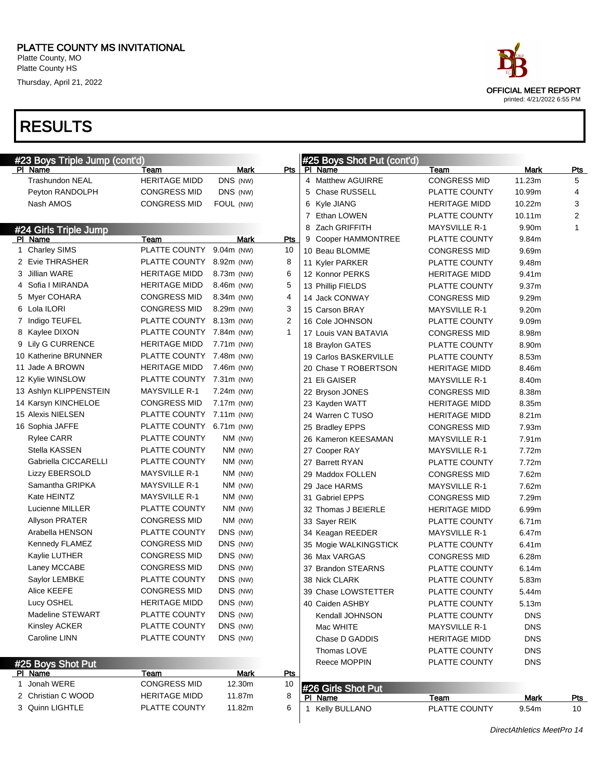Platte County, MO Platte County HS

Thursday, April 21, 2022

| #23 Boys Triple Jump (cont'd) |                          |              |     |   | #25 Boys Shot Put (cont'd) |                      |            |                |
|-------------------------------|--------------------------|--------------|-----|---|----------------------------|----------------------|------------|----------------|
| PI Name                       | Team                     | <b>Mark</b>  | Pts |   | PI Name                    | Team                 | Mark       | <u>Pts</u>     |
| <b>Trashundon NEAL</b>        | <b>HERITAGE MIDD</b>     | DNS (NW)     |     |   | 4 Matthew AGUIRRE          | <b>CONGRESS MID</b>  | 11.23m     | 5              |
| Peyton RANDOLPH               | <b>CONGRESS MID</b>      | DNS (NW)     |     |   | 5 Chase RUSSELL            | PLATTE COUNTY        | 10.99m     | 4              |
| Nash AMOS                     | <b>CONGRESS MID</b>      | FOUL (NW)    |     |   | 6 Kyle JIANG               | <b>HERITAGE MIDD</b> | 10.22m     | 3              |
|                               |                          |              |     |   | 7 Ethan LOWEN              | PLATTE COUNTY        | 10.11m     | $\overline{2}$ |
| #24 Girls Triple Jump         |                          |              |     | 8 | Zach GRIFFITH              | <b>MAYSVILLE R-1</b> | 9.90m      | 1              |
| PI Name                       | Team                     | Mark         | Pts |   | 9 Cooper HAMMONTREE        | PLATTE COUNTY        | 9.84m      |                |
| 1 Charley SIMS                | PLATTE COUNTY            | $9.04m$ (NW) | 10  |   | 10 Beau BLOMME             | <b>CONGRESS MID</b>  | 9.69m      |                |
| 2 Evie THRASHER               | PLATTE COUNTY 8.92m (NW) |              | 8   |   | 11 Kyler PARKER            | PLATTE COUNTY        | 9.48m      |                |
| 3 Jillian WARE                | <b>HERITAGE MIDD</b>     | 8.73m (NW)   | 6   |   | 12 Konnor PERKS            | <b>HERITAGE MIDD</b> | 9.41m      |                |
| 4 Sofia I MIRANDA             | <b>HERITAGE MIDD</b>     | 8.46m (NW)   | 5   |   | 13 Phillip FIELDS          | PLATTE COUNTY        | 9.37m      |                |
| 5 Myer COHARA                 | <b>CONGRESS MID</b>      | 8.34m (NW)   | 4   |   | 14 Jack CONWAY             | <b>CONGRESS MID</b>  | 9.29m      |                |
| 6 Lola ILORI                  | <b>CONGRESS MID</b>      | 8.29m (NW)   | 3   |   | 15 Carson BRAY             | <b>MAYSVILLE R-1</b> | 9.20m      |                |
| 7 Indigo TEUFEL               | PLATTE COUNTY            | 8.13m (NW)   | 2   |   | 16 Cole JOHNSON            | PLATTE COUNTY        | 9.09m      |                |
| 8 Kaylee DIXON                | PLATTE COUNTY 7.84m (NW) |              | 1   |   | 17 Louis VAN BATAVIA       | <b>CONGRESS MID</b>  | 8.98m      |                |
| 9 Lily G CURRENCE             | <b>HERITAGE MIDD</b>     | 7.71m (NW)   |     |   | 18 Braylon GATES           | PLATTE COUNTY        | 8.90m      |                |
| 10 Katherine BRUNNER          | PLATTE COUNTY 7.48m (NW) |              |     |   | 19 Carlos BASKERVILLE      | PLATTE COUNTY        | 8.53m      |                |
| 11 Jade A BROWN               | <b>HERITAGE MIDD</b>     | 7.46m (NW)   |     |   | 20 Chase T ROBERTSON       | <b>HERITAGE MIDD</b> | 8.46m      |                |
| 12 Kylie WINSLOW              | PLATTE COUNTY 7.31m (NW) |              |     |   | 21 Eli GAISER              | <b>MAYSVILLE R-1</b> | 8.40m      |                |
| 13 Ashlyn KLIPPENSTEIN        | <b>MAYSVILLE R-1</b>     | 7.24m (NW)   |     |   | 22 Bryson JONES            | <b>CONGRESS MID</b>  | 8.38m      |                |
| 14 Karsyn KINCHELOE           | <b>CONGRESS MID</b>      | 7.17m (NW)   |     |   | 23 Kayden WATT             | <b>HERITAGE MIDD</b> | 8.35m      |                |
| 15 Alexis NIELSEN             | PLATTE COUNTY 7.11m (NW) |              |     |   | 24 Warren C TUSO           | <b>HERITAGE MIDD</b> | 8.21m      |                |
| 16 Sophia JAFFE               | PLATTE COUNTY 6.71m (NW) |              |     |   | 25 Bradley EPPS            | <b>CONGRESS MID</b>  | 7.93m      |                |
| Rylee CARR                    | PLATTE COUNTY            | NM (NW)      |     |   | 26 Kameron KEESAMAN        | <b>MAYSVILLE R-1</b> | 7.91m      |                |
| Stella KASSEN                 | PLATTE COUNTY            | NM (NW)      |     |   | 27 Cooper RAY              | <b>MAYSVILLE R-1</b> | 7.72m      |                |
| Gabriella CICCARELLI          | PLATTE COUNTY            | NM (NW)      |     |   | 27 Barrett RYAN            | PLATTE COUNTY        | 7.72m      |                |
| Lizzy EBERSOLD                | <b>MAYSVILLE R-1</b>     | NM (NW)      |     |   | 29 Maddox FOLLEN           | <b>CONGRESS MID</b>  | 7.62m      |                |
| Samantha GRIPKA               | <b>MAYSVILLE R-1</b>     | NM (NW)      |     |   | 29 Jace HARMS              | <b>MAYSVILLE R-1</b> | 7.62m      |                |
| Kate HEINTZ                   | <b>MAYSVILLE R-1</b>     | NM (NW)      |     |   | 31 Gabriel EPPS            | <b>CONGRESS MID</b>  | 7.29m      |                |
| Lucienne MILLER               | PLATTE COUNTY            | NM (NW)      |     |   | 32 Thomas J BEIERLE        | <b>HERITAGE MIDD</b> | 6.99m      |                |
| Allyson PRATER                | <b>CONGRESS MID</b>      | NM (NW)      |     |   | 33 Sayer REIK              | PLATTE COUNTY        | 6.71m      |                |
| Arabella HENSON               | PLATTE COUNTY            | DNS (NW)     |     |   | 34 Keagan REEDER           | <b>MAYSVILLE R-1</b> | 6.47m      |                |
| Kennedy FLAMEZ                | <b>CONGRESS MID</b>      | DNS (NW)     |     |   | 35 Mogie WALKINGSTICK      | PLATTE COUNTY        | 6.41m      |                |
| Kaylie LUTHER                 | <b>CONGRESS MID</b>      | DNS (NW)     |     |   | 36 Max VARGAS              | <b>CONGRESS MID</b>  | 6.28m      |                |
| Laney MCCABE                  | <b>CONGRESS MID</b>      | DNS (NW)     |     |   | 37 Brandon STEARNS         | PLATTE COUNTY        | 6.14m      |                |
| Saylor LEMBKE                 | PLATTE COUNTY            | DNS (NW)     |     |   | 38 Nick CLARK              | PLATTE COUNTY        | 5.83m      |                |
| Alice KEEFE                   | <b>CONGRESS MID</b>      | DNS (NW)     |     |   | 39 Chase LOWSTETTER        | PLATTE COUNTY        | 5.44m      |                |
| Lucy OSHEL                    | <b>HERITAGE MIDD</b>     | DNS (NW)     |     |   | 40 Caiden ASHBY            | PLATTE COUNTY        | 5.13m      |                |
| Madeline STEWART              | PLATTE COUNTY            | DNS (NW)     |     |   | Kendall JOHNSON            | PLATTE COUNTY        | <b>DNS</b> |                |
| Kinsley ACKER                 | PLATTE COUNTY            | DNS (NW)     |     |   | Mac WHITE                  | <b>MAYSVILLE R-1</b> | <b>DNS</b> |                |
| Caroline LINN                 | PLATTE COUNTY            | DNS (NW)     |     |   | Chase D GADDIS             | <b>HERITAGE MIDD</b> | <b>DNS</b> |                |
|                               |                          |              |     |   | Thomas LOVE                | PLATTE COUNTY        | <b>DNS</b> |                |
| #25 Boys Shot Put             |                          |              |     |   | Reece MOPPIN               | PLATTE COUNTY        | <b>DNS</b> |                |
| PI Name                       | Team                     | <b>Mark</b>  | Pts |   |                            |                      |            |                |
| 1 Jonah WERE                  | <b>CONGRESS MID</b>      | 12.30m       | 10  |   | #26 Girls Shot Put         |                      |            |                |
| 2 Christian C WOOD            | <b>HERITAGE MIDD</b>     | 11.87m       | 8   |   | PI Name                    | Team                 | Mark       | <u>Pts</u>     |
| 3 Quinn LIGHTLE               | PLATTE COUNTY            | 11.82m       | 6   |   | 1 Kelly BULLANO            | PLATTE COUNTY        | 9.54m      | 10             |

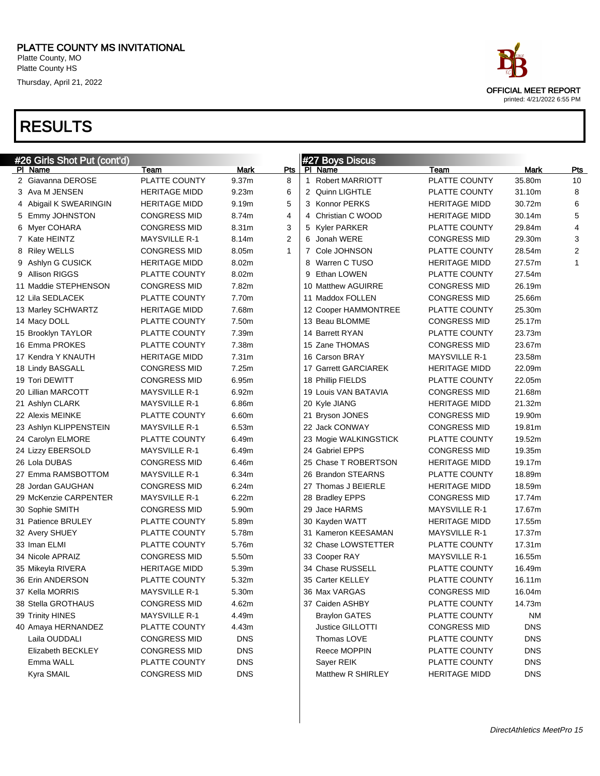Platte County, MO Platte County HS

Thursday, April 21, 2022

| #26 Girls Shot Put (cont'd)<br>PI Name | Team                 | <b>Mark</b>       | Pts            | #27 Boys Discus<br>PI Name |                       |                |                  |
|----------------------------------------|----------------------|-------------------|----------------|----------------------------|-----------------------|----------------|------------------|
| 2 Giavanna DEROSE                      | PLATTE COUNTY        | 9.37 <sub>m</sub> | 8              | 1 Robert MARRIOTT          | Team<br>PLATTE COUNTY | Mark<br>35.80m | <b>Pts</b><br>10 |
| 3 Ava M JENSEN                         | <b>HERITAGE MIDD</b> | 9.23m             | 6              | 2 Quinn LIGHTLE            | PLATTE COUNTY         | 31.10m         | 8                |
| 4 Abigail K SWEARINGIN                 | <b>HERITAGE MIDD</b> | 9.19m             | 5              | 3 Konnor PERKS             | <b>HERITAGE MIDD</b>  | 30.72m         | 6                |
| 5 Emmy JOHNSTON                        | <b>CONGRESS MID</b>  | 8.74m             | $\overline{4}$ | 4 Christian C WOOD         | <b>HERITAGE MIDD</b>  | 30.14m         | 5                |
| 6 Myer COHARA                          | <b>CONGRESS MID</b>  | 8.31m             | 3              | 5 Kyler PARKER             | PLATTE COUNTY         | 29.84m         | $\overline{4}$   |
| 7 Kate HEINTZ                          | <b>MAYSVILLE R-1</b> | 8.14m             | $\overline{2}$ | 6 Jonah WERE               | <b>CONGRESS MID</b>   | 29.30m         | 3                |
| 8 Riley WELLS                          | <b>CONGRESS MID</b>  | 8.05m             | $\mathbf{1}$   | 7 Cole JOHNSON             | PLATTE COUNTY         | 28.54m         | 2                |
| 9 Ashlyn G CUSICK                      | <b>HERITAGE MIDD</b> | 8.02m             |                | 8 Warren C TUSO            | <b>HERITAGE MIDD</b>  | 27.57m         | $\mathbf{1}$     |
| 9 Allison RIGGS                        | PLATTE COUNTY        | 8.02m             |                | 9 Ethan LOWEN              | PLATTE COUNTY         | 27.54m         |                  |
| 11 Maddie STEPHENSON                   | <b>CONGRESS MID</b>  | 7.82m             |                | 10 Matthew AGUIRRE         | <b>CONGRESS MID</b>   | 26.19m         |                  |
| 12 Lila SEDLACEK                       | PLATTE COUNTY        | 7.70m             |                | 11 Maddox FOLLEN           | <b>CONGRESS MID</b>   | 25.66m         |                  |
| 13 Marley SCHWARTZ                     | <b>HERITAGE MIDD</b> | 7.68m             |                | 12 Cooper HAMMONTREE       | PLATTE COUNTY         | 25.30m         |                  |
| 14 Macy DOLL                           | PLATTE COUNTY        | 7.50m             |                | 13 Beau BLOMME             | <b>CONGRESS MID</b>   | 25.17m         |                  |
| 15 Brooklyn TAYLOR                     | PLATTE COUNTY        | 7.39m             |                | 14 Barrett RYAN            | PLATTE COUNTY         | 23.73m         |                  |
| 16 Emma PROKES                         | PLATTE COUNTY        | 7.38m             |                | 15 Zane THOMAS             | <b>CONGRESS MID</b>   | 23.67m         |                  |
| 17 Kendra Y KNAUTH                     | <b>HERITAGE MIDD</b> | 7.31m             |                | 16 Carson BRAY             | <b>MAYSVILLE R-1</b>  | 23.58m         |                  |
| 18 Lindy BASGALL                       | <b>CONGRESS MID</b>  | 7.25m             |                | 17 Garrett GARCIAREK       | <b>HERITAGE MIDD</b>  | 22.09m         |                  |
| 19 Tori DEWITT                         | <b>CONGRESS MID</b>  | 6.95m             |                | 18 Phillip FIELDS          | PLATTE COUNTY         | 22.05m         |                  |
| 20 Lillian MARCOTT                     | <b>MAYSVILLE R-1</b> | 6.92m             |                | 19 Louis VAN BATAVIA       | <b>CONGRESS MID</b>   | 21.68m         |                  |
| 21 Ashlyn CLARK                        | <b>MAYSVILLE R-1</b> | 6.86m             |                | 20 Kyle JIANG              | <b>HERITAGE MIDD</b>  | 21.32m         |                  |
| 22 Alexis MEINKE                       | PLATTE COUNTY        | 6.60m             |                | 21 Bryson JONES            | <b>CONGRESS MID</b>   | 19.90m         |                  |
| 23 Ashlyn KLIPPENSTEIN                 | <b>MAYSVILLE R-1</b> | 6.53m             |                | 22 Jack CONWAY             | <b>CONGRESS MID</b>   | 19.81m         |                  |
| 24 Carolyn ELMORE                      | PLATTE COUNTY        | 6.49m             |                | 23 Mogie WALKINGSTICK      | PLATTE COUNTY         | 19.52m         |                  |
| 24 Lizzy EBERSOLD                      | <b>MAYSVILLE R-1</b> | 6.49m             |                | 24 Gabriel EPPS            | <b>CONGRESS MID</b>   | 19.35m         |                  |
| 26 Lola DUBAS                          | <b>CONGRESS MID</b>  | 6.46m             |                | 25 Chase T ROBERTSON       | <b>HERITAGE MIDD</b>  | 19.17m         |                  |
| 27 Emma RAMSBOTTOM                     | <b>MAYSVILLE R-1</b> | 6.34m             |                | 26 Brandon STEARNS         | PLATTE COUNTY         | 18.89m         |                  |
| 28 Jordan GAUGHAN                      | <b>CONGRESS MID</b>  | 6.24m             |                | 27 Thomas J BEIERLE        | <b>HERITAGE MIDD</b>  | 18.59m         |                  |
| 29 McKenzie CARPENTER                  | <b>MAYSVILLE R-1</b> | 6.22m             |                | 28 Bradley EPPS            | <b>CONGRESS MID</b>   | 17.74m         |                  |
| 30 Sophie SMITH                        | <b>CONGRESS MID</b>  | 5.90m             |                | 29 Jace HARMS              | <b>MAYSVILLE R-1</b>  | 17.67m         |                  |
| 31 Patience BRULEY                     | PLATTE COUNTY        | 5.89m             |                | 30 Kayden WATT             | <b>HERITAGE MIDD</b>  | 17.55m         |                  |
| 32 Avery SHUEY                         | PLATTE COUNTY        | 5.78m             |                | 31 Kameron KEESAMAN        | <b>MAYSVILLE R-1</b>  | 17.37m         |                  |
| 33 Iman ELMI                           | PLATTE COUNTY        | 5.76m             |                | 32 Chase LOWSTETTER        | PLATTE COUNTY         | 17.31m         |                  |
| 34 Nicole APRAIZ                       | <b>CONGRESS MID</b>  | 5.50m             |                | 33 Cooper RAY              | <b>MAYSVILLE R-1</b>  | 16.55m         |                  |
| 35 Mikeyla RIVERA                      | <b>HERITAGE MIDD</b> | 5.39m             |                | 34 Chase RUSSELL           | PLATTE COUNTY         | 16.49m         |                  |
| 36 Erin ANDERSON                       | PLATTE COUNTY        | 5.32m             |                | 35 Carter KELLEY           | PLATTE COUNTY         | 16.11m         |                  |
| 37 Kella MORRIS                        | MAYSVILLE R-1        | 5.30m             |                | 36 Max VARGAS              | <b>CONGRESS MID</b>   | 16.04m         |                  |
| 38 Stella GROTHAUS                     | <b>CONGRESS MID</b>  | 4.62m             |                | 37 Caiden ASHBY            | PLATTE COUNTY         | 14.73m         |                  |
| 39 Trinity HINES                       | <b>MAYSVILLE R-1</b> | 4.49m             |                | <b>Braylon GATES</b>       | PLATTE COUNTY         | <b>NM</b>      |                  |
| 40 Amaya HERNANDEZ                     | PLATTE COUNTY        | 4.43m             |                | Justice GILLOTTI           | <b>CONGRESS MID</b>   | <b>DNS</b>     |                  |
| Laila OUDDALI                          | <b>CONGRESS MID</b>  | <b>DNS</b>        |                | Thomas LOVE                | PLATTE COUNTY         | <b>DNS</b>     |                  |
| Elizabeth BECKLEY                      | <b>CONGRESS MID</b>  | <b>DNS</b>        |                | Reece MOPPIN               | PLATTE COUNTY         | <b>DNS</b>     |                  |
| Emma WALL                              | PLATTE COUNTY        | <b>DNS</b>        |                | Sayer REIK                 | PLATTE COUNTY         | <b>DNS</b>     |                  |
| Kyra SMAIL                             | <b>CONGRESS MID</b>  | <b>DNS</b>        |                | Matthew R SHIRLEY          | <b>HERITAGE MIDD</b>  | <b>DNS</b>     |                  |
|                                        |                      |                   |                |                            |                       |                |                  |